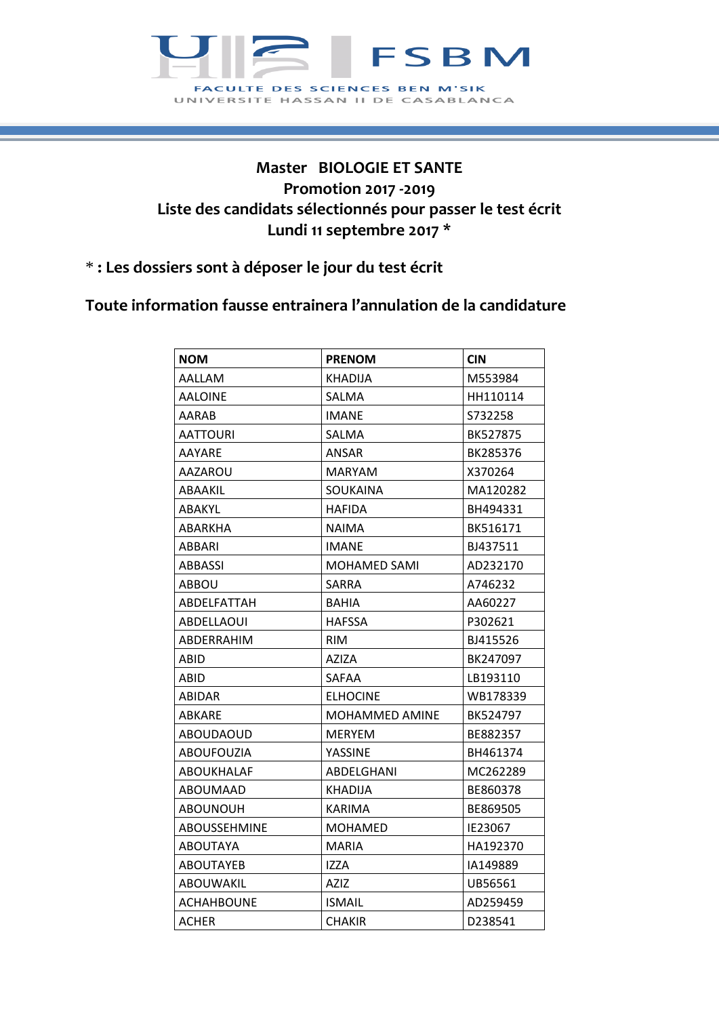

## **Master BIOLOGIE ET SANTE Promotion 2017 -2019 Liste des candidats sélectionnés pour passer le test écrit Lundi 11 septembre 2017 \***

\* **: Les dossiers sont à déposer le jour du test écrit**

**Toute information fausse entrainera l'annulation de la candidature**

| <b>NOM</b>        | <b>PRENOM</b>   | <b>CIN</b> |
|-------------------|-----------------|------------|
| AALLAM            | KHADIJA         | M553984    |
| <b>AALOINE</b>    | SALMA           | HH110114   |
| AARAB             | IMANE           | S732258    |
| AATTOURI          | SALMA           | BK527875   |
| AAYARE            | ANSAR           | BK285376   |
| AAZAROU           | <b>MARYAM</b>   | X370264    |
| ABAAKIL           | SOUKAINA        | MA120282   |
| ABAKYL            | HAFIDA          | BH494331   |
| ABARKHA           | NAIMA           | BK516171   |
| ABBARI            | <b>IMANE</b>    | BJ437511   |
| ABBASSI           | MOHAMED SAMI    | AD232170   |
| ABBOU             | <b>SARRA</b>    | A746232    |
| ABDELFATTAH       | BAHIA           | AA60227    |
| ABDELLAOUI        | <b>HAFSSA</b>   | P302621    |
| ABDERRAHIM        | <b>RIM</b>      | BJ415526   |
| ABID              | AZIZA           | BK247097   |
| ABID              | SAFAA           | LB193110   |
| ABIDAR            | <b>ELHOCINE</b> | WB178339   |
| ABKARE            | MOHAMMED AMINE  | BK524797   |
| <b>ABOUDAOUD</b>  | <b>MERYEM</b>   | BE882357   |
| ABOUFOUZIA        | YASSINE         | BH461374   |
| <b>ABOUKHALAF</b> | ABDELGHANI      | MC262289   |
| ABOUMAAD          | KHADIJA         | BE860378   |
| ABOUNOUH          | KARIMA          | BE869505   |
| ABOUSSEHMINE      | <b>MOHAMED</b>  | IE23067    |
| <b>ABOUTAYA</b>   | <b>MARIA</b>    | HA192370   |
| <b>ABOUTAYEB</b>  | IZZA            | IA149889   |
| <b>ABOUWAKIL</b>  | <b>AZIZ</b>     | UB56561    |
| <b>ACHAHBOUNE</b> | <b>ISMAIL</b>   | AD259459   |
| ACHER             | CHAKIR          | D238541    |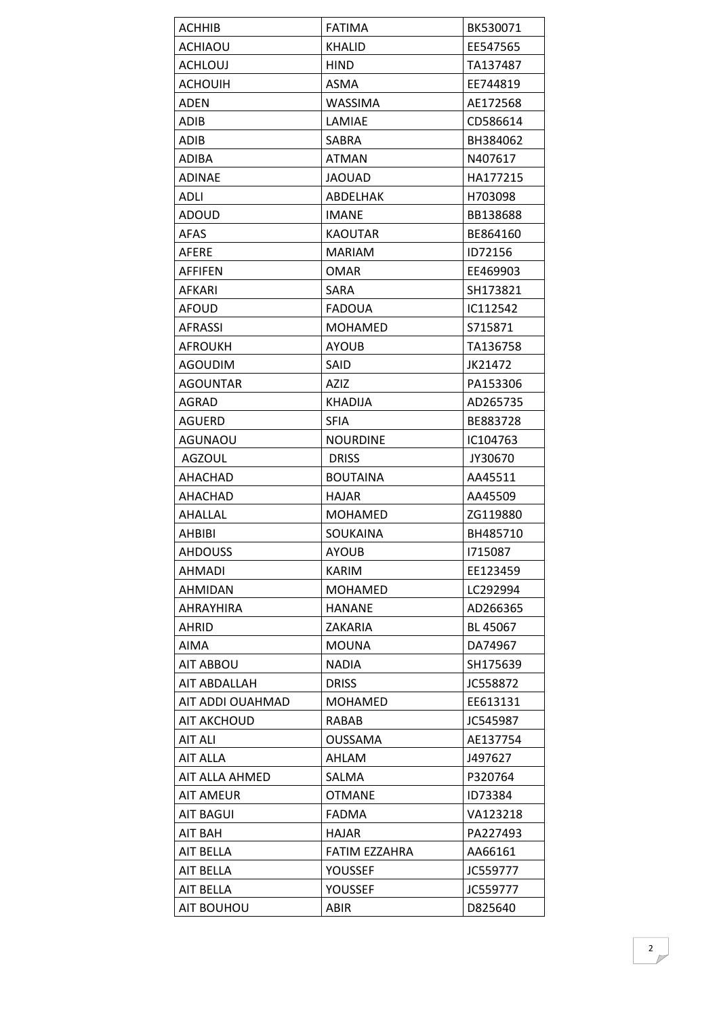| ACHHIB           | <b>FATIMA</b>   | BK530071 |
|------------------|-----------------|----------|
| ACHIAOU          | <b>KHALID</b>   | EE547565 |
| ACHLOUJ          | <b>HIND</b>     | TA137487 |
| ACHOUIH          | ASMA            | EE744819 |
| ADEN             | <b>WASSIMA</b>  | AE172568 |
| ADIB             | LAMIAE          | CD586614 |
| ADIB             | SABRA           | BH384062 |
| <b>ADIBA</b>     | <b>ATMAN</b>    | N407617  |
| <b>ADINAE</b>    | <b>JAOUAD</b>   | HA177215 |
| ADLI             | ABDELHAK        | H703098  |
| ADOUD            | IMANE           | BB138688 |
| <b>AFAS</b>      | <b>KAOUTAR</b>  | BE864160 |
| AFERE            | <b>MARIAM</b>   | ID72156  |
| AFFIFEN          | <b>OMAR</b>     | EE469903 |
| AFKARI           | <b>SARA</b>     | SH173821 |
| AFOUD            | <b>FADOUA</b>   | IC112542 |
| <b>AFRASSI</b>   | <b>MOHAMED</b>  | S715871  |
| <b>AFROUKH</b>   | <b>AYOUB</b>    | TA136758 |
| AGOUDIM          | SAID            | JK21472  |
| <b>AGOUNTAR</b>  | AZIZ            | PA153306 |
| AGRAD            | <b>KHADIJA</b>  | AD265735 |
| AGUERD           | <b>SFIA</b>     | BE883728 |
| AGUNAOU          | <b>NOURDINE</b> | IC104763 |
| <b>AGZOUL</b>    | <b>DRISS</b>    | JY30670  |
| AHACHAD          | <b>BOUTAINA</b> | AA45511  |
| AHACHAD          | <b>HAJAR</b>    | AA45509  |
| AHALLAL          | <b>MOHAMED</b>  | ZG119880 |
| <b>AHBIBI</b>    | <b>SOUKAINA</b> | BH485710 |
| <b>AHDOUSS</b>   | <b>AYOUB</b>    | 1715087  |
| AHMADI           | KARIM           | EE123459 |
| <b>AHMIDAN</b>   | <b>MOHAMED</b>  | LC292994 |
| AHRAYHIRA        | <b>HANANE</b>   | AD266365 |
| AHRID            | ZAKARIA         | BL 45067 |
| AIMA             | <b>MOUNA</b>    | DA74967  |
| AIT ABBOU        | <b>NADIA</b>    | SH175639 |
| AIT ABDALLAH     | <b>DRISS</b>    | JC558872 |
| AIT ADDI OUAHMAD | <b>MOHAMED</b>  | EE613131 |
| AIT AKCHOUD      | RABAB           | JC545987 |
| <b>AIT ALI</b>   | <b>OUSSAMA</b>  | AE137754 |
| <b>AIT ALLA</b>  | AHLAM           | J497627  |
| AIT ALLA AHMED   | SALMA           | P320764  |
| <b>AIT AMEUR</b> | <b>OTMANE</b>   | ID73384  |
| <b>AIT BAGUI</b> | <b>FADMA</b>    | VA123218 |
| AIT BAH          | HAJAR           | PA227493 |
| AIT BELLA        | FATIM EZZAHRA   | AA66161  |
| AIT BELLA        | YOUSSEF         | JC559777 |
|                  | YOUSSEF         |          |
| AIT BELLA        |                 | JC559777 |
| AIT BOUHOU       | ABIR            | D825640  |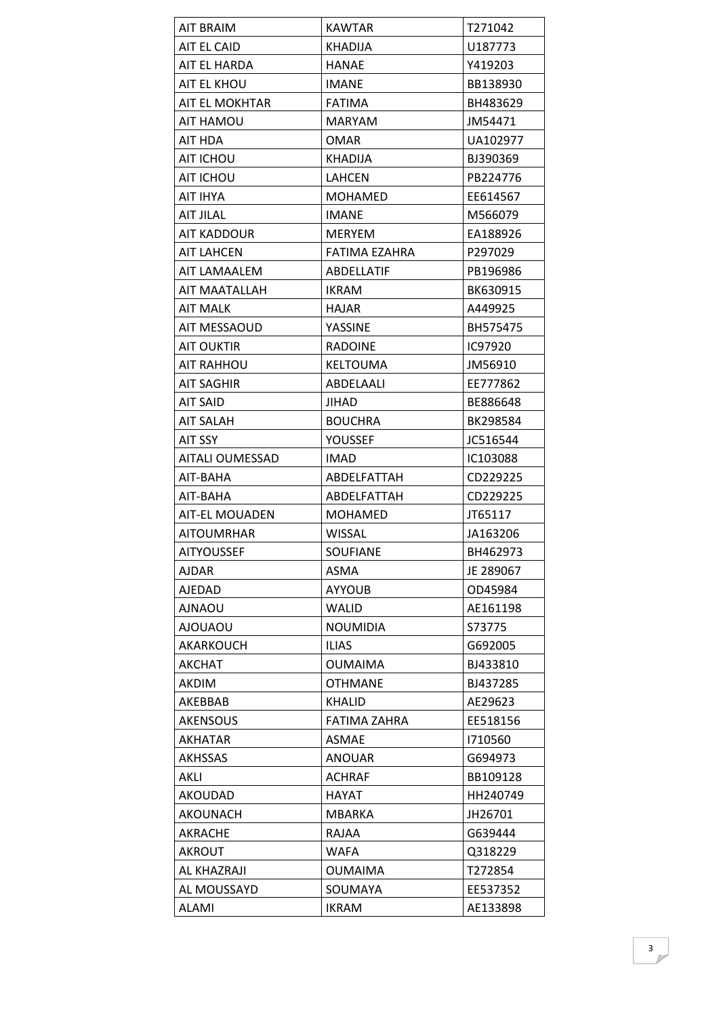| <b>AIT BRAIM</b>       | <b>KAWTAR</b>   | T271042   |
|------------------------|-----------------|-----------|
| AIT EL CAID            | <b>KHADIJA</b>  | U187773   |
| AIT EL HARDA           | <b>HANAE</b>    | Y419203   |
| AIT EL KHOU            | <b>IMANE</b>    | BB138930  |
| AIT EL MOKHTAR         | <b>FATIMA</b>   | BH483629  |
| AIT HAMOU              | <b>MARYAM</b>   | JM54471   |
| AIT HDA                | <b>OMAR</b>     | UA102977  |
| AIT ICHOU              | KHADIJA         | BJ390369  |
| AIT ICHOU              | LAHCEN          | PB224776  |
| AIT IHYA               | <b>MOHAMED</b>  | EE614567  |
| <b>AIT JILAL</b>       | <b>IMANE</b>    | M566079   |
| AIT KADDOUR            | <b>MERYEM</b>   | EA188926  |
| AIT LAHCEN             | FATIMA EZAHRA   | P297029   |
| AIT LAMAALEM           | ABDELLATIF      | PB196986  |
| AIT MAATALLAH          | <b>IKRAM</b>    | BK630915  |
| <b>AIT MALK</b>        | <b>HAJAR</b>    | A449925   |
| AIT MESSAOUD           | YASSINE         | BH575475  |
| AIT OUKTIR             | <b>RADOINE</b>  | IC97920   |
| <b>AIT RAHHOU</b>      | <b>KELTOUMA</b> | JM56910   |
| AIT SAGHIR             | ABDELAALI       | EE777862  |
| AIT SAID               | JIHAD           | BE886648  |
| AIT SALAH              | <b>BOUCHRA</b>  | BK298584  |
| <b>AIT SSY</b>         | YOUSSEF         | JC516544  |
| <b>AITALI OUMESSAD</b> | <b>IMAD</b>     | IC103088  |
| AIT-BAHA               | ABDELFATTAH     | CD229225  |
| AIT-BAHA               | ABDELFATTAH     | CD229225  |
| <b>AIT-EL MOUADEN</b>  | <b>MOHAMED</b>  | JT65117   |
| <b>AITOUMRHAR</b>      | <b>WISSAL</b>   | JA163206  |
| <b>AITYOUSSEF</b>      | <b>SOUFIANE</b> | BH462973  |
| AJDAR                  | ASMA            | JE 289067 |
| AJEDAD                 | <b>AYYOUB</b>   | OD45984   |
| <b>UOANLA</b>          | <b>WALID</b>    | AE161198  |
| <b>UOAUOLA</b>         | <b>NOUMIDIA</b> | S73775    |
| AKARKOUCH              | <b>ILIAS</b>    | G692005   |
| AKCHAT                 | <b>OUMAIMA</b>  | BJ433810  |
| <b>AKDIM</b>           | <b>OTHMANE</b>  | BJ437285  |
| AKEBBAB                | <b>KHALID</b>   | AE29623   |
| <b>AKENSOUS</b>        | FATIMA ZAHRA    | EE518156  |
| <b>AKHATAR</b>         | <b>ASMAE</b>    | 1710560   |
| AKHSSAS                | <b>ANOUAR</b>   | G694973   |
| AKLI                   | <b>ACHRAF</b>   | BB109128  |
| <b>AKOUDAD</b>         | <b>HAYAT</b>    | HH240749  |
| AKOUNACH               | MBARKA          | JH26701   |
| AKRACHE                | RAJAA           | G639444   |
| <b>AKROUT</b>          | WAFA            | Q318229   |
| AL KHAZRAJI            | <b>OUMAIMA</b>  | T272854   |
| AL MOUSSAYD            | SOUMAYA         | EE537352  |
| <b>ALAMI</b>           | <b>IKRAM</b>    | AE133898  |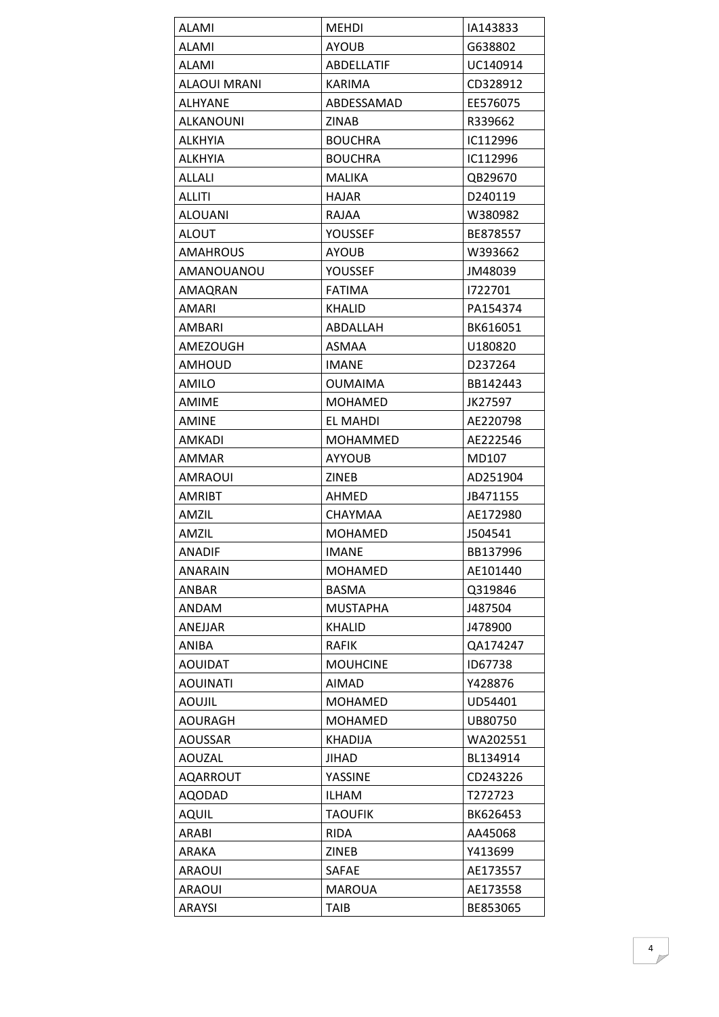| <b>ALAMI</b>     | <b>MEHDI</b>      | IA143833 |
|------------------|-------------------|----------|
| <b>ALAMI</b>     | <b>AYOUB</b>      | G638802  |
| <b>ALAMI</b>     | <b>ABDELLATIF</b> | UC140914 |
| ALAOUI MRANI     | KARIMA            | CD328912 |
| ALHYANE          | ABDESSAMAD        | EE576075 |
| <b>ALKANOUNI</b> | <b>ZINAB</b>      | R339662  |
| <b>ALKHYIA</b>   | <b>BOUCHRA</b>    | IC112996 |
| ALKHYIA          | <b>BOUCHRA</b>    | IC112996 |
| ALLALI           | <b>MALIKA</b>     | QB29670  |
| ALLITI           | <b>HAJAR</b>      | D240119  |
| <b>ALOUANI</b>   | <b>RAJAA</b>      | W380982  |
| <b>ALOUT</b>     | YOUSSEF           | BE878557 |
| AMAHROUS         | <b>AYOUB</b>      | W393662  |
| AMANOUANOU       | YOUSSEF           | JM48039  |
| AMAQRAN          | <b>FATIMA</b>     | 1722701  |
| AMARI            | KHALID            | PA154374 |
| AMBARI           | ABDALLAH          | BK616051 |
| AMEZOUGH         | <b>ASMAA</b>      | U180820  |
| <b>AMHOUD</b>    | <b>IMANE</b>      | D237264  |
| AMILO            | <b>OUMAIMA</b>    | BB142443 |
| <b>AMIME</b>     | MOHAMED           | JK27597  |
| AMINE            | EL MAHDI          | AE220798 |
| <b>AMKADI</b>    | <b>MOHAMMED</b>   | AE222546 |
| AMMAR            | <b>AYYOUB</b>     | MD107    |
| AMRAOUI          | ZINEB             | AD251904 |
| <b>AMRIBT</b>    | AHMED             | JB471155 |
| AMZIL            | <b>CHAYMAA</b>    | AE172980 |
| AMZIL            | MOHAMED           | J504541  |
| ANADIF           | <b>IMANE</b>      | BB137996 |
| <b>ANARAIN</b>   | <b>MOHAMED</b>    | AE101440 |
| <b>ANBAR</b>     | <b>BASMA</b>      | Q319846  |
| ANDAM            | <b>MUSTAPHA</b>   | J487504  |
| ANEJJAR          | <b>KHALID</b>     | J478900  |
| ANIBA            | <b>RAFIK</b>      | QA174247 |
| <b>AOUIDAT</b>   | <b>MOUHCINE</b>   | ID67738  |
| <b>AOUINATI</b>  | <b>AIMAD</b>      | Y428876  |
| <b>AOUJIL</b>    | MOHAMED           | UD54401  |
| AOURAGH          | <b>MOHAMED</b>    | UB80750  |
| AOUSSAR          | <b>KHADIJA</b>    | WA202551 |
| <b>AOUZAL</b>    | JIHAD             | BL134914 |
| <b>AQARROUT</b>  | YASSINE           | CD243226 |
| <b>AQODAD</b>    | <b>ILHAM</b>      | T272723  |
| <b>AQUIL</b>     | <b>TAOUFIK</b>    | BK626453 |
| ARABI            | <b>RIDA</b>       | AA45068  |
| ARAKA            | <b>ZINEB</b>      | Y413699  |
| <b>ARAOUI</b>    | SAFAE             | AE173557 |
| <b>ARAOUI</b>    | <b>MAROUA</b>     | AE173558 |
| ARAYSI           | <b>TAIB</b>       | BE853065 |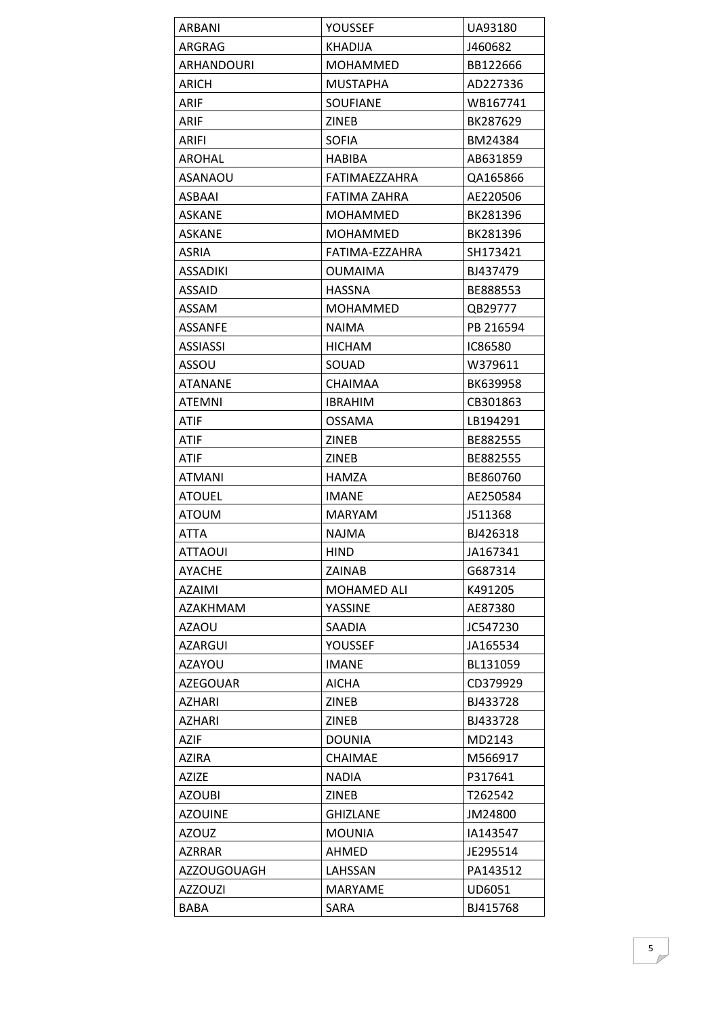| ARBANI             | YOUSSEF         | UA93180   |
|--------------------|-----------------|-----------|
| ARGRAG             | KHADIJA         | J460682   |
| ARHANDOURI         | <b>MOHAMMED</b> | BB122666  |
| ARICH              | <b>MUSTAPHA</b> | AD227336  |
| ARIF               | <b>SOUFIANE</b> | WB167741  |
| ARIF               | <b>ZINEB</b>    | BK287629  |
| ARIFI              | <b>SOFIA</b>    | BM24384   |
| AROHAL             | HABIBA          | AB631859  |
| ASANAOU            | FATIMAEZZAHRA   | QA165866  |
| ASBAAI             | FATIMA ZAHRA    | AE220506  |
| <b>ASKANE</b>      | <b>MOHAMMED</b> | BK281396  |
| <b>ASKANE</b>      | <b>MOHAMMED</b> | BK281396  |
| <b>ASRIA</b>       | FATIMA-EZZAHRA  | SH173421  |
| ASSADIKI           | OUMAIMA         | BJ437479  |
| <b>ASSAID</b>      | <b>HASSNA</b>   | BE888553  |
| ASSAM              | <b>MOHAMMED</b> | QB29777   |
| <b>ASSANFE</b>     | <b>NAIMA</b>    | PB 216594 |
| <b>ASSIASSI</b>    | <b>HICHAM</b>   | IC86580   |
| ASSOU              | SOUAD           | W379611   |
| <b>ATANANE</b>     | <b>CHAIMAA</b>  | BK639958  |
| ATEMNI             | IBRAHIM         | CB301863  |
| ATIF               | <b>OSSAMA</b>   | LB194291  |
| ATIF               | ZINEB           | BE882555  |
| ATIF               | <b>ZINEB</b>    | BE882555  |
| ATMANI             | HAMZA           | BE860760  |
| <b>ATOUEL</b>      | <b>IMANE</b>    | AE250584  |
| ATOUM              | <b>MARYAM</b>   | J511368   |
| ATTA               | NAJMA           | BJ426318  |
| <b>ATTAOUI</b>     | <b>HIND</b>     | JA167341  |
| <b>AYACHE</b>      | ZAINAB          | G687314   |
| <b>AZAIMI</b>      | MOHAMED ALI     | K491205   |
| AZAKHMAM           | YASSINE         | AE87380   |
| AZAOU              | SAADIA          | JC547230  |
| <b>AZARGUI</b>     | <b>YOUSSEF</b>  | JA165534  |
| AZAYOU             | <b>IMANE</b>    | BL131059  |
| <b>AZEGOUAR</b>    | <b>AICHA</b>    | CD379929  |
| <b>AZHARI</b>      | ZINEB           | BJ433728  |
|                    |                 |           |
| AZHARI             | ZINEB           | BJ433728  |
| AZIF               | <b>DOUNIA</b>   | MD2143    |
| AZIRA              | CHAIMAE         | M566917   |
| <b>AZIZE</b>       | <b>NADIA</b>    | P317641   |
| <b>AZOUBI</b>      | ZINEB           | T262542   |
| <b>AZOUINE</b>     | <b>GHIZLANE</b> | JM24800   |
| <b>AZOUZ</b>       | <b>MOUNIA</b>   | IA143547  |
| <b>AZRRAR</b>      | AHMED           | JE295514  |
| <b>AZZOUGOUAGH</b> | LAHSSAN         | PA143512  |
| <b>AZZOUZI</b>     | <b>MARYAME</b>  | UD6051    |
| <b>BABA</b>        | SARA            | BJ415768  |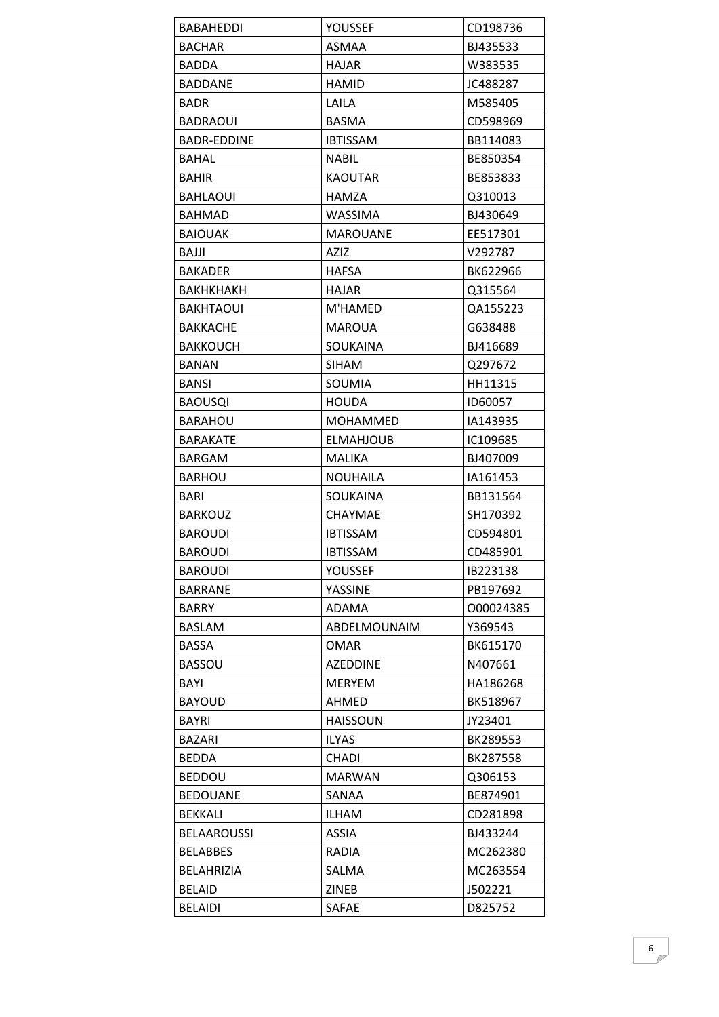| BABAHEDDI          | YOUSSEF         | CD198736  |
|--------------------|-----------------|-----------|
| <b>BACHAR</b>      | ASMAA           | BJ435533  |
| BADDA              | <b>HAJAR</b>    | W383535   |
| <b>BADDANE</b>     | <b>HAMID</b>    | JC488287  |
| <b>BADR</b>        | LAILA           | M585405   |
| BADRAOUI           | <b>BASMA</b>    | CD598969  |
| <b>BADR-EDDINE</b> | <b>IBTISSAM</b> | BB114083  |
| BAHAL              | NABIL           | BE850354  |
| <b>BAHIR</b>       | <b>KAOUTAR</b>  | BE853833  |
| <b>BAHLAOUI</b>    | HAMZA           | Q310013   |
| BAHMAD             | WASSIMA         | BJ430649  |
| <b>BAIOUAK</b>     | <b>MAROUANE</b> | EE517301  |
| BAJJI              | <b>AZIZ</b>     | V292787   |
| <b>BAKADER</b>     | <b>HAFSA</b>    | BK622966  |
| ВАКНКНАКН          | HAJAR           | Q315564   |
| <b>BAKHTAOUI</b>   | M'HAMED         | QA155223  |
| <b>BAKKACHE</b>    | <b>MAROUA</b>   | G638488   |
| BAKKOUCH           | <b>SOUKAINA</b> | BJ416689  |
| <b>BANAN</b>       | <b>SIHAM</b>    | Q297672   |
| <b>BANSI</b>       | SOUMIA          | HH11315   |
| <b>BAOUSQI</b>     | HOUDA           | ID60057   |
| <b>BARAHOU</b>     | <b>MOHAMMED</b> | IA143935  |
| BARAKATE           | ELMAHJOUB       | IC109685  |
| <b>BARGAM</b>      | <b>MALIKA</b>   | BJ407009  |
| <b>BARHOU</b>      | <b>NOUHAILA</b> | IA161453  |
| BARI               | SOUKAINA        | BB131564  |
| <b>BARKOUZ</b>     | <b>CHAYMAE</b>  | SH170392  |
| <b>BAROUDI</b>     | <b>IBTISSAM</b> | CD594801  |
| <b>BAROUDI</b>     | <b>IBTISSAM</b> | CD485901  |
| <b>BAROUDI</b>     | <b>YOUSSEF</b>  | IB223138  |
| <b>BARRANE</b>     | YASSINE         | PB197692  |
| <b>BARRY</b>       | ADAMA           | 000024385 |
| <b>BASLAM</b>      | ABDELMOUNAIM    | Y369543   |
| BASSA              | <b>OMAR</b>     | BK615170  |
| <b>BASSOU</b>      | <b>AZEDDINE</b> | N407661   |
| BAYI               | <b>MERYEM</b>   | HA186268  |
| <b>BAYOUD</b>      | AHMED           | BK518967  |
| <b>BAYRI</b>       | <b>HAISSOUN</b> | JY23401   |
| BAZARI             | <b>ILYAS</b>    | BK289553  |
| <b>BEDDA</b>       | <b>CHADI</b>    | BK287558  |
| <b>BEDDOU</b>      | <b>MARWAN</b>   | Q306153   |
| <b>BEDOUANE</b>    | SANAA           | BE874901  |
| <b>BEKKALI</b>     | <b>ILHAM</b>    | CD281898  |
| <b>BELAAROUSSI</b> | ASSIA           | BJ433244  |
| <b>BELABBES</b>    | RADIA           | MC262380  |
| <b>BELAHRIZIA</b>  | SALMA           | MC263554  |
| <b>BELAID</b>      | ZINEB           | J502221   |
| <b>BELAIDI</b>     | SAFAE           | D825752   |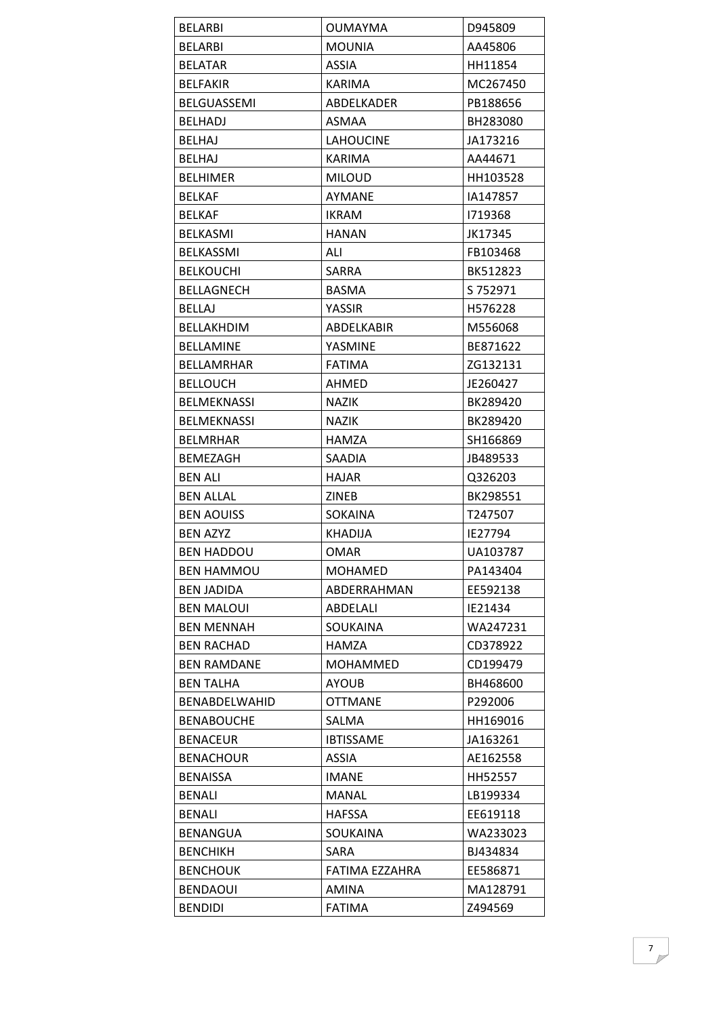| <b>BELARBI</b>     | <b>OUMAYMA</b>    | D945809  |
|--------------------|-------------------|----------|
| <b>BELARBI</b>     | <b>MOUNIA</b>     | AA45806  |
| <b>BELATAR</b>     | <b>ASSIA</b>      | HH11854  |
| <b>BELFAKIR</b>    | <b>KARIMA</b>     | MC267450 |
| BELGUASSEMI        | ABDELKADER        | PB188656 |
| <b>BELHADJ</b>     | <b>ASMAA</b>      | BH283080 |
| <b>BELHAJ</b>      | <b>LAHOUCINE</b>  | JA173216 |
| <b>BELHAJ</b>      | <b>KARIMA</b>     | AA44671  |
| <b>BELHIMER</b>    | <b>MILOUD</b>     | HH103528 |
| <b>BELKAF</b>      | AYMANE            | IA147857 |
| <b>BELKAF</b>      | <b>IKRAM</b>      | 1719368  |
| <b>BELKASMI</b>    | <b>HANAN</b>      | JK17345  |
| <b>BELKASSMI</b>   | ALI               | FB103468 |
| <b>BELKOUCHI</b>   | <b>SARRA</b>      | BK512823 |
| <b>BELLAGNECH</b>  | <b>BASMA</b>      | S 752971 |
| BELLAJ             | YASSIR            | H576228  |
| <b>BELLAKHDIM</b>  | <b>ABDELKABIR</b> | M556068  |
| <b>BELLAMINE</b>   | YASMINE           | BE871622 |
| BELLAMRHAR         | <b>FATIMA</b>     | ZG132131 |
| <b>BELLOUCH</b>    | AHMED             | JE260427 |
| <b>BELMEKNASSI</b> | <b>NAZIK</b>      | BK289420 |
| <b>BELMEKNASSI</b> | <b>NAZIK</b>      | BK289420 |
| BELMRHAR           | HAMZA             | SH166869 |
| <b>BEMEZAGH</b>    | <b>SAADIA</b>     | JB489533 |
| <b>BEN ALI</b>     | <b>HAJAR</b>      | Q326203  |
| <b>BEN ALLAL</b>   | ZINEB             | BK298551 |
| <b>BEN AOUISS</b>  | <b>SOKAINA</b>    | T247507  |
| <b>BEN AZYZ</b>    | KHADIJA           | IE27794  |
| <b>BEN HADDOU</b>  | OMAR              | UA103787 |
| <b>BEN HAMMOU</b>  | MOHAMED           | PA143404 |
| <b>BEN JADIDA</b>  | ABDERRAHMAN       | EE592138 |
| <b>BEN MALOUI</b>  | ABDELALI          | IE21434  |
| <b>BEN MENNAH</b>  | SOUKAINA          | WA247231 |
| <b>BEN RACHAD</b>  | <b>HAMZA</b>      | CD378922 |
| <b>BEN RAMDANE</b> | <b>MOHAMMED</b>   | CD199479 |
| <b>BEN TALHA</b>   | <b>AYOUB</b>      | BH468600 |
| BENABDELWAHID      | <b>OTTMANE</b>    | P292006  |
| <b>BENABOUCHE</b>  | SALMA             | HH169016 |
| <b>BENACEUR</b>    | <b>IBTISSAME</b>  | JA163261 |
| <b>BENACHOUR</b>   | <b>ASSIA</b>      | AE162558 |
| <b>BENAISSA</b>    | <b>IMANE</b>      | HH52557  |
| <b>BENALI</b>      | <b>MANAL</b>      | LB199334 |
| <b>BENALI</b>      | <b>HAFSSA</b>     | EE619118 |
| <b>BENANGUA</b>    | SOUKAINA          | WA233023 |
| <b>BENCHIKH</b>    | SARA              | BJ434834 |
| <b>BENCHOUK</b>    | FATIMA EZZAHRA    | EE586871 |
| <b>BENDAOUI</b>    | <b>AMINA</b>      | MA128791 |
| <b>BENDIDI</b>     | <b>FATIMA</b>     | Z494569  |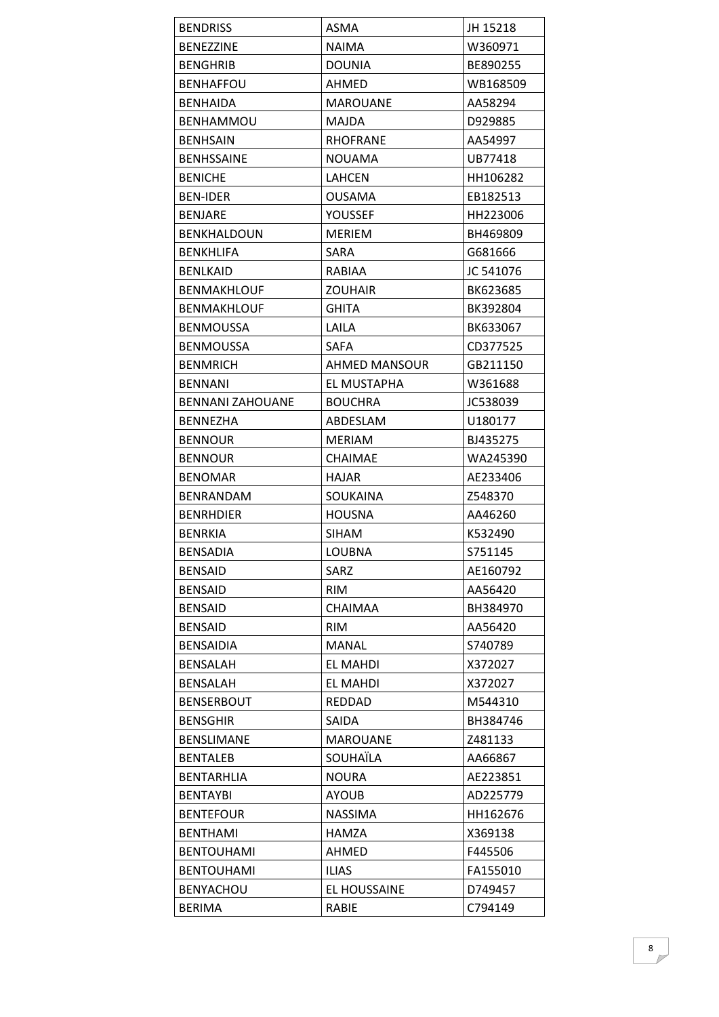| <b>BENDRISS</b>         | ASMA               | JH 15218           |
|-------------------------|--------------------|--------------------|
| <b>BENEZZINE</b>        | <b>NAIMA</b>       | W360971            |
| <b>BENGHRIB</b>         | <b>DOUNIA</b>      | BE890255           |
| <b>BENHAFFOU</b>        | AHMED              | WB168509           |
| BENHAIDA                | <b>MAROUANE</b>    | AA58294            |
| <b>BENHAMMOU</b>        | <b>MAJDA</b>       | D929885            |
| <b>BENHSAIN</b>         | <b>RHOFRANE</b>    | AA54997            |
| <b>BENHSSAINE</b>       | NOUAMA             | UB77418            |
| <b>BENICHE</b>          | LAHCEN             | HH106282           |
| <b>BEN-IDER</b>         | <b>OUSAMA</b>      | EB182513           |
| <b>BENJARE</b>          | YOUSSEF            | HH223006           |
| <b>BENKHALDOUN</b>      | <b>MERIEM</b>      | BH469809           |
| <b>BENKHLIFA</b>        | <b>SARA</b>        | G681666            |
| <b>BENLKAID</b>         | RABIAA             | JC 541076          |
| <b>BENMAKHLOUF</b>      | <b>ZOUHAIR</b>     | BK623685           |
| <b>BENMAKHLOUF</b>      | <b>GHITA</b>       | BK392804           |
| <b>BENMOUSSA</b>        | LAILA              | BK633067           |
| <b>BENMOUSSA</b>        | SAFA               | CD377525           |
| <b>BENMRICH</b>         | AHMED MANSOUR      | GB211150           |
| <b>BENNANI</b>          | EL MUSTAPHA        | W361688            |
| <b>BENNANI ZAHOUANE</b> | <b>BOUCHRA</b>     | JC538039           |
| <b>BENNEZHA</b>         | ABDESLAM           | U180177            |
| <b>BENNOUR</b>          | MERIAM             | BJ435275           |
| <b>BENNOUR</b>          | <b>CHAIMAE</b>     | WA245390           |
| <b>BENOMAR</b>          | <b>HAJAR</b>       | AE233406           |
| <b>BENRANDAM</b>        | <b>SOUKAINA</b>    | Z548370            |
| <b>BENRHDIER</b>        | <b>HOUSNA</b>      | AA46260            |
| <b>BENRKIA</b>          | <b>SIHAM</b>       |                    |
| <b>BENSADIA</b>         |                    | K532490<br>S751145 |
|                         | LOUBNA             |                    |
| <b>BENSAID</b>          | SARZ<br><b>RIM</b> | AE160792           |
| <b>BENSAID</b>          | <b>CHAIMAA</b>     | AA56420            |
| <b>BENSAID</b>          |                    | BH384970           |
| <b>BENSAID</b>          | <b>RIM</b>         | AA56420            |
| <b>BENSAIDIA</b>        | <b>MANAL</b>       | S740789            |
| <b>BENSALAH</b>         | <b>EL MAHDI</b>    | X372027            |
| <b>BENSALAH</b>         | <b>EL MAHDI</b>    | X372027            |
| <b>BENSERBOUT</b>       | <b>REDDAD</b>      | M544310            |
| <b>BENSGHIR</b>         | <b>SAIDA</b>       | BH384746           |
| <b>BENSLIMANE</b>       | <b>MAROUANE</b>    | Z481133            |
| <b>BENTALEB</b>         | SOUHAÏLA           | AA66867            |
| <b>BENTARHLIA</b>       | <b>NOURA</b>       | AE223851           |
| <b>BENTAYBI</b>         | <b>AYOUB</b>       | AD225779           |
| <b>BENTEFOUR</b>        | <b>NASSIMA</b>     | HH162676           |
| <b>BENTHAMI</b>         | HAMZA              | X369138            |
| <b>BENTOUHAMI</b>       | AHMED              | F445506            |
| <b>BENTOUHAMI</b>       | <b>ILIAS</b>       | FA155010           |
| <b>BENYACHOU</b>        | EL HOUSSAINE       | D749457            |
| <b>BERIMA</b>           | RABIE              | C794149            |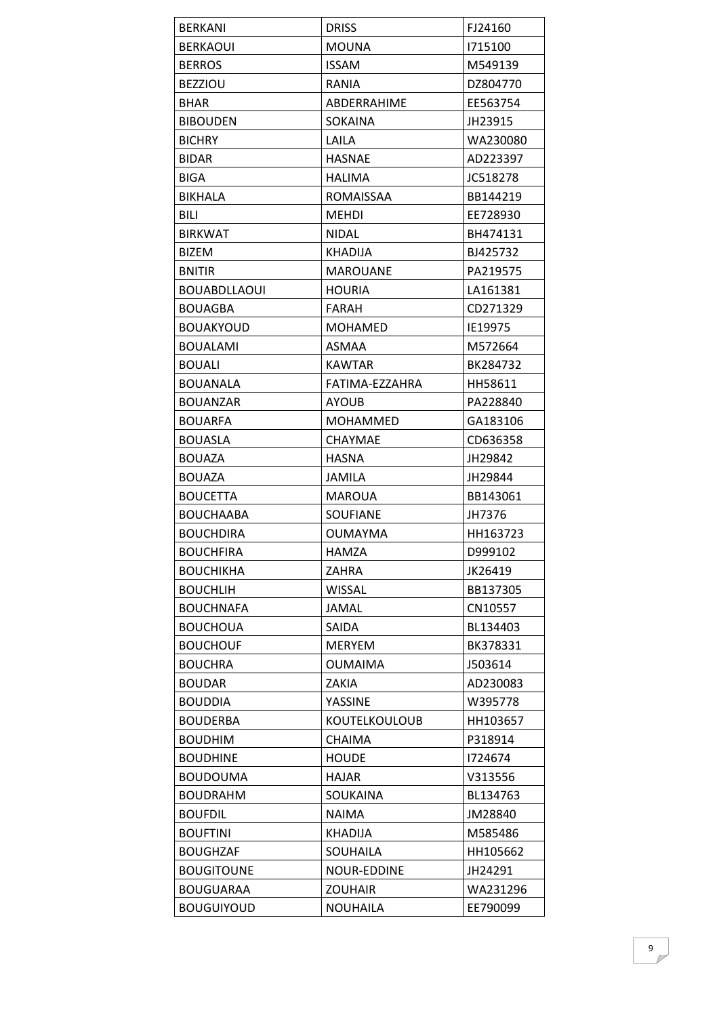| <b>BERKANI</b>      | <b>DRISS</b>         | FJ24160  |
|---------------------|----------------------|----------|
| <b>BERKAOUI</b>     | <b>MOUNA</b>         | 1715100  |
| <b>BERROS</b>       | <b>ISSAM</b>         | M549139  |
| <b>BEZZIOU</b>      | RANIA                | DZ804770 |
| <b>BHAR</b>         | ABDERRAHIME          | EE563754 |
| <b>BIBOUDEN</b>     | <b>SOKAINA</b>       | JH23915  |
| <b>BICHRY</b>       | LAILA                | WA230080 |
| <b>BIDAR</b>        | <b>HASNAE</b>        | AD223397 |
| <b>BIGA</b>         | <b>HALIMA</b>        | JC518278 |
| <b>BIKHALA</b>      | <b>ROMAISSAA</b>     | BB144219 |
| <b>BILI</b>         | <b>MEHDI</b>         | EE728930 |
| <b>BIRKWAT</b>      | <b>NIDAL</b>         | BH474131 |
| <b>BIZEM</b>        | <b>KHADIJA</b>       | BJ425732 |
| <b>BNITIR</b>       | <b>MAROUANE</b>      | PA219575 |
| <b>BOUABDLLAOUI</b> | <b>HOURIA</b>        | LA161381 |
| <b>BOUAGBA</b>      | <b>FARAH</b>         | CD271329 |
| <b>BOUAKYOUD</b>    | <b>MOHAMED</b>       | IE19975  |
| <b>BOUALAMI</b>     | <b>ASMAA</b>         | M572664  |
| <b>BOUALI</b>       | <b>KAWTAR</b>        | BK284732 |
| <b>BOUANALA</b>     | FATIMA-EZZAHRA       | HH58611  |
| <b>BOUANZAR</b>     | <b>AYOUB</b>         | PA228840 |
| <b>BOUARFA</b>      | MOHAMMED             | GA183106 |
| <b>BOUASLA</b>      | <b>CHAYMAE</b>       | CD636358 |
| <b>BOUAZA</b>       | HASNA                | JH29842  |
| <b>BOUAZA</b>       | <b>JAMILA</b>        | JH29844  |
| <b>BOUCETTA</b>     | <b>MAROUA</b>        | BB143061 |
| <b>BOUCHAABA</b>    | <b>SOUFIANE</b>      | JH7376   |
| <b>BOUCHDIRA</b>    | <b>OUMAYMA</b>       | HH163723 |
| <b>BOUCHFIRA</b>    | HAMZA                | D999102  |
| <b>BOUCHIKHA</b>    | ZAHRA                | JK26419  |
| <b>BOUCHLIH</b>     | <b>WISSAL</b>        | BB137305 |
| <b>BOUCHNAFA</b>    | <b>JAMAL</b>         | CN10557  |
| <b>BOUCHOUA</b>     | <b>SAIDA</b>         | BL134403 |
| <b>BOUCHOUF</b>     | <b>MERYEM</b>        | BK378331 |
| <b>BOUCHRA</b>      | <b>OUMAIMA</b>       | J503614  |
| <b>BOUDAR</b>       | ZAKIA                | AD230083 |
| <b>BOUDDIA</b>      | YASSINE              | W395778  |
| <b>BOUDERBA</b>     | <b>KOUTELKOULOUB</b> | HH103657 |
| <b>BOUDHIM</b>      | <b>CHAIMA</b>        | P318914  |
| <b>BOUDHINE</b>     | <b>HOUDE</b>         | 1724674  |
| <b>BOUDOUMA</b>     | HAJAR                | V313556  |
| <b>BOUDRAHM</b>     | SOUKAINA             | BL134763 |
| <b>BOUFDIL</b>      | <b>NAIMA</b>         | JM28840  |
| <b>BOUFTINI</b>     | KHADIJA              | M585486  |
| <b>BOUGHZAF</b>     | SOUHAILA             | HH105662 |
| <b>BOUGITOUNE</b>   | <b>NOUR-EDDINE</b>   | JH24291  |
| <b>BOUGUARAA</b>    | <b>ZOUHAIR</b>       | WA231296 |
| <b>BOUGUIYOUD</b>   | <b>NOUHAILA</b>      | EE790099 |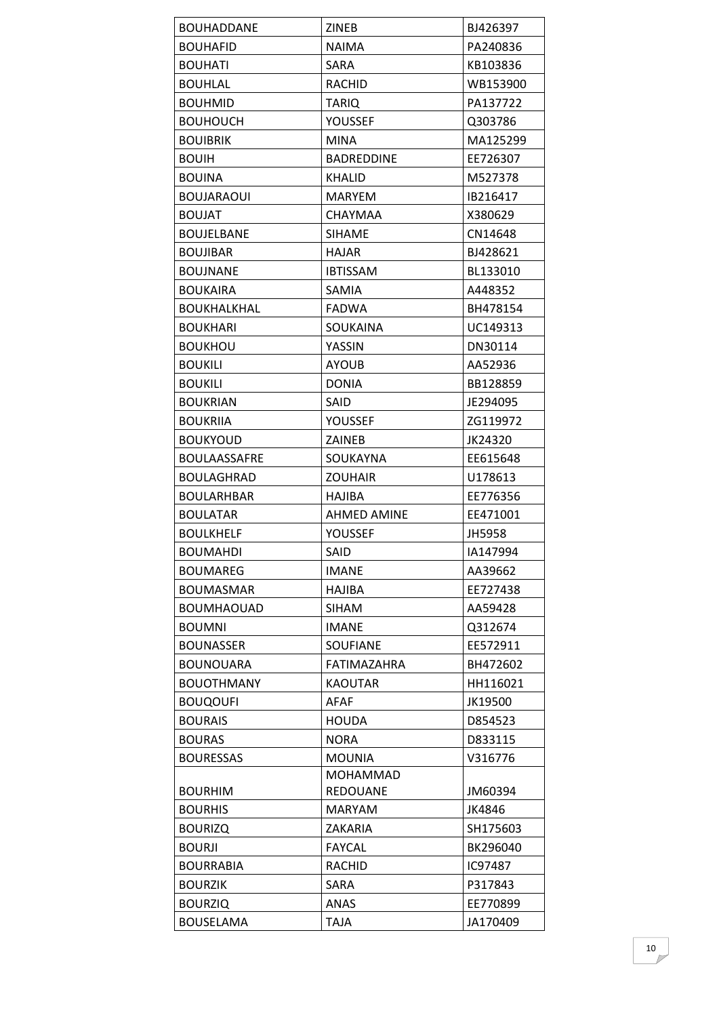| <b>BOUHADDANE</b>  | ZINEB              | BJ426397 |
|--------------------|--------------------|----------|
| <b>BOUHAFID</b>    | <b>NAIMA</b>       | PA240836 |
| <b>BOUHATI</b>     | <b>SARA</b>        | KB103836 |
| BOUHLAL            | <b>RACHID</b>      | WB153900 |
| <b>BOUHMID</b>     | <b>TARIQ</b>       | PA137722 |
| <b>BOUHOUCH</b>    | YOUSSEF            | Q303786  |
| <b>BOUIBRIK</b>    | <b>MINA</b>        | MA125299 |
| <b>BOUIH</b>       | <b>BADREDDINE</b>  | EE726307 |
| <b>BOUINA</b>      | <b>KHALID</b>      | M527378  |
| <b>BOUJARAOUI</b>  | <b>MARYEM</b>      | IB216417 |
| <b>BOUJAT</b>      | <b>CHAYMAA</b>     | X380629  |
| BOUJELBANE         | <b>SIHAME</b>      | CN14648  |
| <b>BOUJIBAR</b>    | <b>HAJAR</b>       | BJ428621 |
| <b>BOUJNANE</b>    | <b>IBTISSAM</b>    | BL133010 |
| <b>BOUKAIRA</b>    | SAMIA              | A448352  |
| <b>BOUKHALKHAL</b> | <b>FADWA</b>       | BH478154 |
| <b>BOUKHARI</b>    | SOUKAINA           | UC149313 |
| <b>BOUKHOU</b>     | YASSIN             | DN30114  |
| <b>BOUKILI</b>     | <b>AYOUB</b>       | AA52936  |
| <b>BOUKILI</b>     | <b>DONIA</b>       | BB128859 |
| <b>BOUKRIAN</b>    | <b>SAID</b>        | JE294095 |
| <b>BOUKRIIA</b>    | <b>YOUSSEF</b>     | ZG119972 |
| <b>BOUKYOUD</b>    | <b>ZAINEB</b>      | JK24320  |
| BOULAASSAFRE       | SOUKAYNA           | EE615648 |
| <b>BOULAGHRAD</b>  | <b>ZOUHAIR</b>     | U178613  |
| <b>BOULARHBAR</b>  | HAJIBA             | EE776356 |
| <b>BOULATAR</b>    | <b>AHMED AMINE</b> | EE471001 |
| <b>BOULKHELF</b>   | YOUSSEF            | JH5958   |
| <b>BOUMAHDI</b>    | SAID               | IA147994 |
| <b>BOUMAREG</b>    | <b>IMANE</b>       | AA39662  |
| <b>BOUMASMAR</b>   | <b>HAJIBA</b>      | EE727438 |
| <b>BOUMHAOUAD</b>  | <b>SIHAM</b>       | AA59428  |
| <b>BOUMNI</b>      | <b>IMANE</b>       | Q312674  |
| <b>BOUNASSER</b>   | <b>SOUFIANE</b>    | EE572911 |
| BOUNOUARA          | FATIMAZAHRA        | BH472602 |
| <b>BOUOTHMANY</b>  | <b>KAOUTAR</b>     | HH116021 |
| <b>BOUQOUFI</b>    | <b>AFAF</b>        | JK19500  |
| <b>BOURAIS</b>     | <b>HOUDA</b>       | D854523  |
| <b>BOURAS</b>      | <b>NORA</b>        | D833115  |
| <b>BOURESSAS</b>   | <b>MOUNIA</b>      | V316776  |
|                    | <b>MOHAMMAD</b>    |          |
| <b>BOURHIM</b>     | <b>REDOUANE</b>    | JM60394  |
| <b>BOURHIS</b>     | <b>MARYAM</b>      | JK4846   |
| <b>BOURIZQ</b>     | ZAKARIA            | SH175603 |
| <b>BOURJI</b>      | <b>FAYCAL</b>      | BK296040 |
| <b>BOURRABIA</b>   | <b>RACHID</b>      | IC97487  |
| <b>BOURZIK</b>     | SARA               | P317843  |
| <b>BOURZIQ</b>     | ANAS               | EE770899 |
| <b>BOUSELAMA</b>   | <b>TAJA</b>        | JA170409 |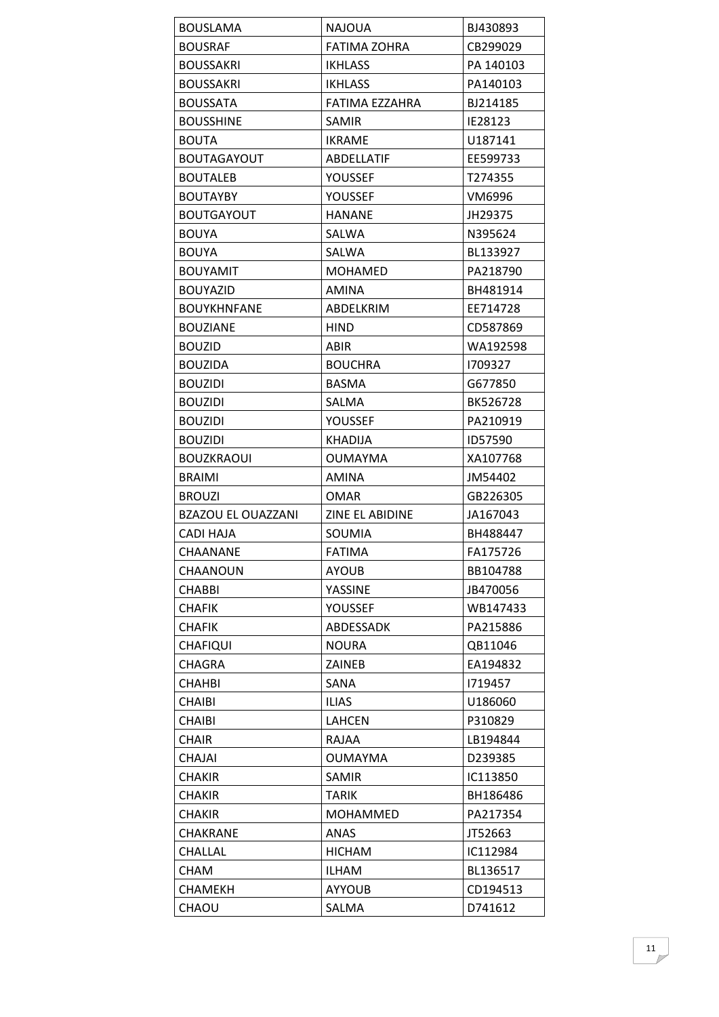| <b>BOUSLAMA</b>           | NAJOUA                 | BJ430893  |
|---------------------------|------------------------|-----------|
| <b>BOUSRAF</b>            | FATIMA ZOHRA           | CB299029  |
| <b>BOUSSAKRI</b>          | <b>IKHLASS</b>         | PA 140103 |
| <b>BOUSSAKRI</b>          | <b>IKHLASS</b>         | PA140103  |
| <b>BOUSSATA</b>           | FATIMA EZZAHRA         | BJ214185  |
| <b>BOUSSHINE</b>          | <b>SAMIR</b>           | IE28123   |
| <b>BOUTA</b>              | <b>IKRAME</b>          | U187141   |
| <b>BOUTAGAYOUT</b>        | ABDELLATIF             | EE599733  |
| <b>BOUTALEB</b>           | YOUSSEF                | T274355   |
| <b>BOUTAYBY</b>           | YOUSSEF                | VM6996    |
| BOUTGAYOUT                | <b>HANANE</b>          | JH29375   |
| <b>BOUYA</b>              | SALWA                  | N395624   |
| <b>BOUYA</b>              | SALWA                  | BL133927  |
| <b>BOUYAMIT</b>           | <b>MOHAMED</b>         | PA218790  |
| <b>BOUYAZID</b>           | <b>AMINA</b>           | BH481914  |
| <b>BOUYKHNFANE</b>        | ABDELKRIM              | EE714728  |
| <b>BOUZIANE</b>           | <b>HIND</b>            | CD587869  |
| <b>BOUZID</b>             | ABIR                   | WA192598  |
| <b>BOUZIDA</b>            | <b>BOUCHRA</b>         | 1709327   |
| <b>BOUZIDI</b>            | <b>BASMA</b>           | G677850   |
| <b>BOUZIDI</b>            | SALMA                  | BK526728  |
| <b>BOUZIDI</b>            | YOUSSEF                | PA210919  |
| <b>BOUZIDI</b>            | <b>KHADIJA</b>         | ID57590   |
| <b>BOUZKRAOUI</b>         | <b>OUMAYMA</b>         | XA107768  |
| <b>BRAIMI</b>             | <b>AMINA</b>           | JM54402   |
| <b>BROUZI</b>             | <b>OMAR</b>            | GB226305  |
| <b>BZAZOU EL OUAZZANI</b> | <b>ZINE EL ABIDINE</b> | JA167043  |
| CADI HAJA                 | SOUMIA                 | BH488447  |
| CHAANANE                  | <b>FATIMA</b>          | FA175726  |
| CHAANOUN                  | AYOUB                  | BB104788  |
| <b>CHABBI</b>             | YASSINE                | JB470056  |
| <b>CHAFIK</b>             | <b>YOUSSEF</b>         | WB147433  |
| <b>CHAFIK</b>             | ABDESSADK              | PA215886  |
| <b>CHAFIQUI</b>           | <b>NOURA</b>           | QB11046   |
| <b>CHAGRA</b>             | ZAINEB                 | EA194832  |
| <b>CHAHBI</b>             | SANA                   | 1719457   |
| <b>CHAIBI</b>             |                        |           |
| <b>CHAIBI</b>             | <b>ILIAS</b>           | U186060   |
|                           | <b>LAHCEN</b>          | P310829   |
| <b>CHAIR</b>              | <b>RAJAA</b>           | LB194844  |
| <b>CHAJAI</b>             | <b>OUMAYMA</b>         | D239385   |
| <b>CHAKIR</b>             | SAMIR                  | IC113850  |
| <b>CHAKIR</b>             | <b>TARIK</b>           | BH186486  |
| <b>CHAKIR</b>             | MOHAMMED               | PA217354  |
| <b>CHAKRANE</b>           | <b>ANAS</b>            | JT52663   |
| CHALLAL                   | <b>HICHAM</b>          | IC112984  |
| <b>CHAM</b>               | ILHAM                  | BL136517  |
| <b>CHAMEKH</b>            | <b>AYYOUB</b>          | CD194513  |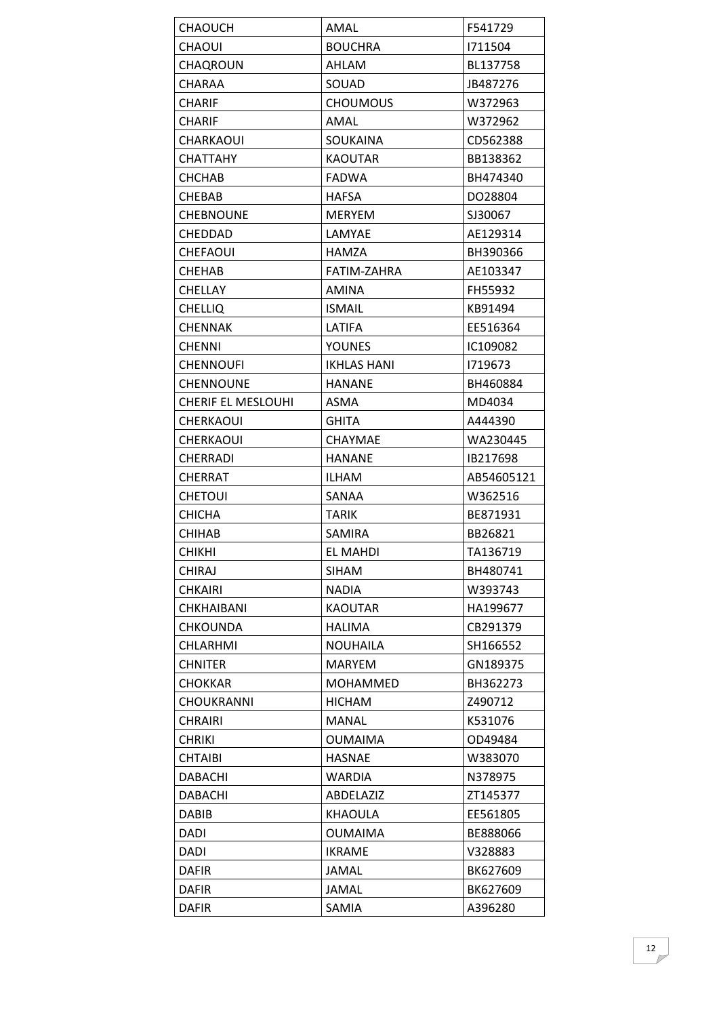| CHAOUCH                   | AMAL               | F541729    |
|---------------------------|--------------------|------------|
| <b>CHAOUI</b>             | <b>BOUCHRA</b>     | 1711504    |
| <b>CHAQROUN</b>           | <b>AHLAM</b>       | BL137758   |
| CHARAA                    | SOUAD              | JB487276   |
| <b>CHARIF</b>             | <b>CHOUMOUS</b>    | W372963    |
| <b>CHARIF</b>             | AMAL               | W372962    |
| CHARKAOUI                 | <b>SOUKAINA</b>    | CD562388   |
| <b>CHATTAHY</b>           | <b>KAOUTAR</b>     | BB138362   |
| <b>CHCHAB</b>             | <b>FADWA</b>       | BH474340   |
| <b>CHEBAB</b>             | <b>HAFSA</b>       | DO28804    |
| <b>CHEBNOUNE</b>          | <b>MERYEM</b>      | SJ30067    |
| CHEDDAD                   | LAMYAE             | AE129314   |
| CHEFAOUI                  | <b>HAMZA</b>       | BH390366   |
| <b>CHEHAB</b>             | FATIM-ZAHRA        | AE103347   |
| <b>CHELLAY</b>            | <b>AMINA</b>       | FH55932    |
| <b>CHELLIQ</b>            | <b>ISMAIL</b>      | KB91494    |
| <b>CHENNAK</b>            | LATIFA             | EE516364   |
| <b>CHENNI</b>             | <b>YOUNES</b>      | IC109082   |
| <b>CHENNOUFI</b>          | <b>IKHLAS HANI</b> | 1719673    |
| <b>CHENNOUNE</b>          | <b>HANANE</b>      | BH460884   |
| <b>CHERIF EL MESLOUHI</b> | <b>ASMA</b>        | MD4034     |
| <b>CHERKAOUI</b>          | <b>GHITA</b>       | A444390    |
| <b>CHERKAOUI</b>          | <b>CHAYMAE</b>     | WA230445   |
| <b>CHERRADI</b>           | <b>HANANE</b>      | IB217698   |
| CHERRAT                   | <b>ILHAM</b>       | AB54605121 |
| <b>CHETOUI</b>            | SANAA              | W362516    |
| <b>CHICHA</b>             | <b>TARIK</b>       | BE871931   |
| <b>CHIHAB</b>             | <b>SAMIRA</b>      | BB26821    |
| <b>CHIKHI</b>             | EL MAHDI           | TA136719   |
| <b>CHIRAJ</b>             | SIHAM              | BH480741   |
| <b>CHKAIRI</b>            | NADIA              | W393743    |
| <b>CHKHAIBANI</b>         | <b>KAOUTAR</b>     | HA199677   |
| <b>CHKOUNDA</b>           | <b>HALIMA</b>      | CB291379   |
| CHLARHMI                  | <b>NOUHAILA</b>    | SH166552   |
| <b>CHNITER</b>            | <b>MARYEM</b>      | GN189375   |
| <b>CHOKKAR</b>            | <b>MOHAMMED</b>    | BH362273   |
| <b>CHOUKRANNI</b>         | <b>HICHAM</b>      | Z490712    |
| <b>CHRAIRI</b>            | <b>MANAL</b>       | K531076    |
| <b>CHRIKI</b>             | <b>OUMAIMA</b>     | OD49484    |
| <b>CHTAIBI</b>            | <b>HASNAE</b>      | W383070    |
| <b>DABACHI</b>            | <b>WARDIA</b>      | N378975    |
| <b>DABACHI</b>            | ABDELAZIZ          | ZT145377   |
| <b>DABIB</b>              | <b>KHAOULA</b>     | EE561805   |
| DADI                      | <b>OUMAIMA</b>     | BE888066   |
| DADI                      | <b>IKRAME</b>      | V328883    |
| <b>DAFIR</b>              | JAMAL              | BK627609   |
| <b>DAFIR</b>              | <b>JAMAL</b>       | BK627609   |
| <b>DAFIR</b>              | SAMIA              | A396280    |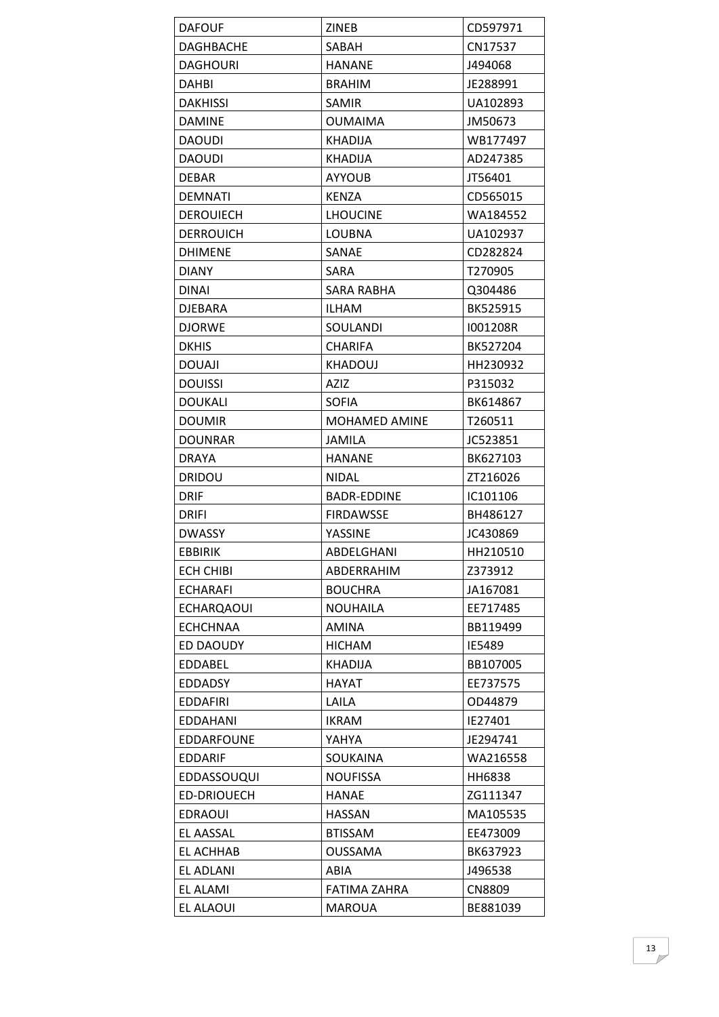| <b>DAFOUF</b>      | <b>ZINEB</b>         | CD597971 |
|--------------------|----------------------|----------|
| DAGHBACHE          | SABAH                | CN17537  |
| <b>DAGHOURI</b>    | <b>HANANE</b>        | J494068  |
| DAHBI              | <b>BRAHIM</b>        | JE288991 |
| <b>DAKHISSI</b>    | <b>SAMIR</b>         | UA102893 |
| <b>DAMINE</b>      | <b>OUMAIMA</b>       | JM50673  |
| <b>DAOUDI</b>      | <b>KHADIJA</b>       | WB177497 |
| <b>DAOUDI</b>      | KHADIJA              | AD247385 |
| <b>DEBAR</b>       | <b>AYYOUB</b>        | JT56401  |
| <b>DEMNATI</b>     | <b>KENZA</b>         | CD565015 |
| <b>DEROUIECH</b>   | <b>LHOUCINE</b>      | WA184552 |
| <b>DERROUICH</b>   | <b>LOUBNA</b>        | UA102937 |
| <b>DHIMENE</b>     | SANAE                | CD282824 |
| <b>DIANY</b>       | <b>SARA</b>          | T270905  |
| <b>DINAI</b>       | SARA RABHA           | Q304486  |
| <b>DJEBARA</b>     | <b>ILHAM</b>         | BK525915 |
| <b>DJORWE</b>      | SOULANDI             | I001208R |
| <b>DKHIS</b>       | <b>CHARIFA</b>       | BK527204 |
| <b>DOUAJI</b>      | <b>KHADOUJ</b>       | HH230932 |
| <b>DOUISSI</b>     | <b>AZIZ</b>          | P315032  |
| <b>DOUKALI</b>     | <b>SOFIA</b>         | BK614867 |
| <b>DOUMIR</b>      | <b>MOHAMED AMINE</b> | T260511  |
| <b>DOUNRAR</b>     | <b>JAMILA</b>        | JC523851 |
| <b>DRAYA</b>       | <b>HANANE</b>        | BK627103 |
| <b>DRIDOU</b>      | <b>NIDAL</b>         | ZT216026 |
| <b>DRIF</b>        | BADR-EDDINE          | IC101106 |
| <b>DRIFI</b>       | <b>FIRDAWSSE</b>     | BH486127 |
| <b>DWASSY</b>      | YASSINE              | JC430869 |
| <b>EBBIRIK</b>     | ABDELGHANI           | HH210510 |
| <b>ECH CHIBI</b>   | ABDERRAHIM           | Z373912  |
| <b>ECHARAFI</b>    | <b>BOUCHRA</b>       | JA167081 |
| <b>ECHARQAOUI</b>  | <b>NOUHAILA</b>      | EE717485 |
| <b>ECHCHNAA</b>    | <b>AMINA</b>         | BB119499 |
| ED DAOUDY          | <b>HICHAM</b>        | IE5489   |
| <b>EDDABEL</b>     | <b>KHADIJA</b>       | BB107005 |
| <b>EDDADSY</b>     | <b>HAYAT</b>         | EE737575 |
| <b>EDDAFIRI</b>    | LAILA                | OD44879  |
| EDDAHANI           | <b>IKRAM</b>         | IE27401  |
| EDDARFOUNE         | YAHYA                | JE294741 |
| <b>EDDARIF</b>     | SOUKAINA             | WA216558 |
| <b>EDDASSOUQUI</b> | <b>NOUFISSA</b>      | HH6838   |
| <b>ED-DRIOUECH</b> | <b>HANAE</b>         | ZG111347 |
| <b>EDRAOUI</b>     | <b>HASSAN</b>        | MA105535 |
| EL AASSAL          | <b>BTISSAM</b>       | EE473009 |
| EL ACHHAB          | <b>OUSSAMA</b>       | BK637923 |
| EL ADLANI          | ABIA                 | J496538  |
| <b>EL ALAMI</b>    | FATIMA ZAHRA         | CN8809   |
| <b>EL ALAOUI</b>   | <b>MAROUA</b>        | BE881039 |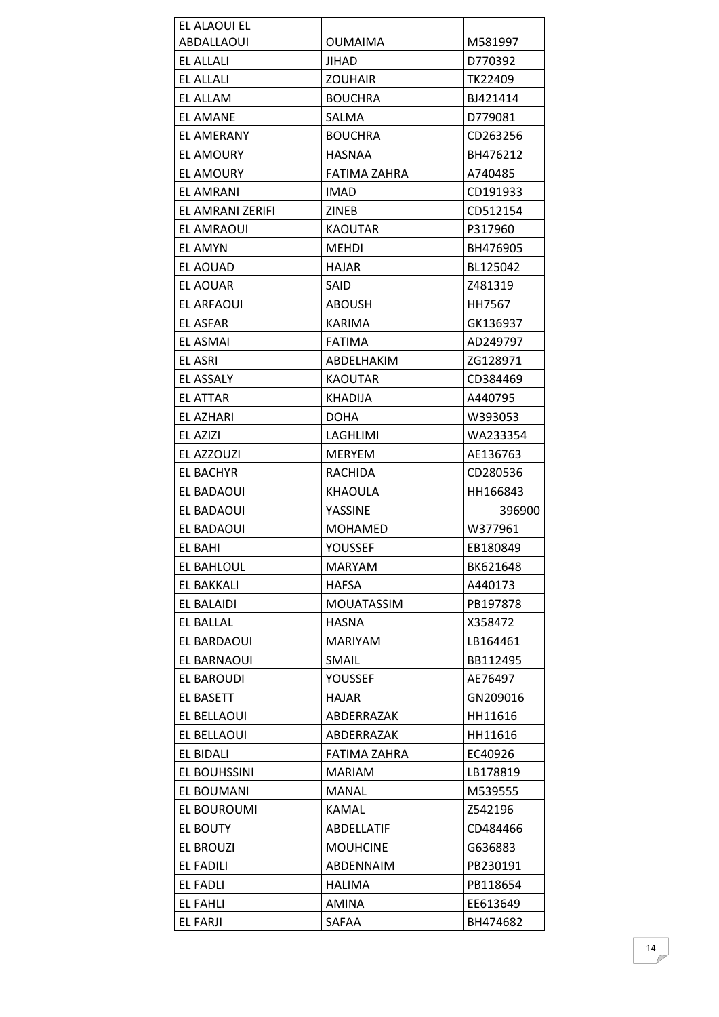| EL ALAOUI EL     |                     |          |
|------------------|---------------------|----------|
| ABDALLAOUI       | <b>OUMAIMA</b>      | M581997  |
| EL ALLALI        | JIHAD               | D770392  |
| EL ALLALI        | <b>ZOUHAIR</b>      | TK22409  |
| EL ALLAM         | <b>BOUCHRA</b>      | BJ421414 |
| <b>EL AMANE</b>  | SALMA               | D779081  |
| EL AMERANY       | <b>BOUCHRA</b>      | CD263256 |
| <b>EL AMOURY</b> | <b>HASNAA</b>       | BH476212 |
| EL AMOURY        | <b>FATIMA ZAHRA</b> | A740485  |
| <b>EL AMRANI</b> | <b>IMAD</b>         | CD191933 |
| EL AMRANI ZERIFI | <b>ZINEB</b>        | CD512154 |
| EL AMRAOUI       | <b>KAOUTAR</b>      | P317960  |
| EL AMYN          | <b>MEHDI</b>        | BH476905 |
| EL AOUAD         | <b>HAJAR</b>        | BL125042 |
| EL AOUAR         | <b>SAID</b>         | Z481319  |
| EL ARFAOUI       | ABOUSH              | HH7567   |
| <b>EL ASFAR</b>  | <b>KARIMA</b>       | GK136937 |
| <b>EL ASMAI</b>  | <b>FATIMA</b>       | AD249797 |
| <b>EL ASRI</b>   | ABDELHAKIM          | ZG128971 |
| <b>EL ASSALY</b> | <b>KAOUTAR</b>      | CD384469 |
| <b>EL ATTAR</b>  | <b>KHADIJA</b>      | A440795  |
| EL AZHARI        | DOHA                | W393053  |
| EL AZIZI         | LAGHLIMI            | WA233354 |
| EL AZZOUZI       | <b>MERYEM</b>       | AE136763 |
| <b>EL BACHYR</b> | <b>RACHIDA</b>      | CD280536 |
| EL BADAOUI       | KHAOULA             | HH166843 |
| EL BADAOUI       | YASSINE             | 396900   |
| EL BADAOUI       | <b>MOHAMED</b>      | W377961  |
| EL BAHI          | YOUSSEF             | EB180849 |
| EL BAHLOUL       | <b>MARYAM</b>       | BK621648 |
| EL BAKKALI       | HAFSA               | A440173  |
| EL BALAIDI       | <b>MOUATASSIM</b>   | PB197878 |
| EL BALLAL        | <b>HASNA</b>        | X358472  |
| EL BARDAOUI      | <b>MARIYAM</b>      | LB164461 |
| EL BARNAOUI      | <b>SMAIL</b>        | BB112495 |
| EL BAROUDI       | <b>YOUSSEF</b>      | AE76497  |
| <b>EL BASETT</b> | <b>HAJAR</b>        | GN209016 |
| EL BELLAOUI      | ABDERRAZAK          | HH11616  |
| EL BELLAOUI      | ABDERRAZAK          | HH11616  |
| EL BIDALI        | FATIMA ZAHRA        | EC40926  |
| EL BOUHSSINI     | <b>MARIAM</b>       | LB178819 |
| EL BOUMANI       | <b>MANAL</b>        | M539555  |
| EL BOUROUMI      | <b>KAMAL</b>        | Z542196  |
| EL BOUTY         | ABDELLATIF          | CD484466 |
| EL BROUZI        | <b>MOUHCINE</b>     | G636883  |
| EL FADILI        | ABDENNAIM           | PB230191 |
| <b>EL FADLI</b>  | <b>HALIMA</b>       | PB118654 |
| EL FAHLI         | <b>AMINA</b>        | EE613649 |
| <b>EL FARJI</b>  | SAFAA               | BH474682 |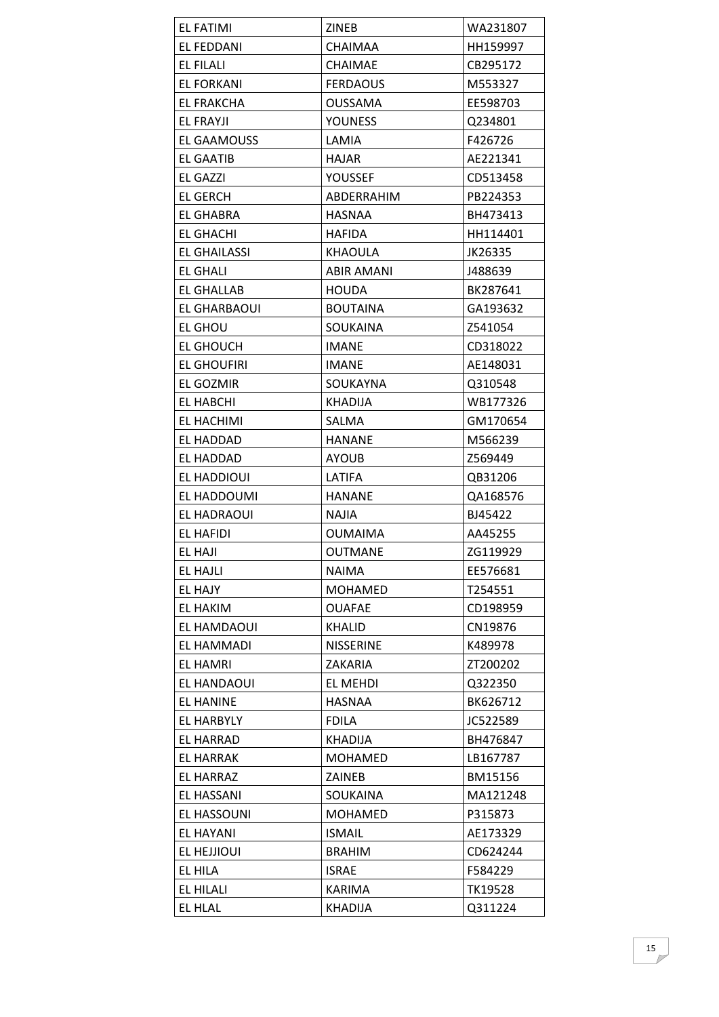| <b>EL FATIMI</b>    | ZINEB             | WA231807 |
|---------------------|-------------------|----------|
| <b>EL FEDDANI</b>   | <b>CHAIMAA</b>    | HH159997 |
| EL FILALI           | <b>CHAIMAE</b>    | CB295172 |
| <b>EL FORKANI</b>   | <b>FERDAOUS</b>   | M553327  |
| EL FRAKCHA          | OUSSAMA           | EE598703 |
| EL FRAYJI           | <b>YOUNESS</b>    | Q234801  |
| EL GAAMOUSS         | LAMIA             | F426726  |
| <b>EL GAATIB</b>    | <b>HAJAR</b>      | AE221341 |
| <b>EL GAZZI</b>     | <b>YOUSSEF</b>    | CD513458 |
| <b>EL GERCH</b>     | ABDERRAHIM        | PB224353 |
| <b>EL GHABRA</b>    | HASNAA            | BH473413 |
| EL GHACHI           | <b>HAFIDA</b>     | HH114401 |
| <b>EL GHAILASSI</b> | <b>KHAOULA</b>    | JK26335  |
| EL GHALI            | <b>ABIR AMANI</b> | J488639  |
| EL GHALLAB          | <b>HOUDA</b>      | BK287641 |
| EL GHARBAOUI        | <b>BOUTAINA</b>   | GA193632 |
| <b>EL GHOU</b>      | SOUKAINA          | Z541054  |
| EL GHOUCH           | <b>IMANE</b>      | CD318022 |
| <b>EL GHOUFIRI</b>  | <b>IMANE</b>      | AE148031 |
| <b>EL GOZMIR</b>    | <b>SOUKAYNA</b>   | Q310548  |
| EL HABCHI           | <b>KHADIJA</b>    | WB177326 |
| EL HACHIMI          | SALMA             | GM170654 |
| EL HADDAD           | <b>HANANE</b>     | M566239  |
| EL HADDAD           | <b>AYOUB</b>      | Z569449  |
| EL HADDIOUI         | LATIFA            | QB31206  |
| EL HADDOUMI         | <b>HANANE</b>     | QA168576 |
| EL HADRAOUI         | <b>NAJIA</b>      | BJ45422  |
| EL HAFIDI           | <b>OUMAIMA</b>    | AA45255  |
| EL HAJI             | <b>OUTMANE</b>    | ZG119929 |
| <b>EL HAJLI</b>     | <b>NAIMA</b>      | EE576681 |
| EL HAJY             | <b>MOHAMED</b>    | T254551  |
| EL HAKIM            | <b>OUAFAE</b>     | CD198959 |
| EL HAMDAOUI         | <b>KHALID</b>     | CN19876  |
| EL HAMMADI          | <b>NISSERINE</b>  | K489978  |
| <b>EL HAMRI</b>     | ZAKARIA           | ZT200202 |
| EL HANDAOUI         | EL MEHDI          | Q322350  |
| <b>EL HANINE</b>    | <b>HASNAA</b>     | BK626712 |
| <b>EL HARBYLY</b>   | <b>FDILA</b>      | JC522589 |
| <b>EL HARRAD</b>    | <b>KHADIJA</b>    | BH476847 |
| <b>EL HARRAK</b>    | <b>MOHAMED</b>    | LB167787 |
| EL HARRAZ           | ZAINEB            | BM15156  |
| EL HASSANI          | SOUKAINA          | MA121248 |
| <b>EL HASSOUNI</b>  | <b>MOHAMED</b>    | P315873  |
| EL HAYANI           | <b>ISMAIL</b>     | AE173329 |
| EL HEJJIOUI         | <b>BRAHIM</b>     | CD624244 |
| EL HILA             | <b>ISRAE</b>      | F584229  |
| EL HILALI           | KARIMA            | TK19528  |
| EL HLAL             | <b>KHADIJA</b>    | Q311224  |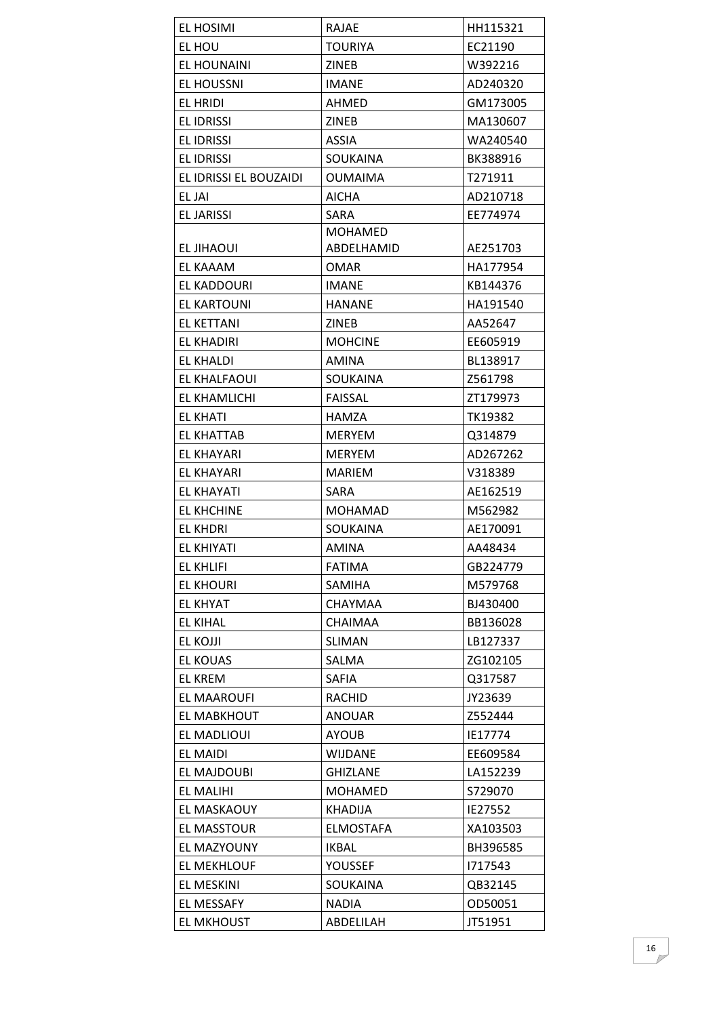| EL HOSIMI              | <b>RAJAE</b>     | HH115321 |
|------------------------|------------------|----------|
| EL HOU                 | TOURIYA          | EC21190  |
| EL HOUNAINI            | <b>ZINEB</b>     | W392216  |
| <b>EL HOUSSNI</b>      | <b>IMANE</b>     | AD240320 |
| EL HRIDI               | AHMED            | GM173005 |
| <b>EL IDRISSI</b>      | <b>ZINEB</b>     | MA130607 |
| <b>EL IDRISSI</b>      | <b>ASSIA</b>     | WA240540 |
| <b>EL IDRISSI</b>      | SOUKAINA         | BK388916 |
| EL IDRISSI EL BOUZAIDI | <b>OUMAIMA</b>   | T271911  |
| EL JAI                 | <b>AICHA</b>     | AD210718 |
| <b>EL JARISSI</b>      | SARA             | EE774974 |
|                        | <b>MOHAMED</b>   |          |
| EL JIHAOUI             | ABDELHAMID       | AE251703 |
| EL KAAAM               | <b>OMAR</b>      | HA177954 |
| EL KADDOURI            | <b>IMANE</b>     | KB144376 |
| EL KARTOUNI            | <b>HANANE</b>    | HA191540 |
| EL KETTANI             | <b>ZINEB</b>     | AA52647  |
| <b>EL KHADIRI</b>      | <b>MOHCINE</b>   | EE605919 |
| <b>EL KHALDI</b>       | AMINA            | BL138917 |
| EL KHALFAOUI           | SOUKAINA         | Z561798  |
| EL KHAMLICHI           | <b>FAISSAL</b>   | ZT179973 |
| <b>EL KHATI</b>        | HAMZA            | TK19382  |
| EL KHATTAB             | MERYEM           | Q314879  |
| EL KHAYARI             | <b>MERYEM</b>    | AD267262 |
| EL KHAYARI             | <b>MARIEM</b>    | V318389  |
| EL KHAYATI             | SARA             | AE162519 |
| <b>EL KHCHINE</b>      | <b>MOHAMAD</b>   | M562982  |
| <b>EL KHDRI</b>        | <b>SOUKAINA</b>  | AE170091 |
| <b>EL KHIYATI</b>      | AMINA            | AA48434  |
| <b>EL KHLIFI</b>       | <b>FATIMA</b>    | GB224779 |
| <b>EL KHOURI</b>       | <b>SAMIHA</b>    | M579768  |
| <b>EL KHYAT</b>        | <b>CHAYMAA</b>   | BJ430400 |
| <b>EL KIHAL</b>        | <b>CHAIMAA</b>   | BB136028 |
| EL KOJJI               | <b>SLIMAN</b>    | LB127337 |
| <b>EL KOUAS</b>        | SALMA            | ZG102105 |
| <b>EL KREM</b>         | <b>SAFIA</b>     | Q317587  |
| <b>EL MAAROUFI</b>     | <b>RACHID</b>    | JY23639  |
| EL MABKHOUT            | ANOUAR           | Z552444  |
| EL MADLIOUI            | <b>AYOUB</b>     | IE17774  |
| EL MAIDI               | <b>WIJDANE</b>   | EE609584 |
| EL MAJDOUBI            | <b>GHIZLANE</b>  | LA152239 |
| <b>EL MALIHI</b>       | <b>MOHAMED</b>   | S729070  |
| EL MASKAOUY            | <b>KHADIJA</b>   | IE27552  |
| EL MASSTOUR            | <b>ELMOSTAFA</b> | XA103503 |
| EL MAZYOUNY            | IKBAL            | BH396585 |
| EL MEKHLOUF            | YOUSSEF          | 1717543  |
| EL MESKINI             | SOUKAINA         | QB32145  |
| EL MESSAFY             | <b>NADIA</b>     | OD50051  |
| <b>EL MKHOUST</b>      | ABDELILAH        | JT51951  |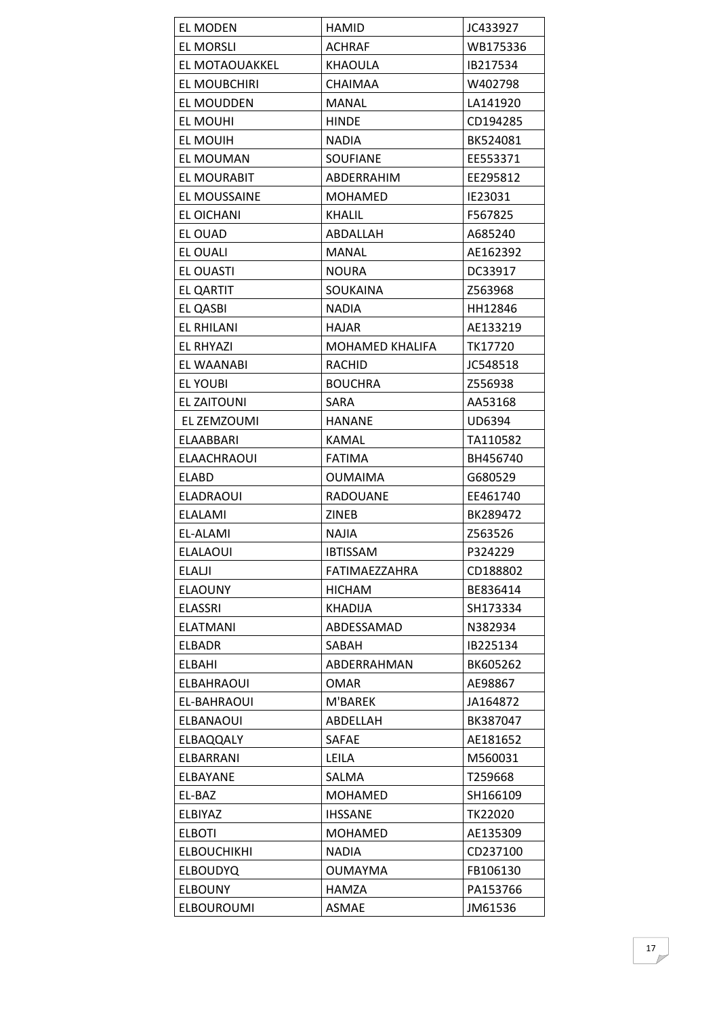| <b>EL MODEN</b>    | <b>HAMID</b>    | JC433927 |
|--------------------|-----------------|----------|
| <b>EL MORSLI</b>   | <b>ACHRAF</b>   | WB175336 |
| EL MOTAOUAKKEL     | <b>KHAOULA</b>  | IB217534 |
| EL MOUBCHIRI       | <b>CHAIMAA</b>  | W402798  |
| EL MOUDDEN         | <b>MANAL</b>    | LA141920 |
| EL MOUHI           | <b>HINDE</b>    | CD194285 |
| EL MOUIH           | <b>NADIA</b>    | BK524081 |
| EL MOUMAN          | <b>SOUFIANE</b> | EE553371 |
| EL MOURABIT        | ABDERRAHIM      | EE295812 |
| EL MOUSSAINE       | <b>MOHAMED</b>  | IE23031  |
| EL OICHANI         | <b>KHALIL</b>   | F567825  |
| EL OUAD            | ABDALLAH        | A685240  |
| EL OUALI           | <b>MANAL</b>    | AE162392 |
| EL OUASTI          | <b>NOURA</b>    | DC33917  |
| <b>EL QARTIT</b>   | <b>SOUKAINA</b> | Z563968  |
| EL QASBI           | <b>NADIA</b>    | HH12846  |
| EL RHILANI         | <b>HAJAR</b>    | AE133219 |
| EL RHYAZI          | MOHAMED KHALIFA | TK17720  |
| EL WAANABI         | <b>RACHID</b>   | JC548518 |
| EL YOUBI           | <b>BOUCHRA</b>  | Z556938  |
| EL ZAITOUNI        | <b>SARA</b>     | AA53168  |
| EL ZEMZOUMI        | <b>HANANE</b>   | UD6394   |
| ELAABBARI          | <b>KAMAL</b>    | TA110582 |
| ELAACHRAOUI        | <b>FATIMA</b>   | BH456740 |
| <b>ELABD</b>       | <b>OUMAIMA</b>  | G680529  |
| <b>ELADRAOUI</b>   | RADOUANE        | EE461740 |
| <b>ELALAMI</b>     | ZINEB           | BK289472 |
| EL-ALAMI           | NAJIA           | Z563526  |
| <b>ELALAOUI</b>    | <b>IBTISSAM</b> | P324229  |
| ELALJI             | FATIMAEZZAHRA   | CD188802 |
| <b>ELAOUNY</b>     | <b>HICHAM</b>   | BE836414 |
| <b>ELASSRI</b>     | <b>KHADIJA</b>  | SH173334 |
| <b>ELATMANI</b>    | ABDESSAMAD      | N382934  |
| <b>ELBADR</b>      | SABAH           | IB225134 |
| ELBAHI             | ABDERRAHMAN     | BK605262 |
| <b>ELBAHRAOUI</b>  | <b>OMAR</b>     | AE98867  |
| EL-BAHRAOUI        | M'BAREK         | JA164872 |
| <b>ELBANAOUI</b>   | ABDELLAH        | BK387047 |
| <b>ELBAQQALY</b>   | <b>SAFAE</b>    | AE181652 |
| ELBARRANI          | LEILA           | M560031  |
| ELBAYANE           | SALMA           | T259668  |
| EL-BAZ             | <b>MOHAMED</b>  | SH166109 |
| ELBIYAZ            | <b>IHSSANE</b>  | TK22020  |
| <b>ELBOTI</b>      | <b>MOHAMED</b>  | AE135309 |
| <b>ELBOUCHIKHI</b> | <b>NADIA</b>    | CD237100 |
| <b>ELBOUDYQ</b>    | <b>OUMAYMA</b>  | FB106130 |
| <b>ELBOUNY</b>     | HAMZA           | PA153766 |
| <b>ELBOUROUMI</b>  | <b>ASMAE</b>    | JM61536  |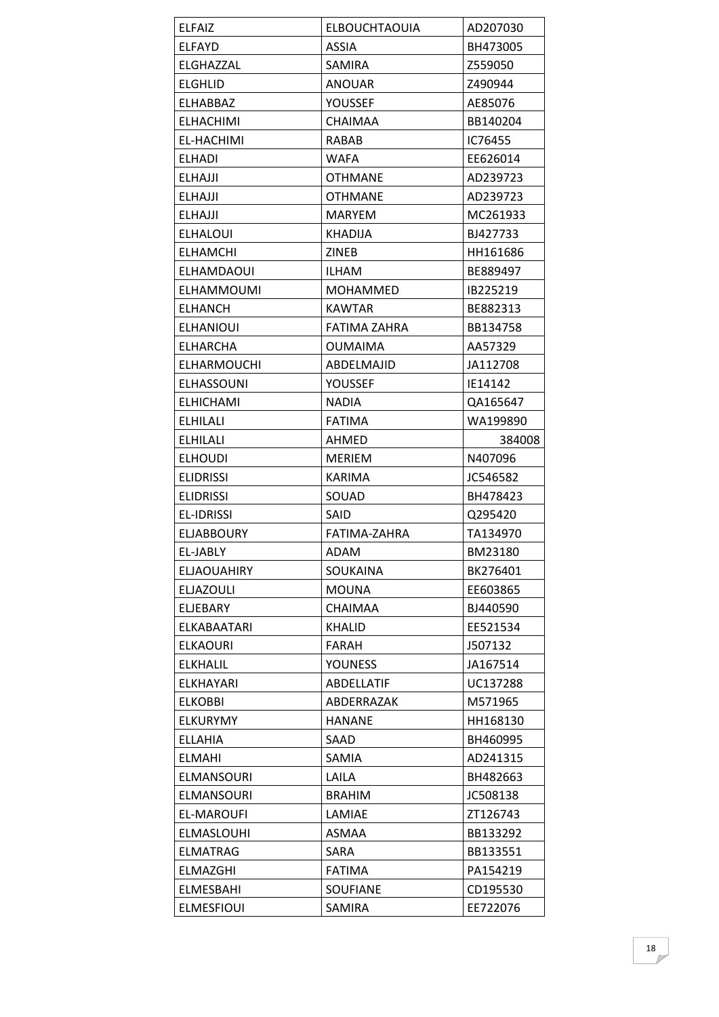| <b>ELFAIZ</b>      | <b>ELBOUCHTAOUIA</b> | AD207030 |
|--------------------|----------------------|----------|
| <b>ELFAYD</b>      | <b>ASSIA</b>         | BH473005 |
| ELGHAZZAL          | SAMIRA               | Z559050  |
| ELGHLID            | <b>ANOUAR</b>        | Z490944  |
| <b>ELHABBAZ</b>    | YOUSSEF              | AE85076  |
| <b>ELHACHIMI</b>   | <b>CHAIMAA</b>       | BB140204 |
| <b>EL-HACHIMI</b>  | <b>RABAB</b>         | IC76455  |
| <b>ELHADI</b>      | <b>WAFA</b>          | EE626014 |
| <b>ELHAJJI</b>     | <b>OTHMANE</b>       | AD239723 |
| <b>ELHAJJI</b>     | <b>OTHMANE</b>       | AD239723 |
| <b>ELHAJJI</b>     | <b>MARYEM</b>        | MC261933 |
| <b>ELHALOUI</b>    | <b>KHADIJA</b>       | BJ427733 |
| <b>ELHAMCHI</b>    | <b>ZINEB</b>         | HH161686 |
| ELHAMDAOUI         | <b>ILHAM</b>         | BE889497 |
| <b>ELHAMMOUMI</b>  | MOHAMMED             | IB225219 |
| ELHANCH            | <b>KAWTAR</b>        | BE882313 |
| <b>ELHANIOUI</b>   | FATIMA ZAHRA         | BB134758 |
| ELHARCHA           | OUMAIMA              | AA57329  |
| ELHARMOUCHI        | ABDELMAJID           | JA112708 |
| <b>ELHASSOUNI</b>  | YOUSSEF              | IE14142  |
| <b>ELHICHAMI</b>   | <b>NADIA</b>         | QA165647 |
| <b>ELHILALI</b>    | <b>FATIMA</b>        | WA199890 |
| <b>ELHILALI</b>    | AHMED                | 384008   |
| <b>ELHOUDI</b>     | <b>MERIEM</b>        | N407096  |
| <b>ELIDRISSI</b>   | <b>KARIMA</b>        | JC546582 |
|                    | SOUAD                | BH478423 |
| <b>ELIDRISSI</b>   |                      |          |
| <b>EL-IDRISSI</b>  | SAID                 | Q295420  |
| ELJABBOURY         | FATIMA-ZAHRA         | TA134970 |
| EL-JABLY           | <b>ADAM</b>          | BM23180  |
| <b>ELJAOUAHIRY</b> | SOUKAINA             | BK276401 |
| <b>ELJAZOULI</b>   | <b>MOUNA</b>         | EE603865 |
| ELJEBARY           | <b>CHAIMAA</b>       | BJ440590 |
| ELKABAATARI        | <b>KHALID</b>        | EE521534 |
| <b>ELKAOURI</b>    | FARAH                | J507132  |
| <b>ELKHALIL</b>    | <b>YOUNESS</b>       | JA167514 |
| ELKHAYARI          | <b>ABDELLATIF</b>    | UC137288 |
| <b>ELKOBBI</b>     | ABDERRAZAK           | M571965  |
| <b>ELKURYMY</b>    | <b>HANANE</b>        | HH168130 |
| <b>ELLAHIA</b>     | SAAD                 | BH460995 |
| <b>ELMAHI</b>      | SAMIA                | AD241315 |
| <b>ELMANSOURI</b>  | LAILA                | BH482663 |
| <b>ELMANSOURI</b>  | <b>BRAHIM</b>        | JC508138 |
| EL-MAROUFI         | LAMIAE               | ZT126743 |
| ELMASLOUHI         | <b>ASMAA</b>         | BB133292 |
| <b>ELMATRAG</b>    | <b>SARA</b>          | BB133551 |
| ELMAZGHI           | <b>FATIMA</b>        | PA154219 |
| ELMESBAHI          | <b>SOUFIANE</b>      | CD195530 |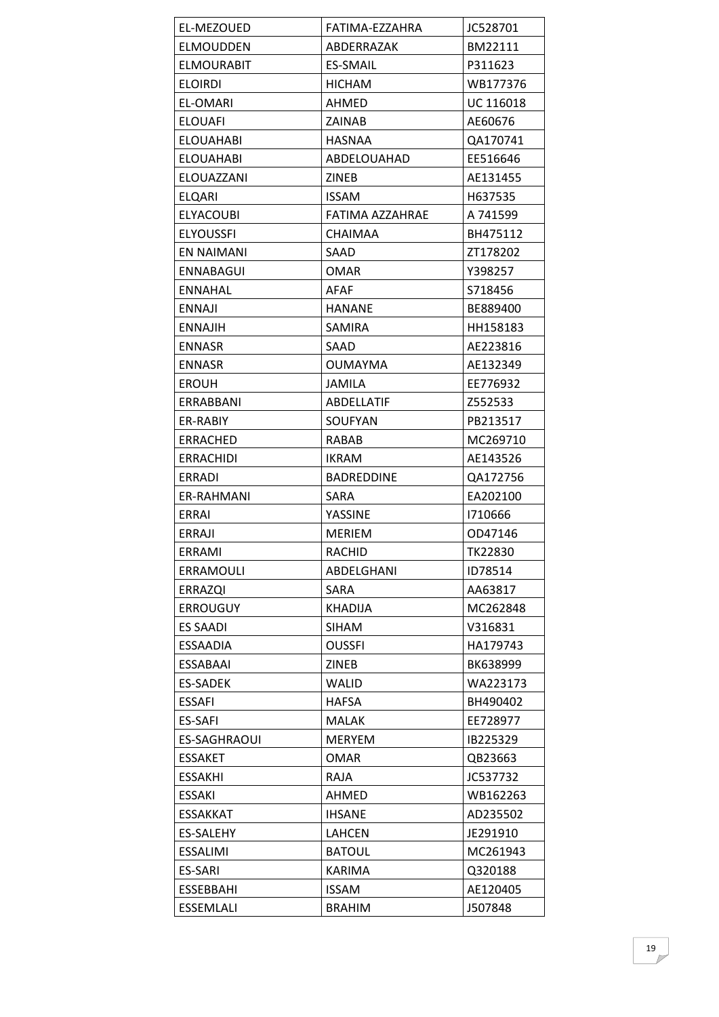| <b>EL-MEZOUED</b> | FATIMA-EZZAHRA    | JC528701  |
|-------------------|-------------------|-----------|
| ELMOUDDEN         | ABDERRAZAK        | BM22111   |
| <b>ELMOURABIT</b> | <b>ES-SMAIL</b>   | P311623   |
| ELOIRDI           | <b>HICHAM</b>     | WB177376  |
| <b>EL-OMARI</b>   | <b>AHMED</b>      | UC 116018 |
| <b>ELOUAFI</b>    | <b>ZAINAB</b>     | AE60676   |
| <b>ELOUAHABI</b>  | <b>HASNAA</b>     | QA170741  |
| ELOUAHABI         | ABDELOUAHAD       | EE516646  |
| ELOUAZZANI        | ZINEB             | AE131455  |
| ELQARI            | <b>ISSAM</b>      | H637535   |
| ELYACOUBI         | FATIMA AZZAHRAE   | A 741599  |
| <b>ELYOUSSFI</b>  | <b>CHAIMAA</b>    | BH475112  |
| EN NAIMANI        | SAAD              | ZT178202  |
| ENNABAGUI         | <b>OMAR</b>       | Y398257   |
| <b>ENNAHAL</b>    | <b>AFAF</b>       | S718456   |
| ENNAJI            | <b>HANANE</b>     | BE889400  |
| <b>ENNAJIH</b>    | SAMIRA            | HH158183  |
| <b>ENNASR</b>     | SAAD              | AE223816  |
| <b>ENNASR</b>     | <b>OUMAYMA</b>    | AE132349  |
| EROUH             | JAMILA            | EE776932  |
| ERRABBANI         | ABDELLATIF        | Z552533   |
| ER-RABIY          | SOUFYAN           | PB213517  |
| ERRACHED          | RABAB             | MC269710  |
| <b>ERRACHIDI</b>  | <b>IKRAM</b>      | AE143526  |
| ERRADI            | <b>BADREDDINE</b> | QA172756  |
| ER-RAHMANI        | SARA              | EA202100  |
| <b>ERRAI</b>      | YASSINE           | 1710666   |
| ERRAJI            | <b>MERIEM</b>     | OD47146   |
| ERRAMI            | <b>RACHID</b>     | TK22830   |
| ERRAMOULI         | ABDELGHANI        | ID78514   |
| <b>ERRAZQI</b>    | SARA              | AA63817   |
| <b>ERROUGUY</b>   | <b>KHADIJA</b>    | MC262848  |
| <b>ES SAADI</b>   | <b>SIHAM</b>      | V316831   |
| <b>ESSAADIA</b>   | <b>OUSSFI</b>     | HA179743  |
| ESSABAAI          | <b>ZINEB</b>      | BK638999  |
| <b>ES-SADEK</b>   | <b>WALID</b>      | WA223173  |
| <b>ESSAFI</b>     | <b>HAFSA</b>      | BH490402  |
| ES-SAFI           | <b>MALAK</b>      | EE728977  |
| ES-SAGHRAOUI      | <b>MERYEM</b>     | IB225329  |
| <b>ESSAKET</b>    | OMAR              | QB23663   |
| <b>ESSAKHI</b>    | <b>RAJA</b>       | JC537732  |
| <b>ESSAKI</b>     | <b>AHMED</b>      | WB162263  |
| <b>ESSAKKAT</b>   | <b>IHSANE</b>     | AD235502  |
| <b>ES-SALEHY</b>  | LAHCEN            | JE291910  |
| <b>ESSALIMI</b>   | <b>BATOUL</b>     | MC261943  |
| <b>ES-SARI</b>    | KARIMA            | Q320188   |
| ESSEBBAHI         | <b>ISSAM</b>      | AE120405  |
| <b>ESSEMLALI</b>  | <b>BRAHIM</b>     | J507848   |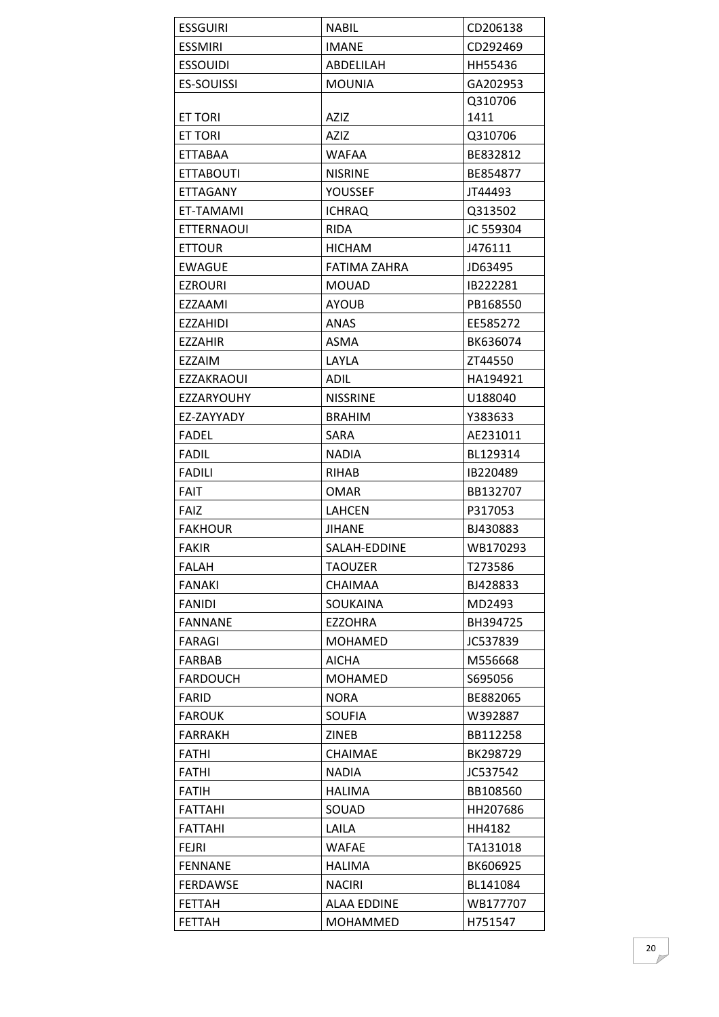| <b>ESSGUIRI</b>   | <b>NABIL</b>       | CD206138  |
|-------------------|--------------------|-----------|
| <b>ESSMIRI</b>    | <b>IMANE</b>       | CD292469  |
| <b>ESSOUIDI</b>   | ABDELILAH          | HH55436   |
| <b>ES-SOUISSI</b> | <b>MOUNIA</b>      | GA202953  |
|                   |                    | Q310706   |
| <b>ET TORI</b>    | AZIZ               | 1411      |
| <b>ET TORI</b>    | AZIZ               | Q310706   |
| ETTABAA           | <b>WAFAA</b>       | BE832812  |
| ETTABOUTI         | <b>NISRINE</b>     | BE854877  |
| ETTAGANY          | YOUSSEF            | JT44493   |
| ET-TAMAMI         | <b>ICHRAQ</b>      | Q313502   |
| ETTERNAOUI        | <b>RIDA</b>        | JC 559304 |
| <b>ETTOUR</b>     | <b>HICHAM</b>      | J476111   |
| <b>EWAGUE</b>     | FATIMA ZAHRA       | JD63495   |
| EZROURI           | <b>MOUAD</b>       | IB222281  |
| EZZAAMI           | <b>AYOUB</b>       | PB168550  |
| EZZAHIDI          | <b>ANAS</b>        | EE585272  |
| <b>EZZAHIR</b>    | <b>ASMA</b>        | BK636074  |
| EZZAIM            | LAYLA              | ZT44550   |
| <b>EZZAKRAOUI</b> | <b>ADIL</b>        | HA194921  |
| EZZARYOUHY        | <b>NISSRINE</b>    | U188040   |
| EZ-ZAYYADY        | <b>BRAHIM</b>      | Y383633   |
| <b>FADEL</b>      | <b>SARA</b>        | AE231011  |
| <b>FADIL</b>      | <b>NADIA</b>       | BL129314  |
| <b>FADILI</b>     | <b>RIHAB</b>       | IB220489  |
| <b>FAIT</b>       | OMAR               | BB132707  |
| FAIZ              | <b>LAHCEN</b>      | P317053   |
| <b>FAKHOUR</b>    | <b>JIHANE</b>      | BJ430883  |
| <b>FAKIR</b>      | SALAH-EDDINE       | WB170293  |
| <b>FALAH</b>      | <b>TAOUZER</b>     | T273586   |
| <b>FANAKI</b>     | <b>CHAIMAA</b>     | BJ428833  |
| <b>FANIDI</b>     | <b>SOUKAINA</b>    | MD2493    |
| <b>FANNANE</b>    | <b>EZZOHRA</b>     | BH394725  |
| <b>FARAGI</b>     | <b>MOHAMED</b>     | JC537839  |
| <b>FARBAB</b>     | <b>AICHA</b>       | M556668   |
| <b>FARDOUCH</b>   | <b>MOHAMED</b>     | S695056   |
| FARID             | <b>NORA</b>        | BE882065  |
| <b>FAROUK</b>     | <b>SOUFIA</b>      | W392887   |
| <b>FARRAKH</b>    | <b>ZINEB</b>       | BB112258  |
| <b>FATHI</b>      | <b>CHAIMAE</b>     | BK298729  |
| <b>FATHI</b>      | <b>NADIA</b>       | JC537542  |
| <b>FATIH</b>      | <b>HALIMA</b>      | BB108560  |
| <b>FATTAHI</b>    | SOUAD              | HH207686  |
| <b>FATTAHI</b>    | LAILA              | HH4182    |
| <b>FEJRI</b>      | <b>WAFAE</b>       | TA131018  |
| <b>FENNANE</b>    | <b>HALIMA</b>      | BK606925  |
| <b>FERDAWSE</b>   | <b>NACIRI</b>      | BL141084  |
| <b>FETTAH</b>     | <b>ALAA EDDINE</b> | WB177707  |
| <b>FETTAH</b>     | <b>MOHAMMED</b>    | H751547   |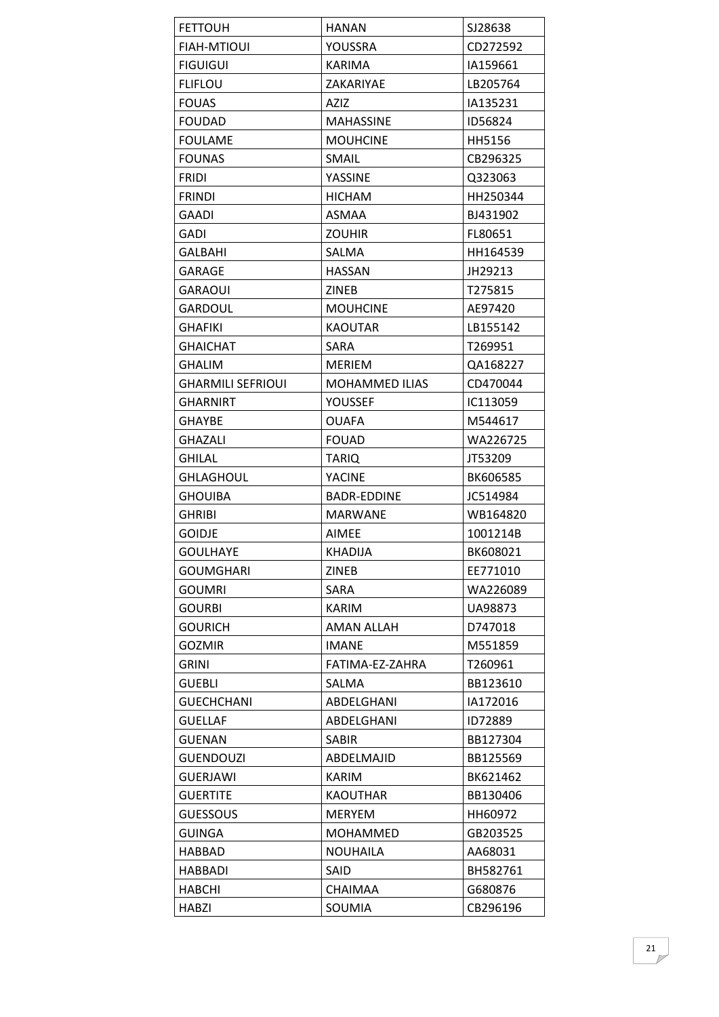| <b>FETTOUH</b>           | HANAN             | SJ28638  |
|--------------------------|-------------------|----------|
| <b>FIAH-MTIOUI</b>       | YOUSSRA           | CD272592 |
| <b>FIGUIGUI</b>          | <b>KARIMA</b>     | IA159661 |
| <b>FLIFLOU</b>           | ZAKARIYAE         | LB205764 |
| <b>FOUAS</b>             | <b>AZIZ</b>       | IA135231 |
| <b>FOUDAD</b>            | <b>MAHASSINE</b>  | ID56824  |
| <b>FOULAME</b>           | <b>MOUHCINE</b>   | HH5156   |
| <b>FOUNAS</b>            | <b>SMAIL</b>      | CB296325 |
| FRIDI                    | YASSINE           | Q323063  |
| <b>FRINDI</b>            | <b>HICHAM</b>     | HH250344 |
| GAADI                    | ASMAA             | BJ431902 |
| GADI                     | <b>ZOUHIR</b>     | FL80651  |
| GALBAHI                  | SALMA             | HH164539 |
| GARAGE                   | <b>HASSAN</b>     | JH29213  |
| <b>GARAOUI</b>           | <b>ZINEB</b>      | T275815  |
| <b>GARDOUL</b>           | <b>MOUHCINE</b>   | AE97420  |
| <b>GHAFIKI</b>           | <b>KAOUTAR</b>    | LB155142 |
| GHAICHAT                 | <b>SARA</b>       | T269951  |
| <b>GHALIM</b>            | <b>MERIEM</b>     | QA168227 |
| <b>GHARMILI SEFRIOUI</b> | MOHAMMED ILIAS    | CD470044 |
| GHARNIRT                 | YOUSSEF           | IC113059 |
| <b>GHAYBE</b>            | <b>OUAFA</b>      | M544617  |
| <b>GHAZALI</b>           | <b>FOUAD</b>      | WA226725 |
| <b>GHILAL</b>            | <b>TARIQ</b>      | JT53209  |
| GHLAGHOUL                | <b>YACINE</b>     | BK606585 |
| <b>GHOUIBA</b>           | BADR-EDDINE       | JC514984 |
| <b>GHRIBI</b>            | <b>MARWANE</b>    | WB164820 |
| <b>GOIDJE</b>            | AIMEE             | 1001214B |
| <b>GOULHAYE</b>          | <b>KHADIJA</b>    | BK608021 |
| <b>GOUMGHARI</b>         | <b>ZINEB</b>      | EE771010 |
| <b>GOUMRI</b>            | SARA              | WA226089 |
| <b>GOURBI</b>            | <b>KARIM</b>      | UA98873  |
| <b>GOURICH</b>           | <b>AMAN ALLAH</b> | D747018  |
| <b>GOZMIR</b>            | <b>IMANE</b>      | M551859  |
| <b>GRINI</b>             | FATIMA-EZ-ZAHRA   | T260961  |
| <b>GUEBLI</b>            | SALMA             | BB123610 |
| <b>GUECHCHANI</b>        | ABDELGHANI        | IA172016 |
| <b>GUELLAF</b>           | ABDELGHANI        | ID72889  |
| <b>GUENAN</b>            | <b>SABIR</b>      | BB127304 |
| <b>GUENDOUZI</b>         | ABDELMAJID        | BB125569 |
| <b>GUERJAWI</b>          | KARIM             | BK621462 |
| <b>GUERTITE</b>          | <b>KAOUTHAR</b>   | BB130406 |
| <b>GUESSOUS</b>          | <b>MERYEM</b>     | HH60972  |
| <b>GUINGA</b>            | <b>MOHAMMED</b>   | GB203525 |
| HABBAD                   | <b>NOUHAILA</b>   | AA68031  |
| <b>HABBADI</b>           | SAID              | BH582761 |
| <b>HABCHI</b>            | <b>CHAIMAA</b>    | G680876  |
| <b>HABZI</b>             | SOUMIA            | CB296196 |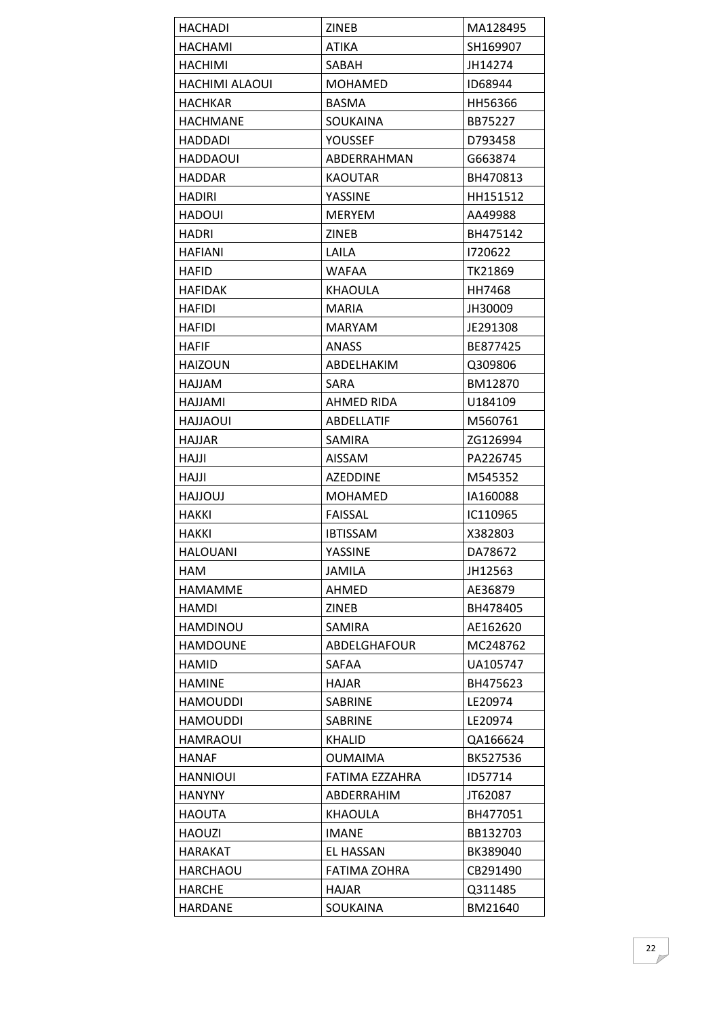| <b>HACHADI</b>        | ZINEB               | MA128495 |
|-----------------------|---------------------|----------|
| <b>HACHAMI</b>        | <b>ATIKA</b>        | SH169907 |
| <b>HACHIMI</b>        | SABAH               | JH14274  |
| <b>HACHIMI ALAOUI</b> | MOHAMED             | ID68944  |
| <b>HACHKAR</b>        | <b>BASMA</b>        | HH56366  |
| <b>HACHMANE</b>       | SOUKAINA            | BB75227  |
| <b>HADDADI</b>        | <b>YOUSSEF</b>      | D793458  |
| HADDAOUI              | ABDERRAHMAN         | G663874  |
| <b>HADDAR</b>         | KAOUTAR             | BH470813 |
| <b>HADIRI</b>         | YASSINE             | HH151512 |
| <b>HADOUI</b>         | <b>MERYEM</b>       | AA49988  |
| <b>HADRI</b>          | <b>ZINEB</b>        | BH475142 |
| <b>HAFIANI</b>        | LAILA               | 1720622  |
| <b>HAFID</b>          | <b>WAFAA</b>        | TK21869  |
| <b>HAFIDAK</b>        | <b>KHAOULA</b>      | HH7468   |
| HAFIDI                | MARIA               | JH30009  |
| HAFIDI                | <b>MARYAM</b>       | JE291308 |
| HAFIF                 | ANASS               | BE877425 |
| <b>HAIZOUN</b>        | ABDELHAKIM          | Q309806  |
| MALLAH                | SARA                | BM12870  |
| HAJJAMI               | AHMED RIDA          | U184109  |
| <b>HAJJAOUI</b>       | <b>ABDELLATIF</b>   | M560761  |
| <b>HAJJAR</b>         | <b>SAMIRA</b>       | ZG126994 |
| HAJJI                 | <b>AISSAM</b>       | PA226745 |
| HAJJI                 | <b>AZEDDINE</b>     | M545352  |
| <b>LUOLLAH</b>        | <b>MOHAMED</b>      | IA160088 |
| HAKKI                 | <b>FAISSAL</b>      | IC110965 |
| HAKKI                 | <b>IBTISSAM</b>     | X382803  |
| <b>HALOUANI</b>       | <b>YASSINE</b>      | DA78672  |
| HAM                   | JAMILA              | JH12563  |
| <b>HAMAMME</b>        | AHMED               | AE36879  |
| HAMDI                 | ZINEB               | BH478405 |
| <b>HAMDINOU</b>       | SAMIRA              | AE162620 |
| <b>HAMDOUNE</b>       | ABDELGHAFOUR        | MC248762 |
| HAMID                 | SAFAA               | UA105747 |
| <b>HAMINE</b>         | <b>HAJAR</b>        | BH475623 |
| <b>HAMOUDDI</b>       | <b>SABRINE</b>      | LE20974  |
| <b>HAMOUDDI</b>       | <b>SABRINE</b>      | LE20974  |
| <b>HAMRAOUI</b>       | <b>KHALID</b>       | QA166624 |
| <b>HANAF</b>          | <b>OUMAIMA</b>      | BK527536 |
| HANNIOUI              | FATIMA EZZAHRA      | ID57714  |
| <b>HANYNY</b>         | ABDERRAHIM          | JT62087  |
| <b>HAOUTA</b>         | <b>KHAOULA</b>      | BH477051 |
| <b>HAOUZI</b>         | <b>IMANE</b>        | BB132703 |
| <b>HARAKAT</b>        | <b>EL HASSAN</b>    | BK389040 |
| HARCHAOU              | <b>FATIMA ZOHRA</b> | CB291490 |
| HARCHE                | <b>HAJAR</b>        | Q311485  |
| <b>HARDANE</b>        | SOUKAINA            | BM21640  |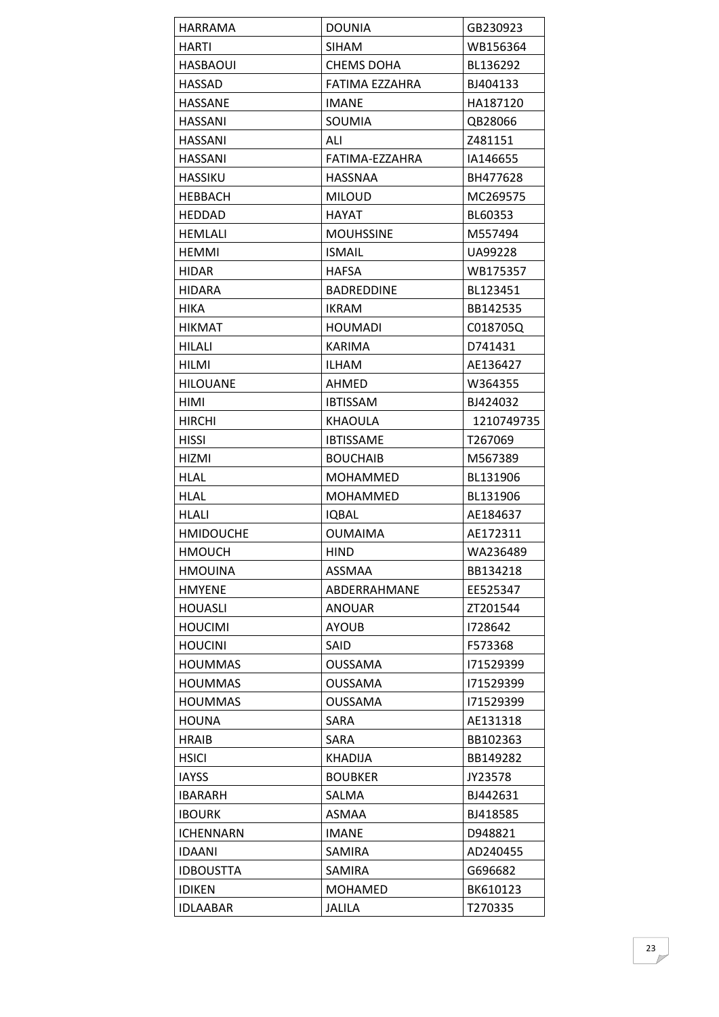| <b>HARRAMA</b>   | <b>DOUNIA</b>     | GB230923   |
|------------------|-------------------|------------|
| HARTI            | <b>SIHAM</b>      | WB156364   |
| <b>HASBAOUI</b>  | <b>CHEMS DOHA</b> | BL136292   |
| <b>HASSAD</b>    | FATIMA EZZAHRA    | BJ404133   |
| HASSANE          | <b>IMANE</b>      | HA187120   |
| <b>HASSANI</b>   | <b>SOUMIA</b>     | QB28066    |
| HASSANI          | ALI               | Z481151    |
| HASSANI          | FATIMA-EZZAHRA    | IA146655   |
| <b>HASSIKU</b>   | <b>HASSNAA</b>    | BH477628   |
| <b>HEBBACH</b>   | <b>MILOUD</b>     | MC269575   |
| HEDDAD           | <b>HAYAT</b>      | BL60353    |
| <b>HEMLALI</b>   | <b>MOUHSSINE</b>  | M557494    |
| <b>HEMMI</b>     | <b>ISMAIL</b>     | UA99228    |
| <b>HIDAR</b>     | <b>HAFSA</b>      | WB175357   |
| HIDARA           | BADREDDINE        | BL123451   |
| <b>HIKA</b>      | <b>IKRAM</b>      | BB142535   |
| <b>HIKMAT</b>    | <b>HOUMADI</b>    | C018705Q   |
| HILALI           | KARIMA            | D741431    |
| HILMI            | <b>ILHAM</b>      | AE136427   |
| <b>HILOUANE</b>  | AHMED             | W364355    |
| HIMI             | <b>IBTISSAM</b>   | BJ424032   |
| <b>HIRCHI</b>    | KHAOULA           | 1210749735 |
| HISSI            | <b>IBTISSAME</b>  | T267069    |
| HIZMI            | <b>BOUCHAIB</b>   | M567389    |
| HLAL             | MOHAMMED          | BL131906   |
| <b>HLAL</b>      | MOHAMMED          | BL131906   |
| HLALI            | <b>IQBAL</b>      | AE184637   |
| <b>HMIDOUCHE</b> | <b>OUMAIMA</b>    | AE172311   |
| <b>HMOUCH</b>    | <b>HIND</b>       | WA236489   |
| <b>HMOUINA</b>   | ASSMAA            | BB134218   |
| <b>HMYENE</b>    | ABDERRAHMANE      | EE525347   |
| <b>HOUASLI</b>   | <b>ANOUAR</b>     | ZT201544   |
| <b>HOUCIMI</b>   | <b>AYOUB</b>      | 1728642    |
| <b>HOUCINI</b>   | SAID              | F573368    |
| <b>HOUMMAS</b>   | <b>OUSSAMA</b>    | 171529399  |
| <b>HOUMMAS</b>   | <b>OUSSAMA</b>    | 171529399  |
| <b>HOUMMAS</b>   | OUSSAMA           | 171529399  |
| <b>HOUNA</b>     | <b>SARA</b>       | AE131318   |
| <b>HRAIB</b>     | <b>SARA</b>       | BB102363   |
| <b>HSICI</b>     | KHADIJA           | BB149282   |
| <b>IAYSS</b>     | <b>BOUBKER</b>    | JY23578    |
| <b>IBARARH</b>   | SALMA             | BJ442631   |
| <b>IBOURK</b>    | ASMAA             | BJ418585   |
| <b>ICHENNARN</b> | <b>IMANE</b>      | D948821    |
| <b>IDAANI</b>    | <b>SAMIRA</b>     | AD240455   |
| <b>IDBOUSTTA</b> | SAMIRA            | G696682    |
| <b>IDIKEN</b>    | <b>MOHAMED</b>    | BK610123   |
| <b>IDLAABAR</b>  | <b>JALILA</b>     | T270335    |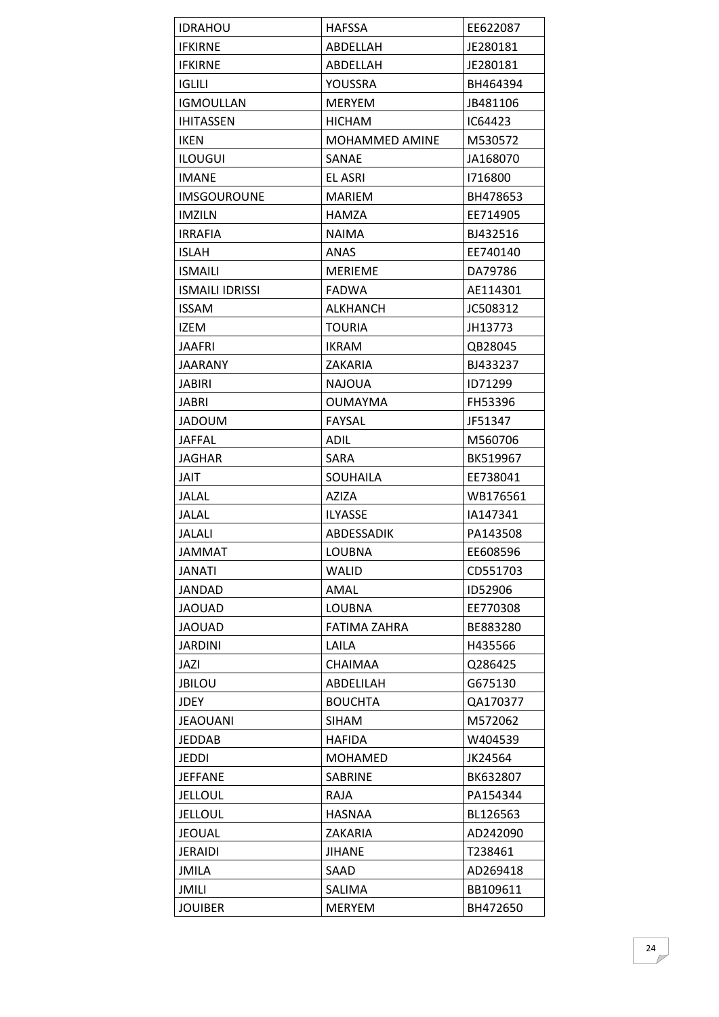| <b>IDRAHOU</b>         | <b>HAFSSA</b>         | EE622087 |
|------------------------|-----------------------|----------|
| <b>IFKIRNE</b>         | ABDELLAH              | JE280181 |
| <b>IFKIRNE</b>         | ABDELLAH              | JE280181 |
| <b>IGLILI</b>          | YOUSSRA               | BH464394 |
| <b>IGMOULLAN</b>       | <b>MERYEM</b>         | JB481106 |
| <b>IHITASSEN</b>       | <b>HICHAM</b>         | IC64423  |
| <b>IKEN</b>            | <b>MOHAMMED AMINE</b> | M530572  |
| <b>ILOUGUI</b>         | SANAE                 | JA168070 |
| <b>IMANE</b>           | <b>EL ASRI</b>        | 1716800  |
| <b>IMSGOUROUNE</b>     | <b>MARIEM</b>         | BH478653 |
| <b>IMZILN</b>          | HAMZA                 | EE714905 |
| <b>IRRAFIA</b>         | <b>NAIMA</b>          | BJ432516 |
| <b>ISLAH</b>           | <b>ANAS</b>           | EE740140 |
| <b>ISMAILI</b>         | <b>MERIEME</b>        | DA79786  |
| <b>ISMAILI IDRISSI</b> | FADWA                 | AE114301 |
| <b>ISSAM</b>           | <b>ALKHANCH</b>       | JC508312 |
| <b>IZEM</b>            | <b>TOURIA</b>         | JH13773  |
| <b>JAAFRI</b>          | IKRAM                 | QB28045  |
| <b>JAARANY</b>         | ZAKARIA               | BJ433237 |
| <b>JABIRI</b>          | <b>NAJOUA</b>         | ID71299  |
| <b>JABRI</b>           | <b>OUMAYMA</b>        | FH53396  |
| <b>JADOUM</b>          | FAYSAL                | JF51347  |
| <b>JAFFAL</b>          | <b>ADIL</b>           | M560706  |
| JAGHAR                 | <b>SARA</b>           | BK519967 |
| JAIT                   | <b>SOUHAILA</b>       | EE738041 |
| <b>JALAL</b>           | <b>AZIZA</b>          | WB176561 |
| JALAL                  | <b>ILYASSE</b>        | IA147341 |
| <b>JALALI</b>          | ABDESSADIK            | PA143508 |
| <b>JAMMAT</b>          | LOUBNA                | EE608596 |
| <b>JANATI</b>          | WALID                 | CD551703 |
| JANDAD                 | AMAL                  | ID52906  |
| <b>JAOUAD</b>          | LOUBNA                | EE770308 |
| <b>JAOUAD</b>          | <b>FATIMA ZAHRA</b>   | BE883280 |
| <b>JARDINI</b>         | LAILA                 | H435566  |
| JAZI                   | <b>CHAIMAA</b>        | Q286425  |
| <b>JBILOU</b>          | ABDELILAH             | G675130  |
| <b>JDEY</b>            | <b>BOUCHTA</b>        | QA170377 |
| <b>JEAOUANI</b>        | <b>SIHAM</b>          | M572062  |
| <b>JEDDAB</b>          | <b>HAFIDA</b>         | W404539  |
| <b>JEDDI</b>           | <b>MOHAMED</b>        | JK24564  |
| <b>JEFFANE</b>         | SABRINE               | BK632807 |
| <b>JELLOUL</b>         | <b>RAJA</b>           | PA154344 |
| <b>JELLOUL</b>         | <b>HASNAA</b>         | BL126563 |
| <b>JEOUAL</b>          | ZAKARIA               | AD242090 |
| <b>JERAIDI</b>         | <b>JIHANE</b>         | T238461  |
| JMILA                  | SAAD                  | AD269418 |
| JMILI                  | SALIMA                | BB109611 |
| <b>JOUIBER</b>         | <b>MERYEM</b>         | BH472650 |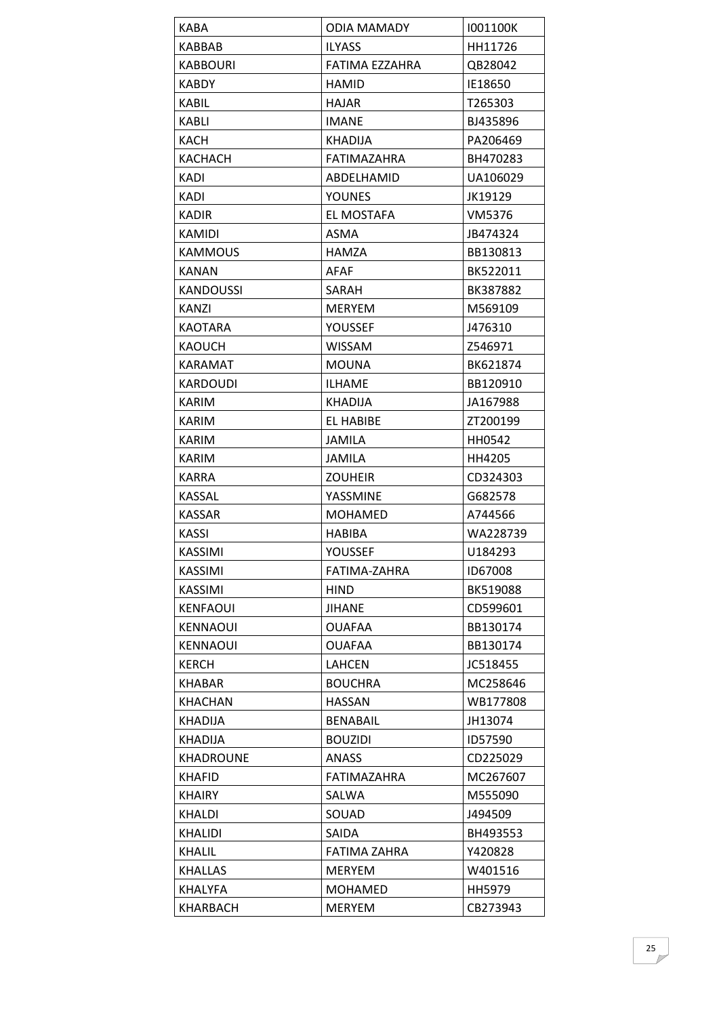| <b>KABA</b>      | <b>ODIA MAMADY</b> | 1001100K |
|------------------|--------------------|----------|
| <b>KABBAB</b>    | <b>ILYASS</b>      | HH11726  |
| <b>KABBOURI</b>  | FATIMA EZZAHRA     | QB28042  |
| <b>KABDY</b>     | <b>HAMID</b>       | IE18650  |
| KABIL            | <b>HAJAR</b>       | T265303  |
| <b>KABLI</b>     | <b>IMANE</b>       | BJ435896 |
| KACH             | <b>KHADIJA</b>     | PA206469 |
| <b>KACHACH</b>   | FATIMAZAHRA        | BH470283 |
| <b>KADI</b>      | ABDELHAMID         | UA106029 |
| KADI             | <b>YOUNES</b>      | JK19129  |
| <b>KADIR</b>     | EL MOSTAFA         | VM5376   |
| KAMIDI           | <b>ASMA</b>        | JB474324 |
| <b>KAMMOUS</b>   | HAMZA              | BB130813 |
| KANAN            | <b>AFAF</b>        | BK522011 |
| <b>KANDOUSSI</b> | SARAH              | BK387882 |
| KANZI            | <b>MERYEM</b>      | M569109  |
| <b>KAOTARA</b>   | <b>YOUSSEF</b>     | J476310  |
| <b>KAOUCH</b>    | <b>WISSAM</b>      | Z546971  |
| <b>KARAMAT</b>   | <b>MOUNA</b>       | BK621874 |
| <b>KARDOUDI</b>  | <b>ILHAME</b>      | BB120910 |
| KARIM            | KHADIJA            | JA167988 |
| KARIM            | EL HABIBE          | ZT200199 |
| KARIM            | <b>JAMILA</b>      | HH0542   |
| KARIM            | <b>JAMILA</b>      | HH4205   |
| <b>KARRA</b>     | <b>ZOUHEIR</b>     | CD324303 |
| KASSAL           | YASSMINE           | G682578  |
| <b>KASSAR</b>    | <b>MOHAMED</b>     | A744566  |
| <b>KASSI</b>     | <b>HABIBA</b>      | WA228739 |
| <b>KASSIMI</b>   | <b>YOUSSEF</b>     | U184293  |
| KASSIMI          | FATIMA-ZAHRA       | ID67008  |
| KASSIMI          | <b>HIND</b>        | BK519088 |
| <b>KENFAOUI</b>  | <b>JIHANE</b>      | CD599601 |
| <b>KENNAOUI</b>  | <b>OUAFAA</b>      | BB130174 |
| <b>KENNAOUI</b>  | <b>OUAFAA</b>      | BB130174 |
| <b>KERCH</b>     | LAHCEN             | JC518455 |
| <b>KHABAR</b>    | <b>BOUCHRA</b>     | MC258646 |
| <b>KHACHAN</b>   | <b>HASSAN</b>      | WB177808 |
| KHADIJA          | <b>BENABAIL</b>    | JH13074  |
| <b>KHADIJA</b>   | <b>BOUZIDI</b>     | ID57590  |
| <b>KHADROUNE</b> | ANASS              | CD225029 |
| <b>KHAFID</b>    | <b>FATIMAZAHRA</b> | MC267607 |
| <b>KHAIRY</b>    | SALWA              | M555090  |
| <b>KHALDI</b>    | SOUAD              | J494509  |
| <b>KHALIDI</b>   | <b>SAIDA</b>       | BH493553 |
| KHALIL           | FATIMA ZAHRA       | Y420828  |
| <b>KHALLAS</b>   | <b>MERYEM</b>      | W401516  |
| <b>KHALYFA</b>   | <b>MOHAMED</b>     | HH5979   |
| KHARBACH         | <b>MERYEM</b>      | CB273943 |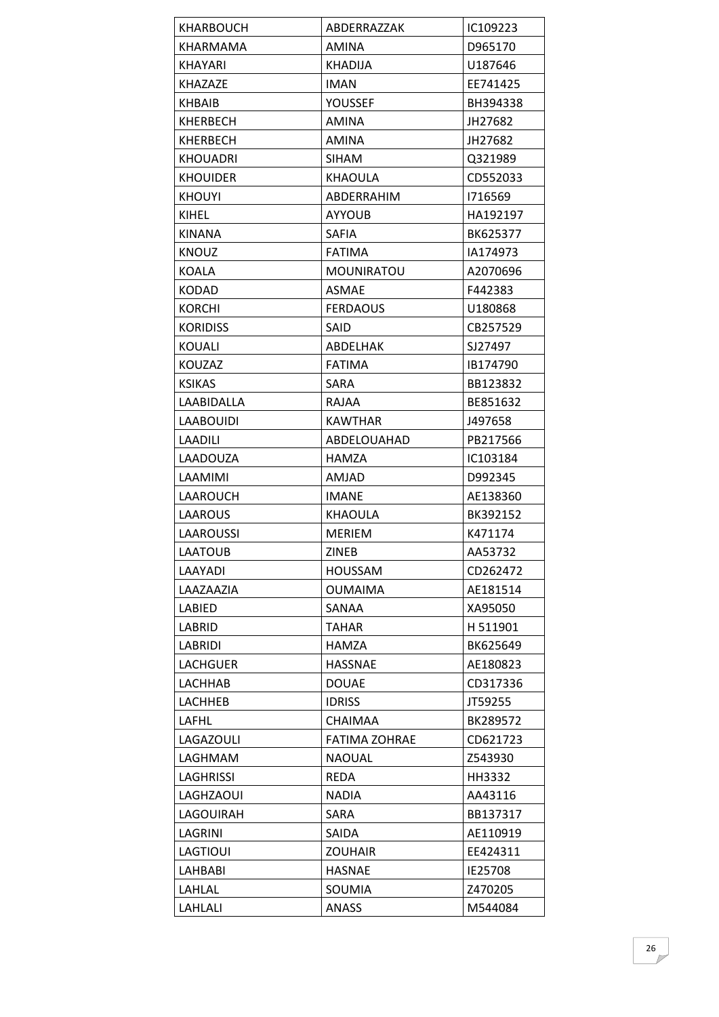| KHARBOUCH        | ABDERRAZZAK          | IC109223 |
|------------------|----------------------|----------|
| <b>KHARMAMA</b>  | AMINA                | D965170  |
| <b>KHAYARI</b>   | <b>KHADIJA</b>       | U187646  |
| <b>KHAZAZE</b>   | <b>IMAN</b>          | EE741425 |
| KHBAIB           | YOUSSEF              | BH394338 |
| KHERBECH         | AMINA                | JH27682  |
| KHERBECH         | <b>AMINA</b>         | JH27682  |
| <b>KHOUADRI</b>  | SIHAM.               | Q321989  |
| <b>KHOUIDER</b>  | <b>KHAOULA</b>       | CD552033 |
| <b>KHOUYI</b>    | ABDERRAHIM           | 1716569  |
| KIHEL            | <b>AYYOUB</b>        | HA192197 |
| KINANA           | <b>SAFIA</b>         | BK625377 |
| <b>KNOUZ</b>     | <b>FATIMA</b>        | IA174973 |
| KOALA            | <b>MOUNIRATOU</b>    | A2070696 |
| <b>KODAD</b>     | ASMAE                | F442383  |
| <b>KORCHI</b>    | <b>FERDAOUS</b>      | U180868  |
| <b>KORIDISS</b>  | <b>SAID</b>          | CB257529 |
| KOUALI           | ABDELHAK             | SJ27497  |
| KOUZAZ           | <b>FATIMA</b>        | IB174790 |
| <b>KSIKAS</b>    | SARA                 | BB123832 |
| LAABIDALLA       | RAJAA                | BE851632 |
| <b>LAABOUIDI</b> | <b>KAWTHAR</b>       | J497658  |
| <b>LAADILI</b>   | ABDELOUAHAD          | PB217566 |
| LAADOUZA         | HAMZA                | IC103184 |
| LAAMIMI          | <b>AMJAD</b>         | D992345  |
| LAAROUCH         | <b>IMANE</b>         | AE138360 |
| LAAROUS          | KHAOULA              | BK392152 |
| <b>LAAROUSSI</b> | <b>MERIEM</b>        | K471174  |
| <b>LAATOUB</b>   | <b>ZINEB</b>         | AA53732  |
| LAAYADI          | <b>HOUSSAM</b>       | CD262472 |
| LAAZAAZIA        | <b>OUMAIMA</b>       | AE181514 |
| LABIED           | SANAA                | XA95050  |
| LABRID           | TAHAR                | H 511901 |
| LABRIDI          | HAMZA                | BK625649 |
| <b>LACHGUER</b>  | <b>HASSNAE</b>       | AE180823 |
| LACHHAB          | <b>DOUAE</b>         | CD317336 |
| <b>LACHHEB</b>   | <b>IDRISS</b>        | JT59255  |
| LAFHL            | <b>CHAIMAA</b>       | BK289572 |
| LAGAZOULI        | <b>FATIMA ZOHRAE</b> | CD621723 |
| LAGHMAM          | <b>NAOUAL</b>        | Z543930  |
| LAGHRISSI        | REDA                 | HH3332   |
| LAGHZAOUI        | <b>NADIA</b>         | AA43116  |
| LAGOUIRAH        | SARA                 | BB137317 |
| LAGRINI          | SAIDA                | AE110919 |
| LAGTIOUI         | <b>ZOUHAIR</b>       | EE424311 |
| LAHBABI          | <b>HASNAE</b>        | IE25708  |
| LAHLAL           | SOUMIA               | Z470205  |
| LAHLALI          | <b>ANASS</b>         | M544084  |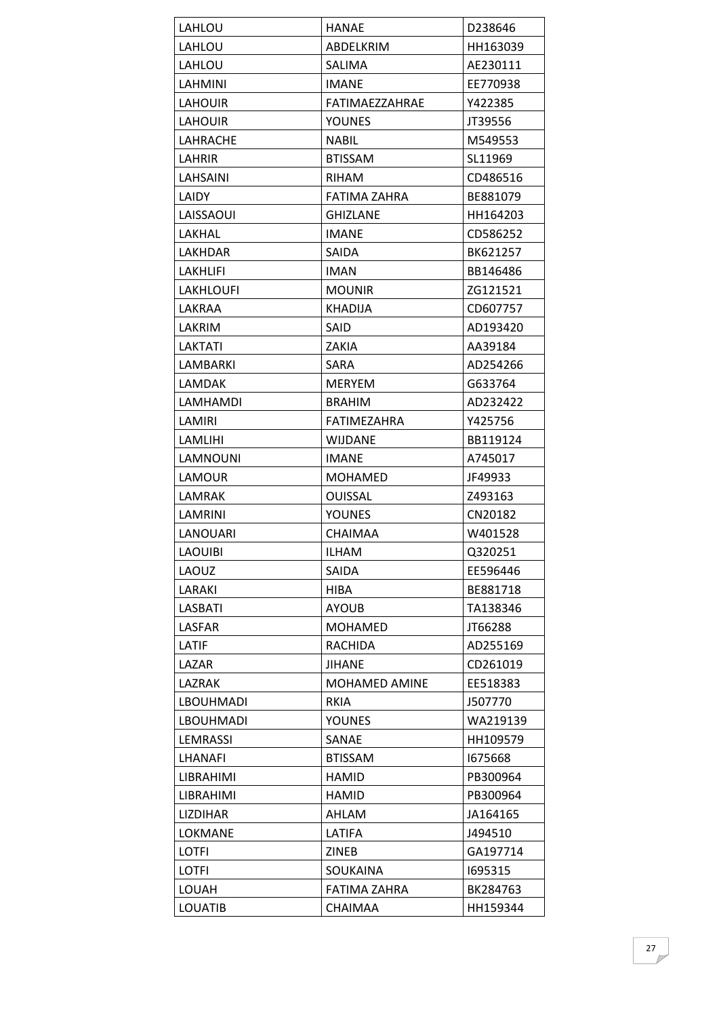| LAHLOU           | HANAE                | D238646  |
|------------------|----------------------|----------|
| LAHLOU           | ABDELKRIM            | HH163039 |
| LAHLOU           | <b>SALIMA</b>        | AE230111 |
| LAHMINI          | IMANE                | EE770938 |
| <b>LAHOUIR</b>   | FATIMAEZZAHRAE       | Y422385  |
| LAHOUIR          | <b>YOUNES</b>        | JT39556  |
| LAHRACHE         | <b>NABIL</b>         | M549553  |
| LAHRIR           | <b>BTISSAM</b>       | SL11969  |
| LAHSAINI         | <b>RIHAM</b>         | CD486516 |
| LAIDY            | FATIMA ZAHRA         | BE881079 |
| LAISSAOUI        | <b>GHIZLANE</b>      | HH164203 |
| LAKHAL           | <b>IMANE</b>         | CD586252 |
| LAKHDAR          | <b>SAIDA</b>         | BK621257 |
| LAKHLIFI         | <b>IMAN</b>          | BB146486 |
| <b>LAKHLOUFI</b> | <b>MOUNIR</b>        | ZG121521 |
| LAKRAA           | <b>KHADIJA</b>       | CD607757 |
| LAKRIM           | <b>SAID</b>          | AD193420 |
| LAKTATI          | ZAKIA                | AA39184  |
| LAMBARKI         | <b>SARA</b>          | AD254266 |
| <b>LAMDAK</b>    | <b>MERYEM</b>        | G633764  |
| LAMHAMDI         | <b>BRAHIM</b>        | AD232422 |
| LAMIRI           | FATIMEZAHRA          | Y425756  |
| LAMLIHI          | <b>WIJDANE</b>       | BB119124 |
| LAMNOUNI         | <b>IMANE</b>         | A745017  |
| <b>LAMOUR</b>    | <b>MOHAMED</b>       | JF49933  |
| LAMRAK           | <b>OUISSAL</b>       | Z493163  |
| LAMRINI          | <b>YOUNES</b>        | CN20182  |
| LANOUARI         | <b>CHAIMAA</b>       | W401528  |
| <b>LAOUIBI</b>   | <b>ILHAM</b>         | Q320251  |
| LAOUZ            | SAIDA                | EE596446 |
| LARAKI           | <b>HIBA</b>          | BE881718 |
| LASBATI          | <b>AYOUB</b>         | TA138346 |
| LASFAR           | <b>MOHAMED</b>       | JT66288  |
| LATIF            | <b>RACHIDA</b>       | AD255169 |
| LAZAR            | <b>JIHANE</b>        | CD261019 |
| <b>LAZRAK</b>    | <b>MOHAMED AMINE</b> | EE518383 |
| <b>LBOUHMADI</b> | <b>RKIA</b>          | J507770  |
| <b>LBOUHMADI</b> | <b>YOUNES</b>        | WA219139 |
| <b>LEMRASSI</b>  | SANAE                | HH109579 |
| <b>LHANAFI</b>   | <b>BTISSAM</b>       | 1675668  |
| <b>LIBRAHIMI</b> | HAMID                | PB300964 |
| LIBRAHIMI        | <b>HAMID</b>         | PB300964 |
| <b>LIZDIHAR</b>  | AHLAM                | JA164165 |
| <b>LOKMANE</b>   | LATIFA               | J494510  |
| LOTFI            | ZINEB                | GA197714 |
| <b>LOTFI</b>     | <b>SOUKAINA</b>      | 1695315  |
| <b>LOUAH</b>     | FATIMA ZAHRA         | BK284763 |
| <b>LOUATIB</b>   | <b>CHAIMAA</b>       | HH159344 |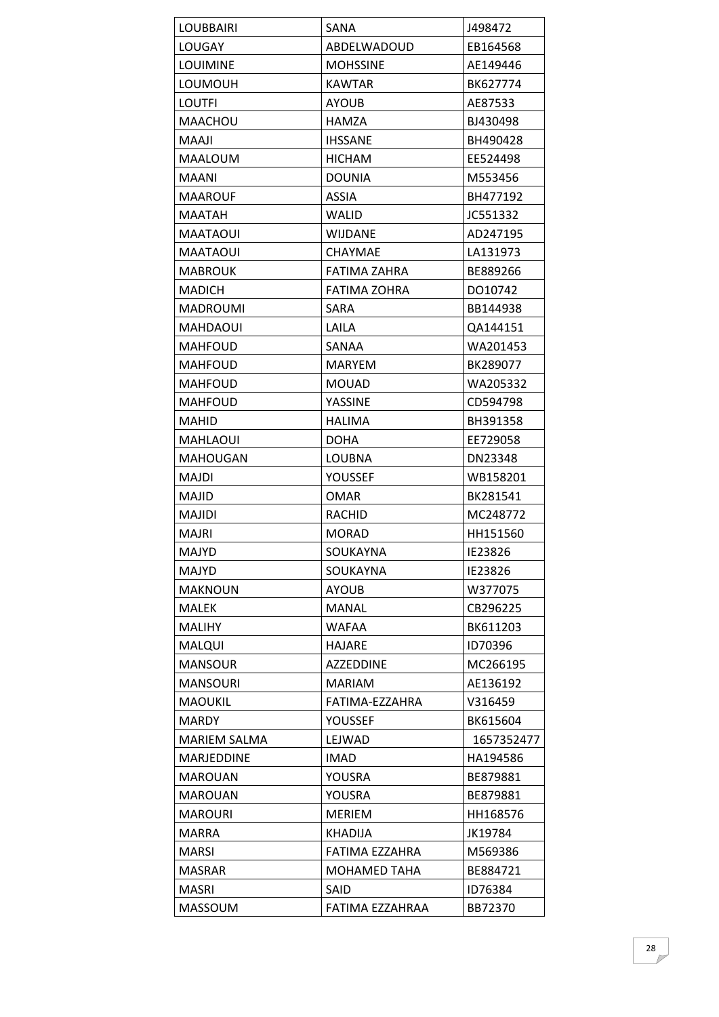| <b>LOUBBAIRI</b>    | SANA                | J498472    |
|---------------------|---------------------|------------|
| LOUGAY              | ABDELWADOUD         | EB164568   |
| <b>LOUIMINE</b>     | <b>MOHSSINE</b>     | AE149446   |
| <b>LOUMOUH</b>      | <b>KAWTAR</b>       | BK627774   |
| <b>LOUTFI</b>       | <b>AYOUB</b>        | AE87533    |
| <b>MAACHOU</b>      | HAMZA               | BJ430498   |
| <b>MAAJI</b>        | <b>IHSSANE</b>      | BH490428   |
| <b>MAALOUM</b>      | <b>HICHAM</b>       | EE524498   |
| <b>MAANI</b>        | <b>DOUNIA</b>       | M553456    |
| MAAROUF             | <b>ASSIA</b>        | BH477192   |
| MAATAH              | WALID               | JC551332   |
| <b>MAATAOUI</b>     | <b>WIJDANE</b>      | AD247195   |
| <b>MAATAOUI</b>     | CHAYMAE             | LA131973   |
| <b>MABROUK</b>      | <b>FATIMA ZAHRA</b> | BE889266   |
| <b>MADICH</b>       | <b>FATIMA ZOHRA</b> | DO10742    |
| MADROUMI            | <b>SARA</b>         | BB144938   |
| MAHDAOUI            | LAILA               | QA144151   |
| MAHFOUD             | SANAA               | WA201453   |
| <b>MAHFOUD</b>      | <b>MARYEM</b>       | BK289077   |
| MAHFOUD             | <b>MOUAD</b>        | WA205332   |
| <b>MAHFOUD</b>      | <b>YASSINE</b>      | CD594798   |
| MAHID               | HALIMA              | BH391358   |
| <b>MAHLAOUI</b>     | <b>DOHA</b>         | EE729058   |
| <b>MAHOUGAN</b>     | LOUBNA              | DN23348    |
| MAJDI               | YOUSSEF             | WB158201   |
| <b>MAJID</b>        | <b>OMAR</b>         | BK281541   |
| MAJIDI              | <b>RACHID</b>       | MC248772   |
| MAJRI               | <b>MORAD</b>        | HH151560   |
| <b>MAJYD</b>        | SOUKAYNA            | IE23826    |
| <b>MAJYD</b>        | SOUKAYNA            | IE23826    |
| <b>MAKNOUN</b>      | <b>AYOUB</b>        | W377075    |
| <b>MALEK</b>        | <b>MANAL</b>        | CB296225   |
| <b>MALIHY</b>       | <b>WAFAA</b>        | BK611203   |
| <b>MALQUI</b>       | HAJARE              | ID70396    |
| <b>MANSOUR</b>      | AZZEDDINE           | MC266195   |
| <b>MANSOURI</b>     | <b>MARIAM</b>       | AE136192   |
| <b>MAOUKIL</b>      | FATIMA-EZZAHRA      | V316459    |
| <b>MARDY</b>        | YOUSSEF             | BK615604   |
| <b>MARIEM SALMA</b> | LEJWAD              | 1657352477 |
| MARJEDDINE          | <b>IMAD</b>         | HA194586   |
| <b>MAROUAN</b>      | YOUSRA              | BE879881   |
| <b>MAROUAN</b>      | YOUSRA              | BE879881   |
| <b>MAROURI</b>      | <b>MERIEM</b>       | HH168576   |
| <b>MARRA</b>        | KHADIJA             | JK19784    |
| <b>MARSI</b>        | FATIMA EZZAHRA      | M569386    |
| <b>MASRAR</b>       | <b>MOHAMED TAHA</b> | BE884721   |
| <b>MASRI</b>        | SAID                | ID76384    |
| <b>MASSOUM</b>      | FATIMA EZZAHRAA     | BB72370    |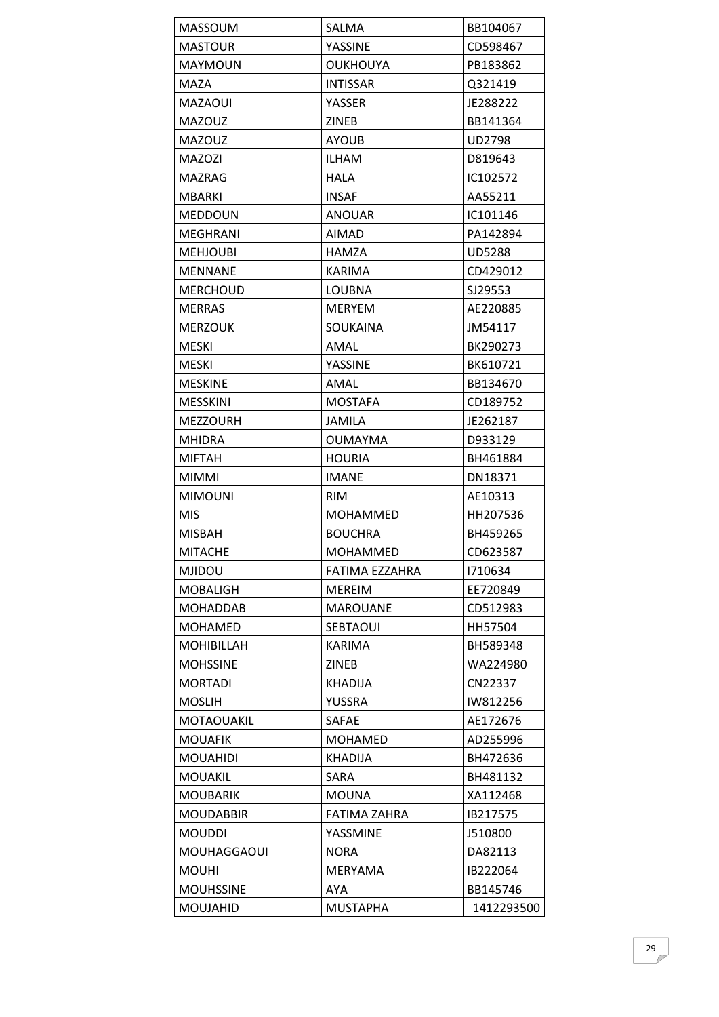| <b>MASSOUM</b>     | SALMA               | BB104067      |
|--------------------|---------------------|---------------|
| <b>MASTOUR</b>     | YASSINE             | CD598467      |
| <b>MAYMOUN</b>     | <b>OUKHOUYA</b>     | PB183862      |
| MAZA               | <b>INTISSAR</b>     | Q321419       |
| <b>MAZAOUI</b>     | YASSER              | JE288222      |
| <b>MAZOUZ</b>      | <b>ZINEB</b>        | BB141364      |
| <b>MAZOUZ</b>      | <b>AYOUB</b>        | <b>UD2798</b> |
| <b>MAZOZI</b>      | <b>ILHAM</b>        | D819643       |
| MAZRAG             | HALA                | IC102572      |
| <b>MBARKI</b>      | <b>INSAF</b>        | AA55211       |
| <b>MEDDOUN</b>     | <b>ANOUAR</b>       | IC101146      |
| <b>MEGHRANI</b>    | <b>AIMAD</b>        | PA142894      |
| MEHJOUBI           | HAMZA               | <b>UD5288</b> |
| <b>MENNANE</b>     | <b>KARIMA</b>       | CD429012      |
| <b>MERCHOUD</b>    | LOUBNA              | SJ29553       |
| <b>MERRAS</b>      | <b>MERYEM</b>       | AE220885      |
| <b>MERZOUK</b>     | <b>SOUKAINA</b>     | JM54117       |
| <b>MESKI</b>       | AMAL                | BK290273      |
| <b>MESKI</b>       | YASSINE             | BK610721      |
| <b>MESKINE</b>     | AMAL                | BB134670      |
| <b>MESSKINI</b>    | <b>MOSTAFA</b>      | CD189752      |
| <b>MEZZOURH</b>    | <b>JAMILA</b>       | JE262187      |
| <b>MHIDRA</b>      | <b>OUMAYMA</b>      | D933129       |
| <b>MIFTAH</b>      | <b>HOURIA</b>       | BH461884      |
| <b>MIMMI</b>       | <b>IMANE</b>        | DN18371       |
| <b>MIMOUNI</b>     | <b>RIM</b>          | AE10313       |
| <b>MIS</b>         | MOHAMMED            | HH207536      |
| <b>MISBAH</b>      | <b>BOUCHRA</b>      | BH459265      |
| <b>MITACHE</b>     | <b>MOHAMMED</b>     | CD623587      |
| <b>MJIDOU</b>      | FATIMA EZZAHRA      | 1710634       |
| <b>MOBALIGH</b>    | <b>MEREIM</b>       | EE720849      |
| <b>MOHADDAB</b>    | <b>MAROUANE</b>     | CD512983      |
| <b>MOHAMED</b>     | <b>SEBTAOUI</b>     | HH57504       |
| <b>MOHIBILLAH</b>  | <b>KARIMA</b>       | BH589348      |
| <b>MOHSSINE</b>    | <b>ZINEB</b>        | WA224980      |
| <b>MORTADI</b>     | <b>KHADIJA</b>      | CN22337       |
| <b>MOSLIH</b>      | YUSSRA              | IW812256      |
| MOTAOUAKIL         | <b>SAFAE</b>        | AE172676      |
| <b>MOUAFIK</b>     | MOHAMED             | AD255996      |
| <b>MOUAHIDI</b>    | <b>KHADIJA</b>      | BH472636      |
| <b>MOUAKIL</b>     | <b>SARA</b>         | BH481132      |
| <b>MOUBARIK</b>    | <b>MOUNA</b>        | XA112468      |
| <b>MOUDABBIR</b>   | <b>FATIMA ZAHRA</b> | IB217575      |
| <b>MOUDDI</b>      | YASSMINE            | J510800       |
| <b>MOUHAGGAOUI</b> | <b>NORA</b>         | DA82113       |
| <b>MOUHI</b>       | <b>MERYAMA</b>      | IB222064      |
| <b>MOUHSSINE</b>   | AYA                 | BB145746      |
| <b>MOUJAHID</b>    | <b>MUSTAPHA</b>     | 1412293500    |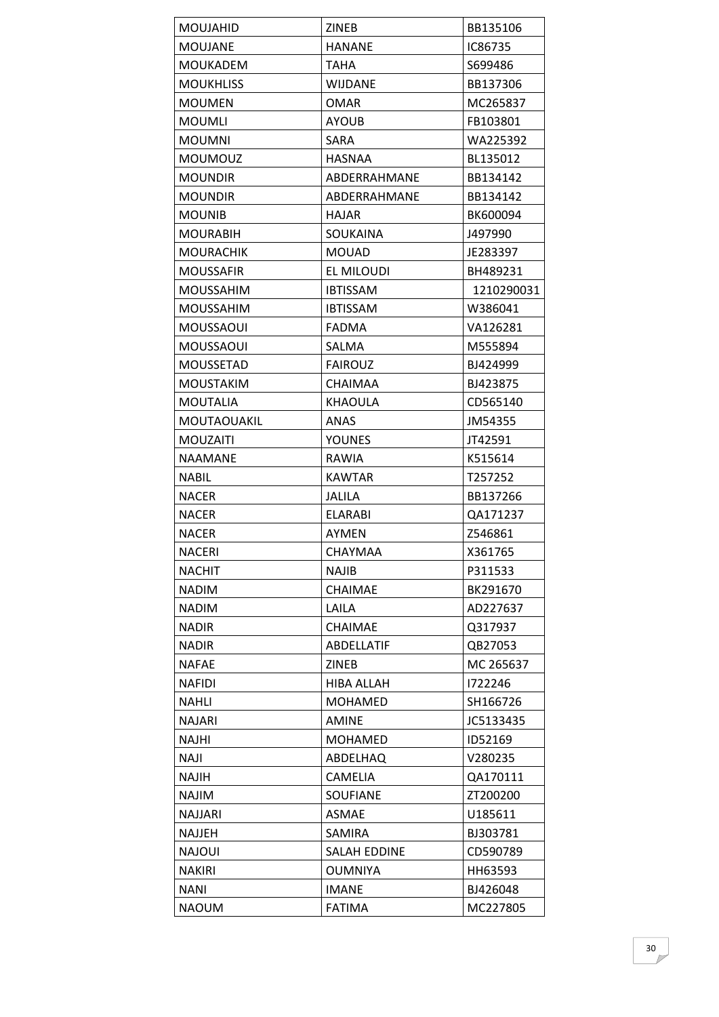| MOUJAHID           | ZINEB             | BB135106   |
|--------------------|-------------------|------------|
| <b>MOUJANE</b>     | <b>HANANE</b>     | IC86735    |
| <b>MOUKADEM</b>    | <b>TAHA</b>       | S699486    |
| <b>MOUKHLISS</b>   | WIJDANE           | BB137306   |
| <b>MOUMEN</b>      | <b>OMAR</b>       | MC265837   |
| <b>MOUMLI</b>      | <b>AYOUB</b>      | FB103801   |
| <b>MOUMNI</b>      | <b>SARA</b>       | WA225392   |
| MOUMOUZ            | <b>HASNAA</b>     | BL135012   |
| <b>MOUNDIR</b>     | ABDERRAHMANE      | BB134142   |
| <b>MOUNDIR</b>     | ABDERRAHMANE      | BB134142   |
| <b>MOUNIB</b>      | <b>HAJAR</b>      | BK600094   |
| <b>MOURABIH</b>    | SOUKAINA          | J497990    |
| MOURACHIK          | <b>MOUAD</b>      | JE283397   |
| <b>MOUSSAFIR</b>   | EL MILOUDI        | BH489231   |
| <b>MOUSSAHIM</b>   | <b>IBTISSAM</b>   | 1210290031 |
| <b>MOUSSAHIM</b>   | <b>IBTISSAM</b>   | W386041    |
| MOUSSAOUI          | <b>FADMA</b>      | VA126281   |
| MOUSSAOUI          | SALMA             | M555894    |
| <b>MOUSSETAD</b>   | <b>FAIROUZ</b>    | BJ424999   |
| <b>MOUSTAKIM</b>   | <b>CHAIMAA</b>    | BJ423875   |
| <b>MOUTALIA</b>    | <b>KHAOULA</b>    | CD565140   |
| <b>MOUTAOUAKIL</b> | <b>ANAS</b>       | JM54355    |
| <b>MOUZAITI</b>    | <b>YOUNES</b>     | JT42591    |
| <b>NAAMANE</b>     | RAWIA             | K515614    |
| <b>NABIL</b>       | <b>KAWTAR</b>     | T257252    |
| <b>NACER</b>       | <b>JALILA</b>     | BB137266   |
| <b>NACER</b>       | <b>ELARABI</b>    | QA171237   |
| <b>NACER</b>       | AYMEN             | Z546861    |
| <b>NACERI</b>      | <b>CHAYMAA</b>    | X361765    |
| <b>NACHIT</b>      | <b>NAJIB</b>      | P311533    |
| <b>NADIM</b>       | CHAIMAE           | BK291670   |
| <b>NADIM</b>       | LAILA             | AD227637   |
| <b>NADIR</b>       | <b>CHAIMAE</b>    | Q317937    |
| <b>NADIR</b>       | ABDELLATIF        | QB27053    |
| NAFAE              | <b>ZINEB</b>      | MC 265637  |
| <b>NAFIDI</b>      | <b>HIBA ALLAH</b> | 1722246    |
| NAHLI              | <b>MOHAMED</b>    | SH166726   |
| <b>NAJARI</b>      | <b>AMINE</b>      | JC5133435  |
| NAJHI              | <b>MOHAMED</b>    | ID52169    |
| <b>ILAN</b>        | ABDELHAQ          | V280235    |
| NAJIH              | <b>CAMELIA</b>    | QA170111   |
| NAJIM              | <b>SOUFIANE</b>   | ZT200200   |
| <b>NAJJARI</b>     | <b>ASMAE</b>      | U185611    |
| NAJJEH             | <b>SAMIRA</b>     | BJ303781   |
| <b>NAJOUI</b>      | SALAH EDDINE      | CD590789   |
| NAKIRI             | <b>OUMNIYA</b>    | HH63593    |
| NANI               | <b>IMANE</b>      | BJ426048   |
| <b>NAOUM</b>       | <b>FATIMA</b>     | MC227805   |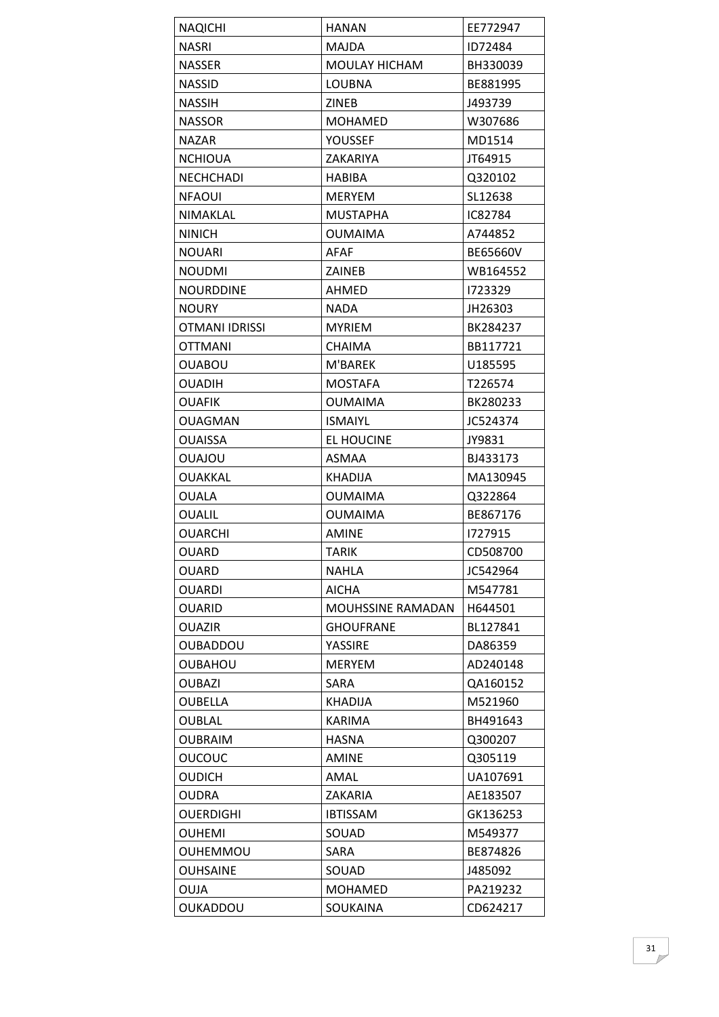| <b>NAQICHI</b>        | <b>HANAN</b>         | EE772947 |
|-----------------------|----------------------|----------|
| <b>NASRI</b>          | <b>MAJDA</b>         | ID72484  |
| <b>NASSER</b>         | <b>MOULAY HICHAM</b> | BH330039 |
| <b>NASSID</b>         | <b>LOUBNA</b>        | BE881995 |
| <b>NASSIH</b>         | <b>ZINEB</b>         | J493739  |
| <b>NASSOR</b>         | MOHAMED              | W307686  |
| <b>NAZAR</b>          | <b>YOUSSEF</b>       | MD1514   |
| <b>NCHIOUA</b>        | ZAKARIYA             | JT64915  |
| <b>NECHCHADI</b>      | HABIBA               | Q320102  |
| <b>NFAOUI</b>         | <b>MERYEM</b>        | SL12638  |
| <b>NIMAKLAL</b>       | <b>MUSTAPHA</b>      | IC82784  |
| <b>NINICH</b>         | <b>OUMAIMA</b>       | A744852  |
| <b>NOUARI</b>         | AFAF                 | BE65660V |
| <b>NOUDMI</b>         | <b>ZAINEB</b>        | WB164552 |
| <b>NOURDDINE</b>      | AHMED                | 1723329  |
| <b>NOURY</b>          | <b>NADA</b>          | JH26303  |
| <b>OTMANI IDRISSI</b> | <b>MYRIEM</b>        | BK284237 |
| OTTMANI               | CHAIMA               | BB117721 |
| <b>OUABOU</b>         | M'BAREK              | U185595  |
| <b>OUADIH</b>         | <b>MOSTAFA</b>       | T226574  |
| <b>OUAFIK</b>         | <b>OUMAIMA</b>       | BK280233 |
| <b>OUAGMAN</b>        | <b>ISMAIYL</b>       | JC524374 |
| <b>OUAISSA</b>        | EL HOUCINE           | JY9831   |
| UOLAJOU               | <b>ASMAA</b>         | BJ433173 |
| <b>OUAKKAL</b>        | <b>KHADIJA</b>       | MA130945 |
| <b>OUALA</b>          | <b>OUMAIMA</b>       | Q322864  |
| <b>OUALIL</b>         | <b>OUMAIMA</b>       | BE867176 |
| <b>OUARCHI</b>        | <b>AMINE</b>         | 1727915  |
| <b>OUARD</b>          | <b>TARIK</b>         | CD508700 |
| OUARD                 | NAHLA                | JC542964 |
| <b>OUARDI</b>         | <b>AICHA</b>         | M547781  |
| <b>OUARID</b>         | MOUHSSINE RAMADAN    | H644501  |
| <b>OUAZIR</b>         | <b>GHOUFRANE</b>     | BL127841 |
| <b>OUBADDOU</b>       | YASSIRE              | DA86359  |
| <b>OUBAHOU</b>        | <b>MERYEM</b>        | AD240148 |
| <b>OUBAZI</b>         | SARA                 | QA160152 |
| <b>OUBELLA</b>        | <b>KHADIJA</b>       | M521960  |
| <b>OUBLAL</b>         | <b>KARIMA</b>        | BH491643 |
| <b>OUBRAIM</b>        | <b>HASNA</b>         | Q300207  |
| <b>OUCOUC</b>         | <b>AMINE</b>         | Q305119  |
| <b>OUDICH</b>         | AMAL                 | UA107691 |
| <b>OUDRA</b>          | ZAKARIA              | AE183507 |
| <b>OUERDIGHI</b>      | <b>IBTISSAM</b>      | GK136253 |
| <b>OUHEMI</b>         | SOUAD                | M549377  |
| <b>OUHEMMOU</b>       | <b>SARA</b>          | BE874826 |
| <b>OUHSAINE</b>       | SOUAD                | J485092  |
| <b>OUJA</b>           | <b>MOHAMED</b>       | PA219232 |
| OUKADDOU              | SOUKAINA             | CD624217 |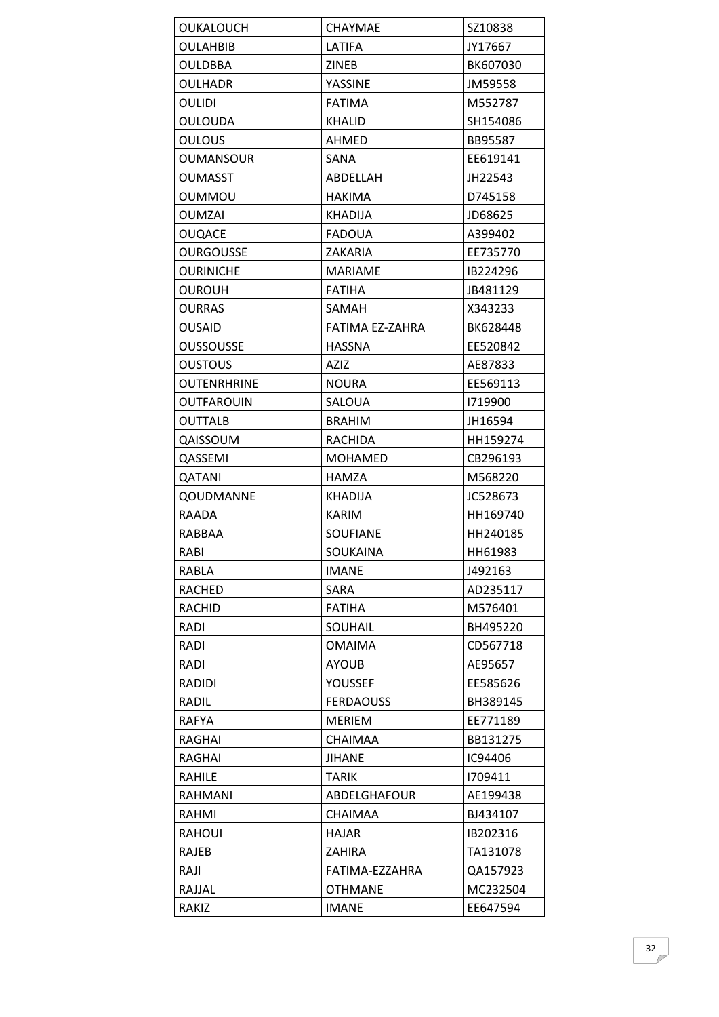| <b>OUKALOUCH</b>   | <b>CHAYMAE</b>   | SZ10838  |
|--------------------|------------------|----------|
| <b>OULAHBIB</b>    | LATIFA           | JY17667  |
| <b>OULDBBA</b>     | <b>ZINEB</b>     | BK607030 |
| <b>OULHADR</b>     | YASSINE          | JM59558  |
| <b>OULIDI</b>      | <b>FATIMA</b>    | M552787  |
| <b>OULOUDA</b>     | <b>KHALID</b>    | SH154086 |
| <b>OULOUS</b>      | AHMED            | BB95587  |
| OUMANSOUR          | SANA             | EE619141 |
| <b>OUMASST</b>     | ABDELLAH         | JH22543  |
| <b>OUMMOU</b>      | <b>HAKIMA</b>    | D745158  |
| <b>OUMZAI</b>      | <b>KHADIJA</b>   | JD68625  |
| <b>OUQACE</b>      | <b>FADOUA</b>    | A399402  |
| <b>OURGOUSSE</b>   | ZAKARIA          | EE735770 |
| <b>OURINICHE</b>   | <b>MARIAME</b>   | IB224296 |
| OUROUH             | <b>FATIHA</b>    | JB481129 |
| <b>OURRAS</b>      | SAMAH            | X343233  |
| <b>OUSAID</b>      | FATIMA EZ-ZAHRA  | BK628448 |
| <b>OUSSOUSSE</b>   | <b>HASSNA</b>    | EE520842 |
| <b>OUSTOUS</b>     | <b>AZIZ</b>      | AE87833  |
| <b>OUTENRHRINE</b> | <b>NOURA</b>     | EE569113 |
| OUTFAROUIN         | SALOUA           | 1719900  |
| OUTTALB            | <b>BRAHIM</b>    | JH16594  |
| QAISSOUM           | RACHIDA          | HH159274 |
| QASSEMI            | <b>MOHAMED</b>   | CB296193 |
| QATANI             | HAMZA            | M568220  |
| QOUDMANNE          | <b>KHADIJA</b>   | JC528673 |
| RAADA              | KARIM            | HH169740 |
| RABBAA             | <b>SOUFIANE</b>  | HH240185 |
| RABI               | <b>SOUKAINA</b>  | HH61983  |
| RABLA              | <b>IMANE</b>     | J492163  |
| <b>RACHED</b>      | SARA             | AD235117 |
| <b>RACHID</b>      | <b>FATIHA</b>    | M576401  |
| RADI               | SOUHAIL          | BH495220 |
| RADI               | <b>OMAIMA</b>    | CD567718 |
| RADI               | <b>AYOUB</b>     | AE95657  |
| RADIDI             | <b>YOUSSEF</b>   | EE585626 |
| RADIL              | <b>FERDAOUSS</b> | BH389145 |
| <b>RAFYA</b>       | <b>MERIEM</b>    | EE771189 |
|                    |                  |          |
| RAGHAI             | <b>CHAIMAA</b>   | BB131275 |
| RAGHAI             | <b>JIHANE</b>    | IC94406  |
| RAHILE             | <b>TARIK</b>     | 1709411  |
| RAHMANI            | ABDELGHAFOUR     | AE199438 |
| RAHMI              | <b>CHAIMAA</b>   | BJ434107 |
| RAHOUI             | <b>HAJAR</b>     | IB202316 |
| RAJEB              | <b>ZAHIRA</b>    | TA131078 |
| RAJI               | FATIMA-EZZAHRA   | QA157923 |
| RAJJAL             | <b>OTHMANE</b>   | MC232504 |
| RAKIZ              | <b>IMANE</b>     | EE647594 |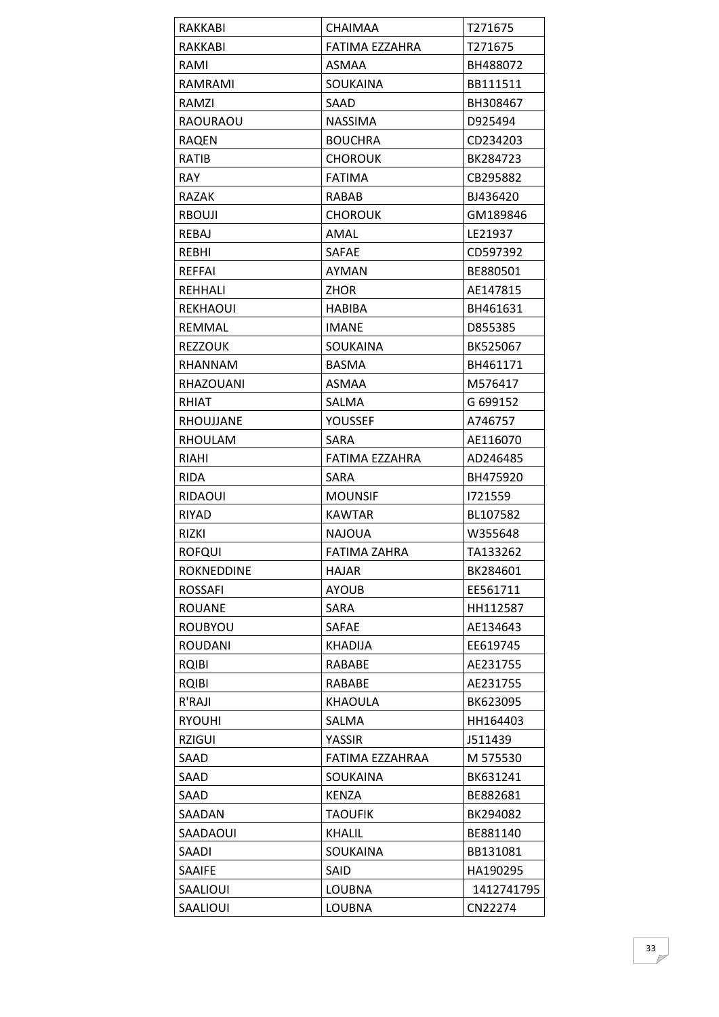| <b>RAKKABI</b>   | <b>CHAIMAA</b>  | T271675    |
|------------------|-----------------|------------|
| RAKKABI          | FATIMA EZZAHRA  | T271675    |
| RAMI             | <b>ASMAA</b>    | BH488072   |
| RAMRAMI          | <b>SOUKAINA</b> | BB111511   |
| RAMZI            | SAAD            | BH308467   |
| <b>RAOURAOU</b>  | <b>NASSIMA</b>  | D925494    |
| <b>RAQEN</b>     | <b>BOUCHRA</b>  | CD234203   |
| RATIB            | <b>CHOROUK</b>  | BK284723   |
| <b>RAY</b>       | <b>FATIMA</b>   | CB295882   |
| <b>RAZAK</b>     | RABAB           | BJ436420   |
| RBOUJI           | <b>CHOROUK</b>  | GM189846   |
| REBAJ            | AMAL            | LE21937    |
| <b>REBHI</b>     | <b>SAFAE</b>    | CD597392   |
| REFFAI           | AYMAN           | BE880501   |
| REHHALI          | ZHOR            | AE147815   |
| <b>REKHAOUI</b>  | <b>HABIBA</b>   | BH461631   |
| REMMAL           | <b>IMANE</b>    | D855385    |
| <b>REZZOUK</b>   | <b>SOUKAINA</b> | BK525067   |
| RHANNAM          | <b>BASMA</b>    | BH461171   |
| <b>RHAZOUANI</b> | <b>ASMAA</b>    | M576417    |
| RHIAT            | SALMA           | G 699152   |
| RHOUJJANE        | <b>YOUSSEF</b>  | A746757    |
| <b>RHOULAM</b>   | <b>SARA</b>     | AE116070   |
| RIAHI            | FATIMA EZZAHRA  | AD246485   |
| RIDA             | SARA            | BH475920   |
| <b>RIDAOUI</b>   | <b>MOUNSIF</b>  | 1721559    |
| <b>RIYAD</b>     | KAWTAR          | BL107582   |
| RIZKI            | <b>NAJOUA</b>   | W355648    |
| <b>ROFQUI</b>    | FATIMA ZAHRA    | TA133262   |
| ROKNEDDINE       | HAJAR           | BK284601   |
| <b>ROSSAFI</b>   | <b>AYOUB</b>    | EE561711   |
| <b>ROUANE</b>    | <b>SARA</b>     | HH112587   |
| ROUBYOU          | SAFAE           | AE134643   |
| <b>ROUDANI</b>   | KHADIJA         | EE619745   |
| <b>RQIBI</b>     | RABABE          | AE231755   |
| <b>RQIBI</b>     | RABABE          | AE231755   |
| R'RAJI           | KHAOULA         | BK623095   |
| <b>RYOUHI</b>    | SALMA           | HH164403   |
| <b>RZIGUI</b>    | YASSIR          | J511439    |
| SAAD             | FATIMA EZZAHRAA | M 575530   |
| SAAD             | SOUKAINA        | BK631241   |
| SAAD             | <b>KENZA</b>    | BE882681   |
| SAADAN           | <b>TAOUFIK</b>  | BK294082   |
| SAADAOUI         | <b>KHALIL</b>   | BE881140   |
| SAADI            | <b>SOUKAINA</b> | BB131081   |
| SAAIFE           | SAID            | HA190295   |
| SAALIOUI         | <b>LOUBNA</b>   | 1412741795 |
| SAALIOUI         | <b>LOUBNA</b>   | CN22274    |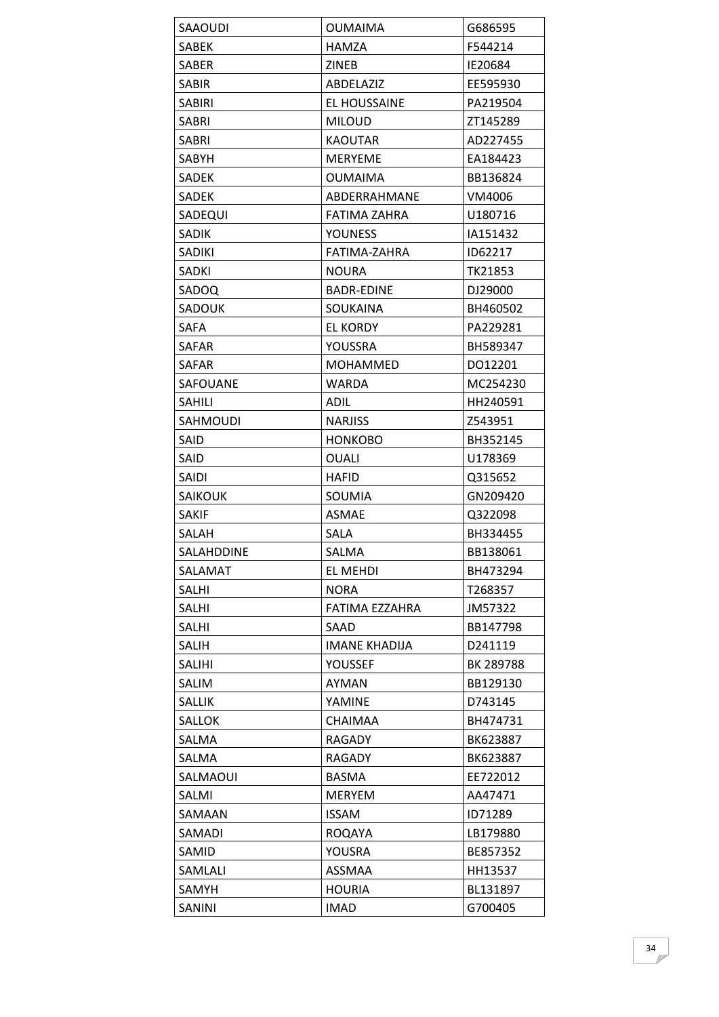| SAAOUDI       | <b>OUMAIMA</b>       | G686595   |
|---------------|----------------------|-----------|
| <b>SABEK</b>  | HAMZA                | F544214   |
| <b>SABER</b>  | <b>ZINEB</b>         | IE20684   |
| SABIR         | ABDELAZIZ            | EE595930  |
| SABIRI        | EL HOUSSAINE         | PA219504  |
| SABRI         | <b>MILOUD</b>        | ZT145289  |
| SABRI         | <b>KAOUTAR</b>       | AD227455  |
| SABYH         | MERYEME              | EA184423  |
| SADEK         | <b>OUMAIMA</b>       | BB136824  |
| SADEK         | ABDERRAHMANE         | VM4006    |
| SADEQUI       | FATIMA ZAHRA         | U180716   |
| SADIK         | <b>YOUNESS</b>       | IA151432  |
| <b>SADIKI</b> | FATIMA-ZAHRA         | ID62217   |
| SADKI         | <b>NOURA</b>         | TK21853   |
| SADOQ         | BADR-EDINE           | DJ29000   |
| <b>SADOUK</b> | SOUKAINA             | BH460502  |
| <b>SAFA</b>   | <b>EL KORDY</b>      | PA229281  |
| SAFAR         | YOUSSRA              | BH589347  |
| <b>SAFAR</b>  | <b>MOHAMMED</b>      | DO12201   |
| SAFOUANE      | WARDA                | MC254230  |
| SAHILI        | ADIL                 | HH240591  |
| SAHMOUDI      | <b>NARJISS</b>       | Z543951   |
| SAID          | <b>HONKOBO</b>       | BH352145  |
| SAID          | OUALI                | U178369   |
| SAIDI         | HAFID                | Q315652   |
| SAIKOUK       | SOUMIA               | GN209420  |
| <b>SAKIF</b>  | ASMAE                | Q322098   |
| SALAH         | SALA                 | BH334455  |
| SALAHDDINE    | SALMA                | BB138061  |
| SALAMAT       | EL MEHDI             | BH473294  |
| SALHI         | <b>NORA</b>          | T268357   |
| <b>SALHI</b>  | FATIMA EZZAHRA       | JM57322   |
| SALHI         | SAAD                 | BB147798  |
| SALIH         | <b>IMANE KHADIJA</b> | D241119   |
| SALIHI        | YOUSSEF              | BK 289788 |
| SALIM         | <b>AYMAN</b>         | BB129130  |
| SALLIK        | YAMINE               | D743145   |
| SALLOK        | CHAIMAA              | BH474731  |
| SALMA         | RAGADY               | BK623887  |
| SALMA         | RAGADY               | BK623887  |
| SALMAOUI      | <b>BASMA</b>         | EE722012  |
| SALMI         | <b>MERYEM</b>        | AA47471   |
| SAMAAN        | <b>ISSAM</b>         | ID71289   |
| SAMADI        | <b>ROQAYA</b>        | LB179880  |
| SAMID         | YOUSRA               | BE857352  |
| SAMLALI       | ASSMAA               | HH13537   |
| SAMYH         | <b>HOURIA</b>        | BL131897  |
| SANINI        | <b>IMAD</b>          | G700405   |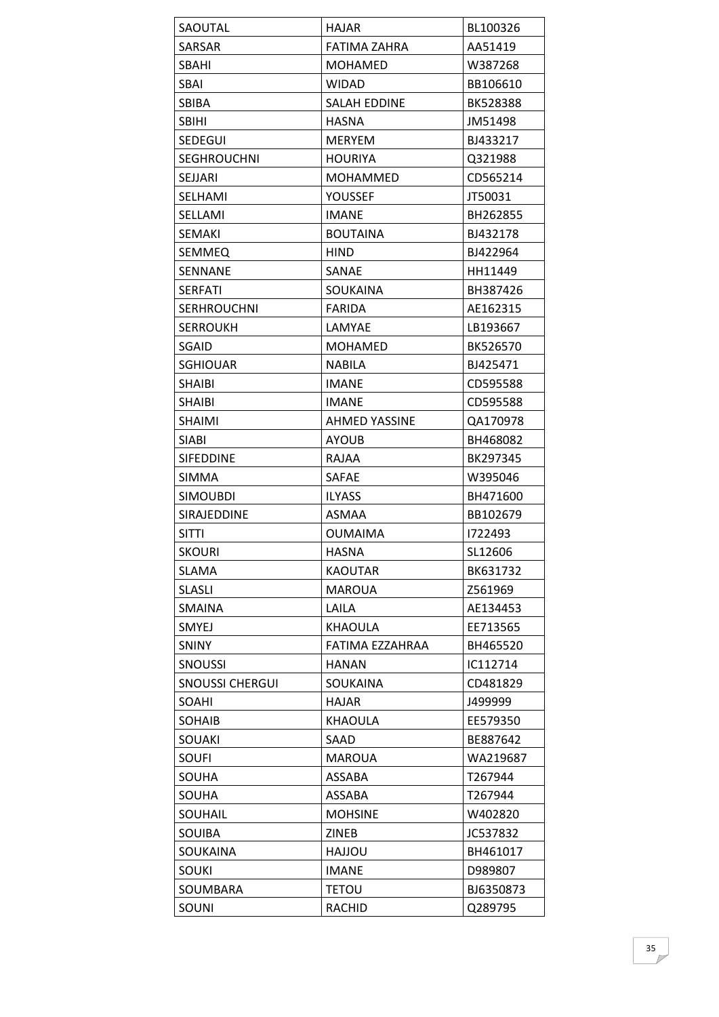| SAOUTAL                | <b>HAJAR</b>         | BL100326  |
|------------------------|----------------------|-----------|
| SARSAR                 | FATIMA ZAHRA         | AA51419   |
| SBAHI                  | <b>MOHAMED</b>       | W387268   |
| SBAI                   | WIDAD                | BB106610  |
| <b>SBIBA</b>           | <b>SALAH EDDINE</b>  | BK528388  |
| SBIHI                  | HASNA                | JM51498   |
| SEDEGUI                | <b>MERYEM</b>        | BJ433217  |
| <b>SEGHROUCHNI</b>     | <b>HOURIYA</b>       | Q321988   |
| <b>SEJJARI</b>         | <b>MOHAMMED</b>      | CD565214  |
| SELHAMI                | <b>YOUSSEF</b>       | JT50031   |
| SELLAMI                | <b>IMANE</b>         | BH262855  |
| SEMAKI                 | <b>BOUTAINA</b>      | BJ432178  |
| SEMMEQ                 | <b>HIND</b>          | BJ422964  |
| <b>SENNANE</b>         | SANAE                | HH11449   |
| <b>SERFATI</b>         | SOUKAINA             | BH387426  |
| <b>SERHROUCHNI</b>     | <b>FARIDA</b>        | AE162315  |
| <b>SERROUKH</b>        | LAMYAE               | LB193667  |
| SGAID                  | MOHAMED              | BK526570  |
| <b>SGHIOUAR</b>        | <b>NABILA</b>        | BJ425471  |
| <b>SHAIBI</b>          | <b>IMANE</b>         | CD595588  |
| <b>SHAIBI</b>          | <b>IMANE</b>         | CD595588  |
| <b>SHAIMI</b>          | <b>AHMED YASSINE</b> | QA170978  |
| <b>SIABI</b>           | <b>AYOUB</b>         | BH468082  |
| <b>SIFEDDINE</b>       | RAJAA                | BK297345  |
| <b>SIMMA</b>           | <b>SAFAE</b>         | W395046   |
| <b>SIMOUBDI</b>        | <b>ILYASS</b>        | BH471600  |
| SIRAJEDDINE            | ASMAA                | BB102679  |
| SITTI                  | <b>OUMAIMA</b>       | 1722493   |
| <b>SKOURI</b>          | <b>HASNA</b>         | SL12606   |
| SLAMA                  | <b>KAOUTAR</b>       | BK631732  |
| <b>SLASLI</b>          | <b>MAROUA</b>        | Z561969   |
| <b>SMAINA</b>          | LAILA                | AE134453  |
| <b>SMYEJ</b>           | KHAOULA              | EE713565  |
| <b>SNINY</b>           | FATIMA EZZAHRAA      | BH465520  |
| <b>SNOUSSI</b>         | HANAN                | IC112714  |
| <b>SNOUSSI CHERGUI</b> | SOUKAINA             | CD481829  |
| SOAHI                  | <b>HAJAR</b>         | J499999   |
| SOHAIB                 | <b>KHAOULA</b>       | EE579350  |
| SOUAKI                 | SAAD                 | BE887642  |
| SOUFI                  | <b>MAROUA</b>        | WA219687  |
| SOUHA                  | ASSABA               | T267944   |
| SOUHA                  | ASSABA               | T267944   |
| SOUHAIL                | <b>MOHSINE</b>       | W402820   |
| SOUIBA                 | ZINEB                | JC537832  |
| SOUKAINA               | <b>UOLLAH</b>        | BH461017  |
| SOUKI                  | <b>IMANE</b>         | D989807   |
| SOUMBARA               | <b>TETOU</b>         | BJ6350873 |
| SOUNI                  | <b>RACHID</b>        | Q289795   |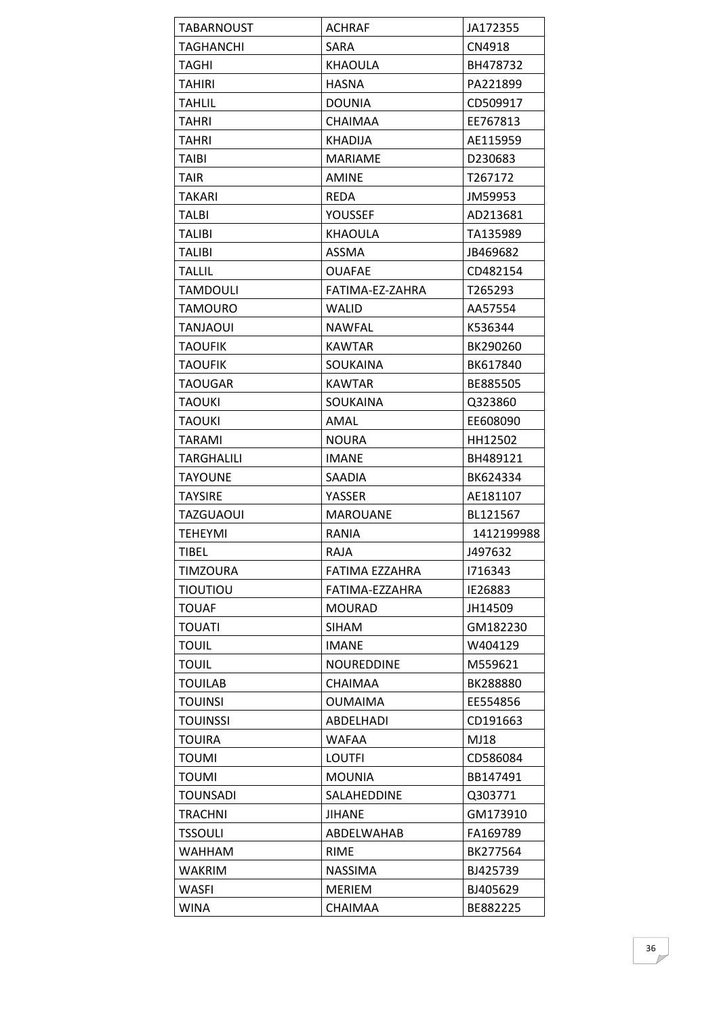| <b>TABARNOUST</b> | <b>ACHRAF</b>      | JA172355   |
|-------------------|--------------------|------------|
| TAGHANCHI         | <b>SARA</b>        | CN4918     |
| TAGHI             | <b>KHAOULA</b>     | BH478732   |
| TAHIRI            | <b>HASNA</b>       | PA221899   |
| <b>TAHLIL</b>     | <b>DOUNIA</b>      | CD509917   |
| <b>TAHRI</b>      | <b>CHAIMAA</b>     | EE767813   |
| TAHRI             | KHADIJA            | AE115959   |
| <b>TAIBI</b>      | <b>MARIAME</b>     | D230683    |
| TAIR              | AMINE              | T267172    |
| TAKARI            | <b>REDA</b>        | JM59953    |
| TALBI             | YOUSSEF            | AD213681   |
| <b>TALIBI</b>     | KHAOULA            | TA135989   |
| TALIBI            | ASSMA              | JB469682   |
| <b>TALLIL</b>     | <b>OUAFAE</b>      | CD482154   |
| TAMDOULI          | FATIMA-EZ-ZAHRA    | T265293    |
| <b>TAMOURO</b>    | <b>WALID</b>       | AA57554    |
| TANJAOUI          | <b>NAWFAL</b>      | K536344    |
| <b>TAOUFIK</b>    | <b>KAWTAR</b>      | BK290260   |
| TAOUFIK           | <b>SOUKAINA</b>    | BK617840   |
| TAOUGAR           | <b>KAWTAR</b>      | BE885505   |
| <b>TAOUKI</b>     | <b>SOUKAINA</b>    | Q323860    |
| <b>TAOUKI</b>     | AMAL               | EE608090   |
| TARAMI            | <b>NOURA</b>       | HH12502    |
| TARGHALILI        | <b>IMANE</b>       | BH489121   |
| <b>TAYOUNE</b>    | <b>SAADIA</b>      | BK624334   |
| <b>TAYSIRE</b>    | YASSER             | AE181107   |
| <b>TAZGUAOUI</b>  | <b>MAROUANE</b>    | BL121567   |
| <b>TEHEYMI</b>    | RANIA              | 1412199988 |
| <b>TIBEL</b>      | <b>RAJA</b>        | J497632    |
| <b>TIMZOURA</b>   | FATIMA EZZAHRA     | 1716343    |
| ΤΙΟυΤΙΟυ          | FATIMA-EZZAHRA     | IE26883    |
| <b>TOUAF</b>      | <b>MOURAD</b>      | JH14509    |
| <b>TOUATI</b>     | SIHAM              | GM182230   |
| <b>TOUIL</b>      | <b>IMANE</b>       | W404129    |
| TOUIL             | <b>NOUREDDINE</b>  | M559621    |
| <b>TOUILAB</b>    | <b>CHAIMAA</b>     | BK288880   |
| <b>TOUINSI</b>    | <b>OUMAIMA</b>     | EE554856   |
| TOUINSSI          | <b>ABDELHADI</b>   | CD191663   |
| <b>TOUIRA</b>     | <b>WAFAA</b>       | MJ18       |
| <b>TOUMI</b>      | <b>LOUTFI</b>      | CD586084   |
| TOUMI             | <b>MOUNIA</b>      | BB147491   |
| TOUNSADI          | <b>SALAHEDDINE</b> | Q303771    |
| TRACHNI           | <b>JIHANE</b>      | GM173910   |
| <b>TSSOULI</b>    | ABDELWAHAB         | FA169789   |
| <b>WAHHAM</b>     | <b>RIME</b>        | BK277564   |
| WAKRIM            | <b>NASSIMA</b>     | BJ425739   |
| WASFI             | <b>MERIEM</b>      | BJ405629   |
| WINA              | CHAIMAA            | BE882225   |
|                   |                    |            |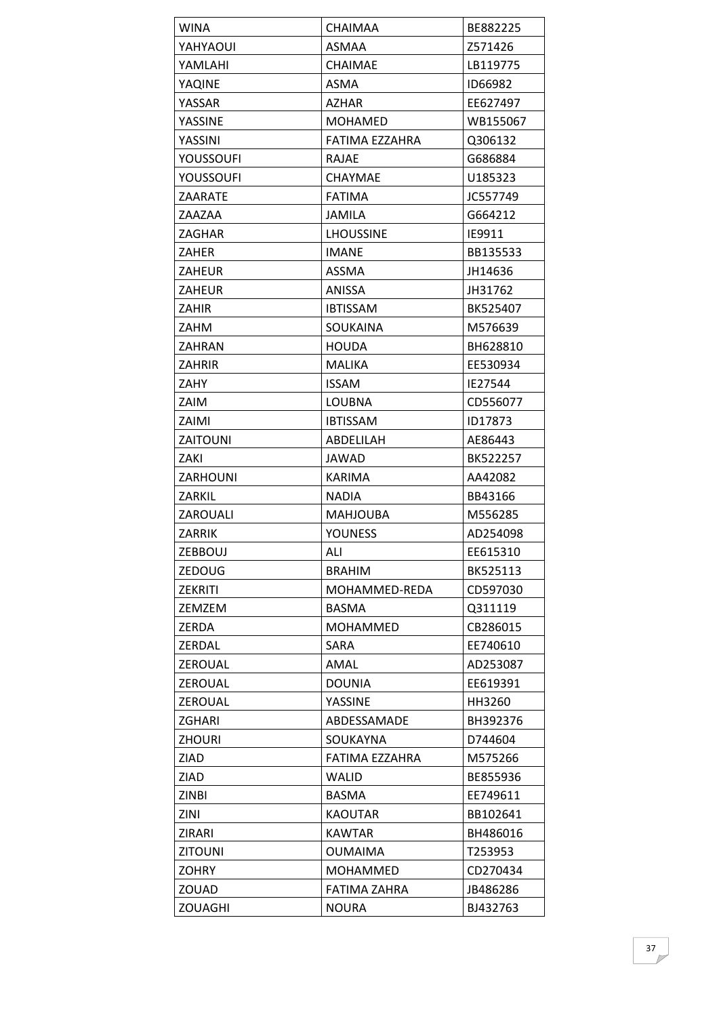| WINA            | CHAIMAA          | BE882225 |
|-----------------|------------------|----------|
| YAHYAOUI        | ASMAA            | Z571426  |
| YAMLAHI         | CHAIMAE          | LB119775 |
| YAQINE          | ASMA             | ID66982  |
| YASSAR          | <b>AZHAR</b>     | EE627497 |
| YASSINE         | <b>MOHAMED</b>   | WB155067 |
| YASSINI         | FATIMA EZZAHRA   | Q306132  |
| YOUSSOUFI       | RAJAE            | G686884  |
| YOUSSOUFI       | <b>CHAYMAE</b>   | U185323  |
| ZAARATE         | <b>FATIMA</b>    | JC557749 |
| ZAAZAA          | JAMILA           | G664212  |
| ZAGHAR          | <b>LHOUSSINE</b> | IE9911   |
| ZAHER           | <b>IMANE</b>     | BB135533 |
| ZAHEUR          | ASSMA            | JH14636  |
| ZAHEUR          | <b>ANISSA</b>    | JH31762  |
| ZAHIR           | <b>IBTISSAM</b>  | BK525407 |
| ZAHM            | SOUKAINA         | M576639  |
| ZAHRAN          | <b>HOUDA</b>     | BH628810 |
| <b>ZAHRIR</b>   | <b>MALIKA</b>    | EE530934 |
| ZAHY            | <b>ISSAM</b>     | IE27544  |
| ZAIM            | LOUBNA           | CD556077 |
| ZAIMI           | <b>IBTISSAM</b>  | ID17873  |
| <b>ZAITOUNI</b> | ABDELILAH        | AE86443  |
| ZAKI            | JAWAD            | BK522257 |
| ZARHOUNI        | <b>KARIMA</b>    | AA42082  |
| ZARKIL          | <b>NADIA</b>     | BB43166  |
| ZAROUALI        | <b>MAHJOUBA</b>  | M556285  |
| ZARRIK          | <b>YOUNESS</b>   | AD254098 |
| <b>ZEBBOUJ</b>  | ALI              | EE615310 |
| ZEDOUG          | <b>BRAHIM</b>    | BK525113 |
| <b>ZEKRITI</b>  | MOHAMMED-REDA    | CD597030 |
| <b>ZEMZEM</b>   | <b>BASMA</b>     | Q311119  |
| ZERDA           | <b>MOHAMMED</b>  | CB286015 |
| ZERDAL          | <b>SARA</b>      | EE740610 |
| ZEROUAL         | AMAL             | AD253087 |
| <b>ZEROUAL</b>  | <b>DOUNIA</b>    | EE619391 |
| ZEROUAL         | YASSINE          | HH3260   |
| ZGHARI          | ABDESSAMADE      | BH392376 |
| <b>ZHOURI</b>   | SOUKAYNA         | D744604  |
| ZIAD            | FATIMA EZZAHRA   | M575266  |
| ZIAD            | <b>WALID</b>     | BE855936 |
| <b>ZINBI</b>    | <b>BASMA</b>     | EE749611 |
| ZINI            | <b>KAOUTAR</b>   | BB102641 |
| ZIRARI          | KAWTAR           | BH486016 |
| <b>ZITOUNI</b>  | <b>OUMAIMA</b>   | T253953  |
| <b>ZOHRY</b>    | <b>MOHAMMED</b>  | CD270434 |
| ZOUAD           | FATIMA ZAHRA     | JB486286 |
| <b>ZOUAGHI</b>  | <b>NOURA</b>     | BJ432763 |